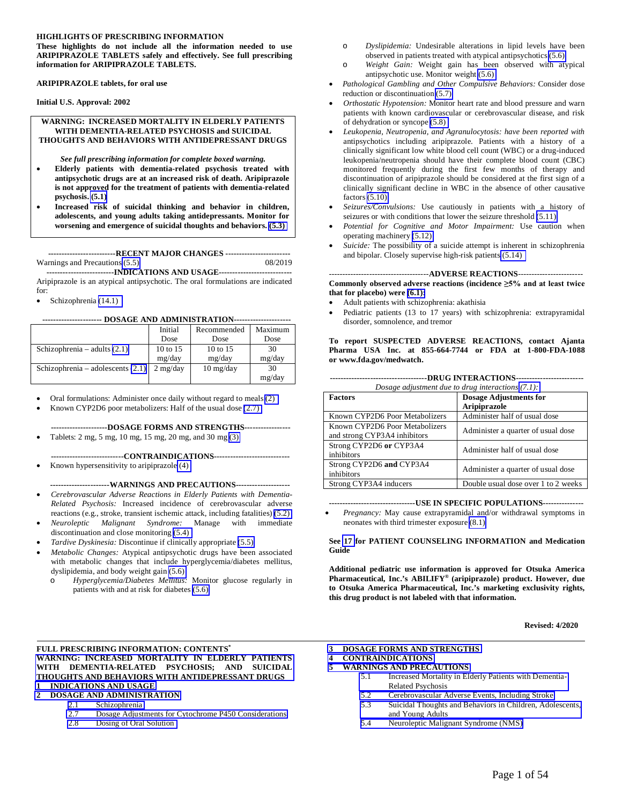#### **HIGHLIGHTS OF PRESCRIBING INFORMATION**

**These highlights do not include all the information needed to use ARIPIPRAZOLE TABLETS safely and effectively. See full prescribing information for ARIPIPRAZOLE TABLETS.** 

**ARIPIPRAZOLE tablets, for oral use** 

**Initial U.S. Approval: 2002** 

#### **WARNING: INCREASED MORTALITY IN ELDERLY PATIENTS WITH DEMENTIA-RELATED PSYCHOSIS and SUICIDAL THOUGHTS AND BEHAVIORS WITH ANTIDEPRESSANT DRUGS**

*See full prescribing information for complete boxed warning.* 

- **Elderly patients with dementia-related psychosis treated with antipsychotic drugs are at an increased risk of death. Aripiprazole is not approved for the treatment of patients with dementia-related psychosis. [\(5.1\)](#page-5-1)**
- **Increased risk of suicidal thinking and behavior in children, adolescents, and young adults taking antidepressants. Monitor for worsening and emergence of suicidal thoughts and behaviors. [\(5.3\)](#page-5-0)**

**-------------------------RECENT MAJOR CHANGES ------------------------** Warnings and Precautions [\(5.5\)](#page-8-1) 08/2019

 **-------------------------INDICATIONS AND USAGE---------------------------**  Aripiprazole is an atypical antipsychotic. The oral formulations are indicated for:

 $\bullet$  Schizophrenia [\(14.1\)](#page-38-0)

#### **---------------------- DOSAGE AND ADMINISTRATION---------------------**

|                                     | Initial<br>Dose           | Recommended<br>Dose               | Maximum<br>Dose |
|-------------------------------------|---------------------------|-----------------------------------|-----------------|
| Schizophrenia – adults $(2.1)$      | 10 to 15                  | 10 to 15                          | 30              |
|                                     | mg/day                    | mg/day                            | mg/day          |
| Schizophrenia – adolescents $(2.1)$ | $2 \text{ mg}/\text{day}$ | $10 \frac{\text{mg}}{\text{day}}$ | 30              |
|                                     |                           |                                   | mg/day          |

Oral formulations: Administer once daily without regard to meals [\(2\)](#page-2-0)

Known CYP2D6 poor metabolizers: Half of the usual dose [\(2.7\)](#page-3-0)

**---------------------DOSAGE FORMS AND STRENGTHS-----------------**

Tablets: 2 mg, 5 mg, 10 mg, 15 mg, 20 mg, and 30 mg [\(3\)](#page-4-0)

**---------------------------CONTRAINDICATIONS----------------------------** Known hypersensitivity to aripiprazole [\(4\)](#page-5-1) 

**----------------------WARNINGS AND PRECAUTIONS--------------------**

- *Cerebrovascular Adverse Reactions in Elderly Patients with Dementia-Related Psychosis:* Increased incidence of cerebrovascular adverse
- reactions (e.g., stroke, transient ischemic attack, including fatalities) [\(5.2\)](#page-5-0) *Neuroleptic Malignant Syndrome:* Manage with immediate discontinuation and close monitoring [\(5.4\)](#page-7-0)
- *Tardive Dyskinesia:* Discontinue if clinically appropriate [\(5.5\)](#page-8-0)
- *Metabolic Changes:* Atypical antipsychotic drugs have been associated with metabolic changes that include hyperglycemia/diabetes mellitus, dyslipidemia, and body weight gain [\(5.6\)](#page-9-0)
	- o *Hyperglycemia/Diabetes Mellitus:* Monitor glucose regularly in patients with and at risk for diabetes [\(5.6\)](#page-9-0)
- **FULL PRESCRIBING INFORMATION: CONTENTS\* [WARNING: INCREASED MORTALITY IN ELDERLY PATIENTS](#page-2-1)  WITH DEMENTIA-RELATED PSYCHOSIS; AND SUICIDAL THOUGHTS AND BEHAVIORS WITH ANTIDEPRESSANT DRUGS 1 [INDICATIONS AND USAGE](#page-2-0)**
- **2 [DOSAGE AND ADMINISTRATION](#page-2-0)** 
	- 2.1 Schizophrenia<br>2.7 Dosage Adjust
	- 2.7 [Dosage Adjustments for Cytochrome P450 Considerations](#page-3-0)
	- 2.8 [Dosing of Oral Solution](#page-4-0)
- o *Dyslipidemia:* Undesirable alterations in lipid levels have been observed in patients treated with atypical antipsychotics [\(5.6\)](#page-9-0)
- o *Weight Gain:* Weight gain has been observed with atypical antipsychotic use. Monitor weight [\(5.6\)](#page-9-0)
- *Pathological Gambling and Other Compulsive Behaviors:* Consider dose reduction or discontinuation [\(5.7\)](#page-14-1)
- *Orthostatic Hypotension:* Monitor heart rate and blood pressure and warn patients with known cardiovascular or cerebrovascular disease, and risk of dehydration or syncope [\(5.8\)](#page-14-0)
- *Leukopenia, Neutropenia, and Agranulocytosis: have been reported with* antipsychotics including aripiprazole. Patients with a history of a clinically significant low white blood cell count (WBC) or a drug-induced leukopenia/neutropenia should have their complete blood count (CBC) monitored frequently during the first few months of therapy and discontinuation of aripiprazole should be considered at the first sign of a clinically significant decline in WBC in the absence of other causative factors [\(5.10\)](#page-15-1)
- *Seizures/Convulsions:* Use cautiously in patients with a history of seizures or with conditions that lower the seizure threshold [\(5.11\)](#page-15-0)
- *Potential for Cognitive and Motor Impairment:* Use caution when operating machinery [\(5.12\)](#page-15-0)
- *Suicide:* The possibility of a suicide attempt is inherent in schizophrenia and bipolar. Closely supervise high-risk patients [\(5.14\)](#page-16-0)

-------------------------------------**ADVERSE REACTIONS**------------------------

**Commonly observed adverse reactions (incidence ≥5% and at least twice that for placebo) were [\(6.1\):](#page-17-0)** 

- Adult patients with schizophrenia: akathisia
- Pediatric patients (13 to 17 years) with schizophrenia: extrapyramidal disorder, somnolence, and tremor

**To report SUSPECTED ADVERSE REACTIONS, contact Ajanta Pharma USA Inc. at 855-664-7744 or FDA at 1-800-FDA-1088 or www.fda.gov/medwatch.** 

|  | <b>DRUG INTERACTIONS-</b><br>Dosage adjustment due to drug interactions (7.1): |                                                      |  |  |  |  |
|--|--------------------------------------------------------------------------------|------------------------------------------------------|--|--|--|--|
|  | <b>Factors</b>                                                                 | <b>Dosage Adjustments for</b><br><b>Aripiprazole</b> |  |  |  |  |
|  | Known CYP2D6 Poor Metabolizers                                                 | Administer half of usual dose                        |  |  |  |  |
|  | Known CYP2D6 Poor Metabolizers<br>and strong CYP3A4 inhibitors                 | Administer a quarter of usual dose                   |  |  |  |  |
|  | Strong CYP2D6 or CYP3A4<br>inhibitors                                          | Administer half of usual dose                        |  |  |  |  |
|  | Strong CYP2D6 and CYP3A4<br>inhibitors                                         | Administer a quarter of usual dose                   |  |  |  |  |
|  | Strong CYP3A4 inducers                                                         | Double usual dose over 1 to 2 weeks                  |  |  |  |  |

#### **--------------------------------USE IN SPECIFIC POPULATIONS---------------**

 *Pregnancy:* May cause extrapyramidal and/or withdrawal symptoms in neonates with third trimester exposure [\(8.1\)](#page-26-0)

#### **See [17](#page-44-0) for PATIENT COUNSELING INFORMATION and Medication Guide**

**Additional pediatric use information is approved for Otsuka America Pharmaceutical, Inc.'s ABILIFY® (aripiprazole) product. However, due to Otsuka America Pharmaceutical, Inc.'s marketing exclusivity rights, this drug product is not labeled with that information.** 

**Revised: 4/2020** 

**3 [DOSAGE FORMS AND STRENGTHS](#page-4-0)** 

**4 [CONTRAINDICATIONS](#page-5-1)** 

- **5 [WARNINGS AND PRECAUTIONS](#page-5-1)** 
	- 5.1 [Increased Mortality in Elderly Patients with Dementia-](#page-5-1)Related Psychosis
	- 5.2 [Cerebrovascular Adverse Events, Including Stroke](#page-5-0)
	- 5.3 [Suicidal Thoughts and Behaviors in Children, Adolescents,](#page-5-0)  and Young Adults
	- 5.4 [Neuroleptic Malignant Syndrome \(NMS\)](#page-7-0)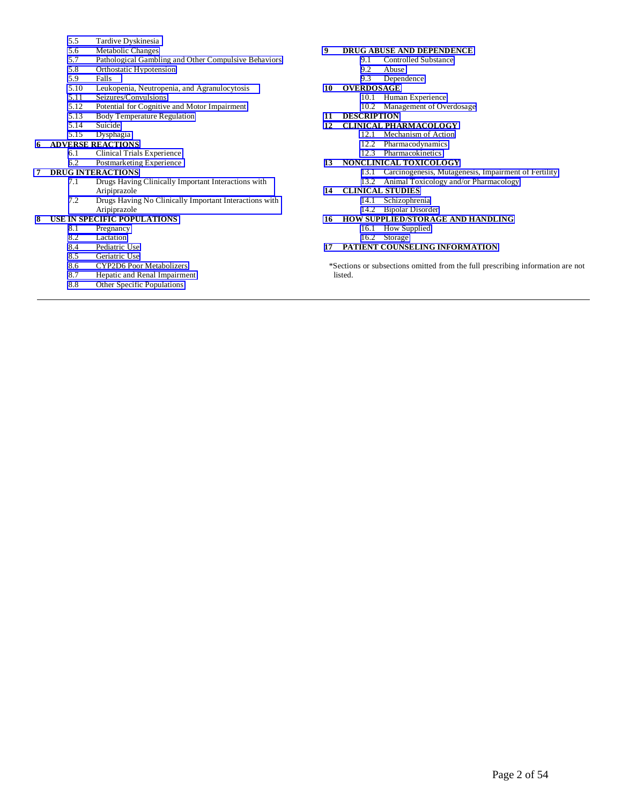- 5.5 Tardive Dyskinesia<br>5.6 Metabolic Changes
- 
- 5.6 Metabolic Changes<br>5.7 Pathological Gambl Pathological Gambling and Other Compulsive Behaviors
- 5.8 [Orthostatic Hypotension](#page-14-0)
- 5.9 [Falls](#page-15-1)
- 5.10 Leukopenia, Neutropenia, and Agranulocytosis<br>5.11 Seizures/Convulsions
- Seizures/Convulsions
- 5.12 Potential for Cognitive and Motor Impairment<br>5.13 Body Temperature Regulation
- 5.13 [Body Temperature Regulation](#page-16-0)
- 
- 5.14 Suicide<br>5.15 Dyspha **Dysphagia**

#### **6 [ADVERSE REACTIONS](#page-16-1)**

- 6.1 [Clinical Trials Experience](#page-17-0) 
	- 6.2 [Postmarketing Experience](#page-25-0)

#### **7 [DRUG INTERACTIONS](#page-25-0)**

- 7.1 [Drugs Having Clinically Important Interactions with](#page-25-0)  Aripiprazole
- 7.2 [Drugs Having No Clinically Important Interactions with](#page-26-0)  Aripiprazole

# **8 [USE IN SPECIFIC POPULATIONS](#page-26-0)**

- Pregnancy
- 8.2 Lactation<br>8.4 Pediatric
- 8.4 Pediatric Use<br>8.5 Geriatric Use
- 8.5 Geriatric Use<br>8.6 CYP2D6 Poo
- 8.6 CYP2D6 Poor Metabolizers<br>8.7 Hepatic and Renal Impairme
- 8.7 Hepatic and Renal Impairment<br>8.8 Other Specific Populations
- Other Specific Populations

# **9 [DRUG ABUSE AND DEPENDENCE](#page-31-0)**

- 9.1 Controlled Substance<br>9.2 Abuse
	- 9.2 Abuse<br>9.3 Depen
	- Dependence
- **10 [OVERDOSAGE](#page-31-0)** 
	- 10.1 [Human Experience](#page-31-0)
	- 10.2 [Management of Overdosage](#page-32-0)
- **11 [DESCRIPTION](#page-32-0)**
- **12 [CLINICAL PHARMACOLOGY](#page-32-0)** 
	- 12.1 [Mechanism of Action](#page-32-0)
	- 12.2 [Pharmacodynamics](#page-33-0)
	- 12.3 [Pharmacokinetics](#page-33-0)
- **13 [NONCLINICAL TOXICOLOGY](#page-37-0)**  13.1 [Carcinogenesis, Mutagenesis, Impairment of Fertility](#page-37-0) 
	- 13.2 [Animal Toxicology and/or Pharmacology](#page-38-1)

### **14 [CLINICAL STUDIES](#page-38-1)**

- 14.1 [Schizophrenia](#page-38-0)  14.2 [Bipolar Disorder](#page-41-0)
- **16 [HOW SUPPLIED/STORAGE AND HANDLING](#page-43-0)** 
	- 16.1 [How Supplied](#page-43-0)
	- 16.2 [Storage](#page-44-1)

#### **17 [PATIENT COUNSELING INFORMATION](#page-44-0)**

\*Sections or subsections omitted from the full prescribing information are not listed.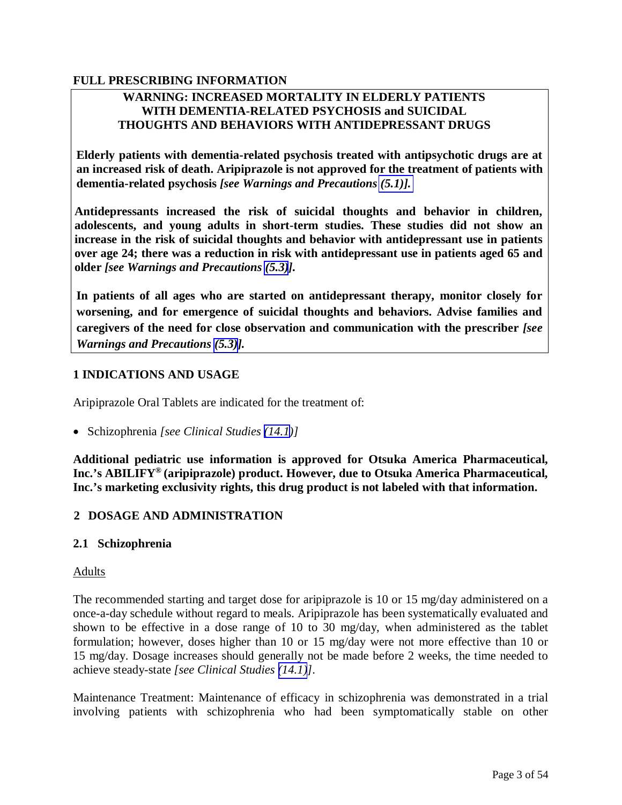### <span id="page-2-1"></span>**FULL PRESCRIBING INFORMATION**

### <span id="page-2-0"></span>**WARNING: INCREASED MORTALITY IN ELDERLY PATIENTS WITH DEMENTIA-RELATED PSYCHOSIS and SUICIDAL THOUGHTS AND BEHAVIORS WITH ANTIDEPRESSANT DRUGS**

**Elderly patients with dementia-related psychosis treated with antipsychotic drugs are at an increased risk of death. Aripiprazole is not approved for the treatment of patients with dementia-related psychosis** *[see Warnings and Precautions [\(5.1\)\].](#page-5-1)* 

**Antidepressants increased the risk of suicidal thoughts and behavior in children, adolescents, and young adults in short-term studies. These studies did not show an increase in the risk of suicidal thoughts and behavior with antidepressant use in patients over age 24; there was a reduction in risk with antidepressant use in patients aged 65 and older** *[see Warnings and Precautions [\(5.3\)](#page-5-0)].* 

**In patients of all ages who are started on antidepressant therapy, monitor closely for worsening, and for emergence of suicidal thoughts and behaviors. Advise families and caregivers of the need for close observation and communication with the prescriber** *[see Warnings and Precautions [\(5.3\)](#page-5-0)].*

### **1 INDICATIONS AND USAGE**

Aripiprazole Oral Tablets are indicated for the treatment of:

Schizophrenia *[see Clinical Studies [\(14.1](#page-38-0))]* 

**Additional pediatric use information is approved for Otsuka America Pharmaceutical, Inc.'s ABILIFY® (aripiprazole) product. However, due to Otsuka America Pharmaceutical, Inc.'s marketing exclusivity rights, this drug product is not labeled with that information.**

### **2 DOSAGE AND ADMINISTRATION**

#### **2.1 Schizophrenia**

#### Adults

The recommended starting and target dose for aripiprazole is 10 or 15 mg/day administered on a once-a-day schedule without regard to meals. Aripiprazole has been systematically evaluated and shown to be effective in a dose range of 10 to 30 mg/day, when administered as the tablet formulation; however, doses higher than 10 or 15 mg/day were not more effective than 10 or 15 mg/day. Dosage increases should generally not be made before 2 weeks, the time needed to achieve steady-state *[see Clinical Studies [\(14.1\)](#page-38-0)]*.

Maintenance Treatment: Maintenance of efficacy in schizophrenia was demonstrated in a trial involving patients with schizophrenia who had been symptomatically stable on other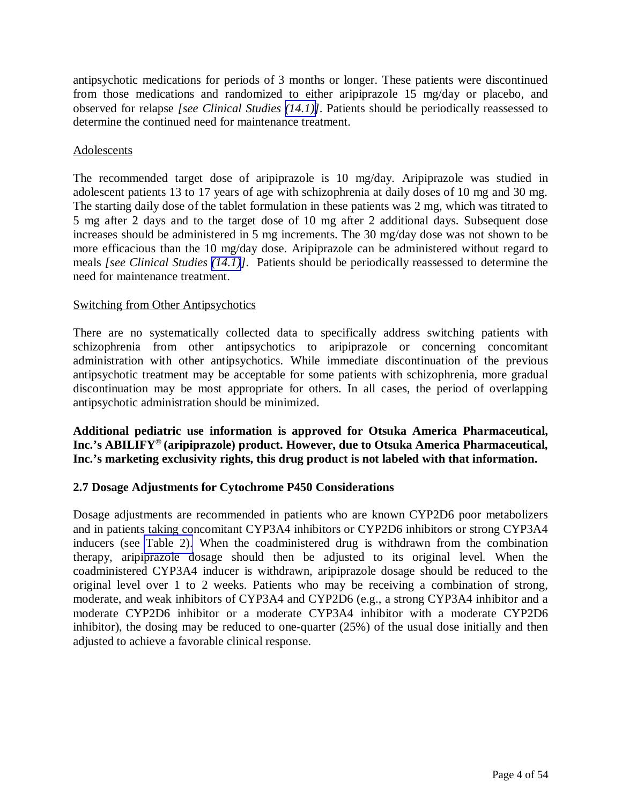<span id="page-3-2"></span><span id="page-3-1"></span><span id="page-3-0"></span>antipsychotic medications for periods of 3 months or longer. These patients were discontinued from those medications and randomized to either aripiprazole 15 mg/day or placebo, and observed for relapse *[see Clinical Studies [\(14.1\)\]](#page-38-0)*. Patients should be periodically reassessed to determine the continued need for maintenance treatment.

### Adolescents

The recommended target dose of aripiprazole is 10 mg/day. Aripiprazole was studied in adolescent patients 13 to 17 years of age with schizophrenia at daily doses of 10 mg and 30 mg. The starting daily dose of the tablet formulation in these patients was 2 mg, which was titrated to 5 mg after 2 days and to the target dose of 10 mg after 2 additional days. Subsequent dose increases should be administered in 5 mg increments. The 30 mg/day dose was not shown to be more efficacious than the 10 mg/day dose. Aripiprazole can be administered without regard to meals *[see Clinical Studies [\(14.1\)](#page-38-0)]*. Patients should be periodically reassessed to determine the need for maintenance treatment.

### Switching from Other Antipsychotics

There are no systematically collected data to specifically address switching patients with schizophrenia from other antipsychotics to aripiprazole or concerning concomitant administration with other antipsychotics. While immediate discontinuation of the previous antipsychotic treatment may be acceptable for some patients with schizophrenia, more gradual discontinuation may be most appropriate for others. In all cases, the period of overlapping antipsychotic administration should be minimized.

**Additional pediatric use information is approved for Otsuka America Pharmaceutical, Inc.'s ABILIFY® (aripiprazole) product. However, due to Otsuka America Pharmaceutical, Inc.'s marketing exclusivity rights, this drug product is not labeled with that information.** 

### **2.7 Dosage Adjustments for Cytochrome P450 Considerations**

Dosage adjustments are recommended in patients who are known CYP2D6 poor metabolizers and in patients taking concomitant CYP3A4 inhibitors or CYP2D6 inhibitors or strong CYP3A4 inducers (see [Table 2\).](#page-4-0) When the coadministered drug is withdrawn from the combination therapy, aripiprazole dosage should then be adjusted to its original level. When the coadministered CYP3A4 inducer is withdrawn, aripiprazole dosage should be reduced to the original level over 1 to 2 weeks. Patients who may be receiving a combination of strong, moderate, and weak inhibitors of CYP3A4 and CYP2D6 (e.g., a strong CYP3A4 inhibitor and a moderate CYP2D6 inhibitor or a moderate CYP3A4 inhibitor with a moderate CYP2D6 inhibitor), the dosing may be reduced to one-quarter (25%) of the usual dose initially and then adjusted to achieve a favorable clinical response.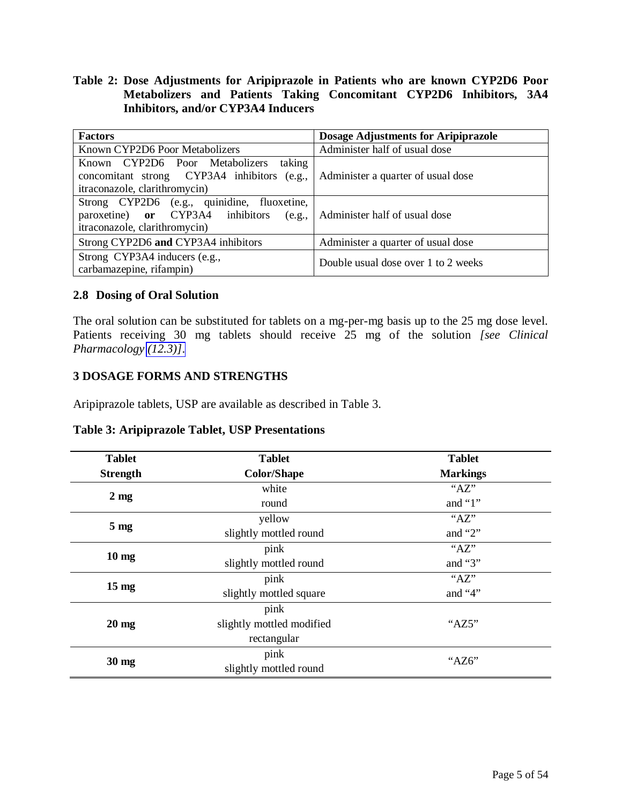### <span id="page-4-1"></span><span id="page-4-0"></span>**Table 2: Dose Adjustments for Aripiprazole in Patients who are known CYP2D6 Poor Metabolizers and Patients Taking Concomitant CYP2D6 Inhibitors, 3A4 Inhibitors, and/or CYP3A4 Inducers**

| <b>Factors</b>                                                                                                           | <b>Dosage Adjustments for Aripiprazole</b> |  |
|--------------------------------------------------------------------------------------------------------------------------|--------------------------------------------|--|
| Known CYP2D6 Poor Metabolizers                                                                                           | Administer half of usual dose              |  |
| taking<br>Known CYP2D6 Poor Metabolizers<br>concomitant strong CYP3A4 inhibitors (e.g.,<br>itraconazole, clarithromycin) | Administer a quarter of usual dose         |  |
| Strong CYP2D6 (e.g., quinidine, fluoxetine,<br>paroxetine) or CYP3A4 inhibitors (e.g.,<br>itraconazole, clarithromycin)  | Administer half of usual dose              |  |
| Strong CYP2D6 and CYP3A4 inhibitors                                                                                      | Administer a quarter of usual dose         |  |
| Strong CYP3A4 inducers (e.g.,<br>carbamazepine, rifampin)                                                                | Double usual dose over 1 to 2 weeks        |  |

### **2.8 Dosing of Oral Solution**

The oral solution can be substituted for tablets on a mg-per-mg basis up to the 25 mg dose level. Patients receiving 30 mg tablets should receive 25 mg of the solution *[see Clinical Pharmacology [\(12.3\)\]](#page-33-0)*.

### **3 DOSAGE FORMS AND STRENGTHS**

Aripiprazole tablets, USP are available as described in Table 3.

| <b>Tablet</b>   | <b>Tablet</b>             | <b>Tablet</b>   |
|-----------------|---------------------------|-----------------|
| <b>Strength</b> | <b>Color/Shape</b>        | <b>Markings</b> |
| $2 \text{ mg}$  | white                     | "AZ"            |
|                 | round                     | and " $1$ "     |
|                 | yellow                    | "AZ"            |
| 5 <sub>mg</sub> | slightly mottled round    | and " $2$ "     |
|                 | pink                      | " $AZ$ "        |
| $10 \text{ mg}$ | slightly mottled round    | and "3"         |
|                 | pink                      | "AZ"            |
| $15 \text{ mg}$ | slightly mottled square   | and "4"         |
|                 | pink                      |                 |
| $20 \text{ mg}$ | slightly mottled modified | " $AZ5"$        |
|                 | rectangular               |                 |
| $30 \text{ mg}$ | pink                      | " $AZ6"$        |
|                 | slightly mottled round    |                 |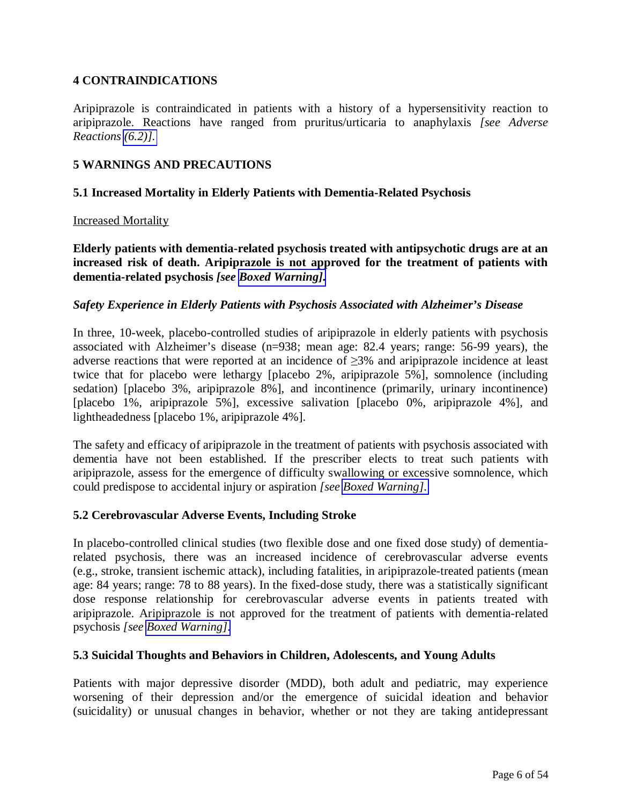### <span id="page-5-2"></span><span id="page-5-1"></span><span id="page-5-0"></span>**4 CONTRAINDICATIONS**

Aripiprazole is contraindicated in patients with a history of a hypersensitivity reaction to aripiprazole. Reactions have ranged from pruritus/urticaria to anaphylaxis *[see Adverse Reactions [\(6.2\)\].](#page-25-0)* 

### **5 WARNINGS AND PRECAUTIONS**

#### **5.1 Increased Mortality in Elderly Patients with Dementia-Related Psychosis**

#### Increased Mortality

**Elderly patients with dementia-related psychosis treated with antipsychotic drugs are at an increased risk of death. Aripiprazole is not approved for the treatment of patients with dementia-related psychosis** *[see [Boxed Warning\].](#page-2-0)*

#### *Safety Experience in Elderly Patients with Psychosis Associated with Alzheimer's Disease*

In three, 10-week, placebo-controlled studies of aripiprazole in elderly patients with psychosis associated with Alzheimer's disease (n=938; mean age: 82.4 years; range: 56-99 years), the adverse reactions that were reported at an incidence of  $\geq$ 3% and aripiprazole incidence at least twice that for placebo were lethargy [placebo 2%, aripiprazole 5%], somnolence (including sedation) [placebo 3%, aripiprazole 8%], and incontinence (primarily, urinary incontinence) [placebo 1%, aripiprazole 5%], excessive salivation [placebo 0%, aripiprazole 4%], and lightheadedness [placebo 1%, aripiprazole 4%].

The safety and efficacy of aripiprazole in the treatment of patients with psychosis associated with dementia have not been established. If the prescriber elects to treat such patients with aripiprazole, assess for the emergence of difficulty swallowing or excessive somnolence, which could predispose to accidental injury or aspiration *[see [Boxed Warning\].](#page-2-0)* 

### **5.2 Cerebrovascular Adverse Events, Including Stroke**

In placebo-controlled clinical studies (two flexible dose and one fixed dose study) of dementiarelated psychosis, there was an increased incidence of cerebrovascular adverse events (e.g., stroke, transient ischemic attack), including fatalities, in aripiprazole-treated patients (mean age: 84 years; range: 78 to 88 years). In the fixed-dose study, there was a statistically significant dose response relationship for cerebrovascular adverse events in patients treated with aripiprazole. Aripiprazole is not approved for the treatment of patients with dementia-related psychosis *[see [Boxed Warning\].](#page-2-0)* 

#### **5.3 Suicidal Thoughts and Behaviors in Children, Adolescents, and Young Adults**

Patients with major depressive disorder (MDD), both adult and pediatric, may experience worsening of their depression and/or the emergence of suicidal ideation and behavior (suicidality) or unusual changes in behavior, whether or not they are taking antidepressant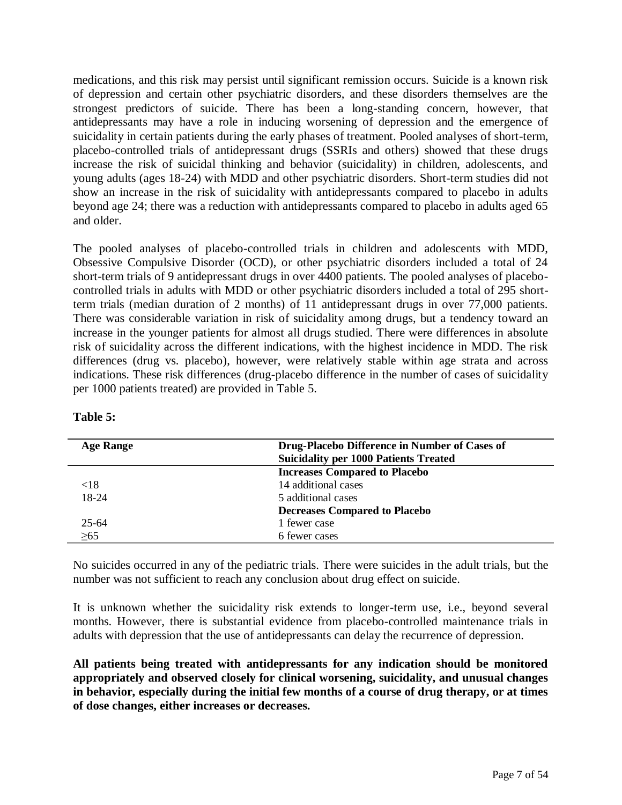medications, and this risk may persist until significant remission occurs. Suicide is a known risk of depression and certain other psychiatric disorders, and these disorders themselves are the strongest predictors of suicide. There has been a long-standing concern, however, that antidepressants may have a role in inducing worsening of depression and the emergence of suicidality in certain patients during the early phases of treatment. Pooled analyses of short-term, placebo-controlled trials of antidepressant drugs (SSRIs and others) showed that these drugs increase the risk of suicidal thinking and behavior (suicidality) in children, adolescents, and young adults (ages 18-24) with MDD and other psychiatric disorders. Short-term studies did not show an increase in the risk of suicidality with antidepressants compared to placebo in adults beyond age 24; there was a reduction with antidepressants compared to placebo in adults aged 65 and older.

The pooled analyses of placebo-controlled trials in children and adolescents with MDD, Obsessive Compulsive Disorder (OCD), or other psychiatric disorders included a total of 24 short-term trials of 9 antidepressant drugs in over 4400 patients. The pooled analyses of placebocontrolled trials in adults with MDD or other psychiatric disorders included a total of 295 shortterm trials (median duration of 2 months) of 11 antidepressant drugs in over 77,000 patients. There was considerable variation in risk of suicidality among drugs, but a tendency toward an increase in the younger patients for almost all drugs studied. There were differences in absolute risk of suicidality across the different indications, with the highest incidence in MDD. The risk differences (drug vs. placebo), however, were relatively stable within age strata and across indications. These risk differences (drug-placebo difference in the number of cases of suicidality per 1000 patients treated) are provided in Table 5.

| <b>Age Range</b> | Drug-Placebo Difference in Number of Cases of<br><b>Suicidality per 1000 Patients Treated</b> |
|------------------|-----------------------------------------------------------------------------------------------|
|                  | <b>Increases Compared to Placebo</b>                                                          |
| <18              | 14 additional cases                                                                           |
| 18-24            | 5 additional cases                                                                            |
|                  | <b>Decreases Compared to Placebo</b>                                                          |
| $25 - 64$        | 1 fewer case                                                                                  |
| >65              | 6 fewer cases                                                                                 |

| l'able |  |
|--------|--|
|--------|--|

No suicides occurred in any of the pediatric trials. There were suicides in the adult trials, but the number was not sufficient to reach any conclusion about drug effect on suicide.

It is unknown whether the suicidality risk extends to longer-term use, i.e., beyond several months. However, there is substantial evidence from placebo-controlled maintenance trials in adults with depression that the use of antidepressants can delay the recurrence of depression.

**All patients being treated with antidepressants for any indication should be monitored appropriately and observed closely for clinical worsening, suicidality, and unusual changes in behavior, especially during the initial few months of a course of drug therapy, or at times of dose changes, either increases or decreases.**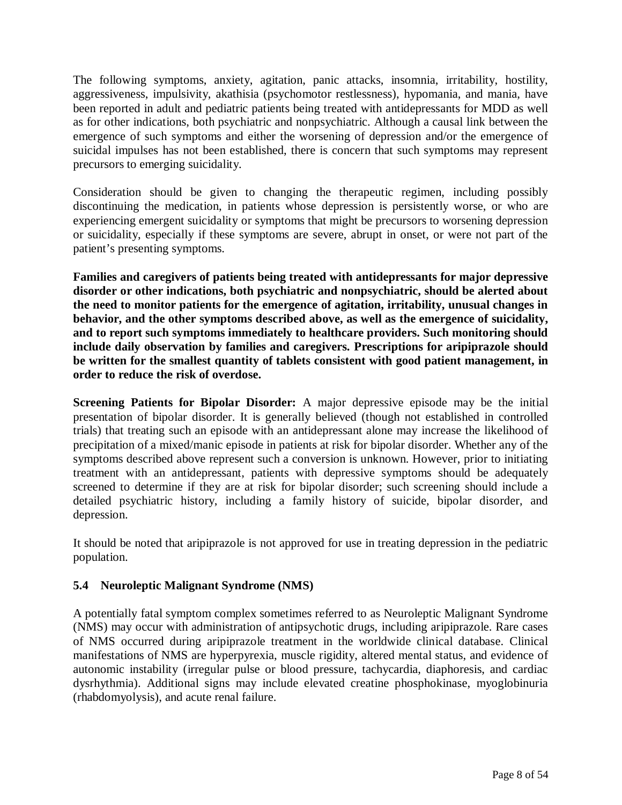<span id="page-7-1"></span><span id="page-7-0"></span>The following symptoms, anxiety, agitation, panic attacks, insomnia, irritability, hostility, aggressiveness, impulsivity, akathisia (psychomotor restlessness), hypomania, and mania, have been reported in adult and pediatric patients being treated with antidepressants for MDD as well as for other indications, both psychiatric and nonpsychiatric. Although a causal link between the emergence of such symptoms and either the worsening of depression and/or the emergence of suicidal impulses has not been established, there is concern that such symptoms may represent precursors to emerging suicidality.

Consideration should be given to changing the therapeutic regimen, including possibly discontinuing the medication, in patients whose depression is persistently worse, or who are experiencing emergent suicidality or symptoms that might be precursors to worsening depression or suicidality, especially if these symptoms are severe, abrupt in onset, or were not part of the patient's presenting symptoms.

**Families and caregivers of patients being treated with antidepressants for major depressive disorder or other indications, both psychiatric and nonpsychiatric, should be alerted about the need to monitor patients for the emergence of agitation, irritability, unusual changes in behavior, and the other symptoms described above, as well as the emergence of suicidality, and to report such symptoms immediately to healthcare providers. Such monitoring should include daily observation by families and caregivers. Prescriptions for aripiprazole should be written for the smallest quantity of tablets consistent with good patient management, in order to reduce the risk of overdose.** 

**Screening Patients for Bipolar Disorder:** A major depressive episode may be the initial presentation of bipolar disorder. It is generally believed (though not established in controlled trials) that treating such an episode with an antidepressant alone may increase the likelihood of precipitation of a mixed/manic episode in patients at risk for bipolar disorder. Whether any of the symptoms described above represent such a conversion is unknown. However, prior to initiating treatment with an antidepressant, patients with depressive symptoms should be adequately screened to determine if they are at risk for bipolar disorder; such screening should include a detailed psychiatric history, including a family history of suicide, bipolar disorder, and depression.

It should be noted that aripiprazole is not approved for use in treating depression in the pediatric population.

### **5.4 Neuroleptic Malignant Syndrome (NMS)**

A potentially fatal symptom complex sometimes referred to as Neuroleptic Malignant Syndrome (NMS) may occur with administration of antipsychotic drugs, including aripiprazole. Rare cases of NMS occurred during aripiprazole treatment in the worldwide clinical database. Clinical manifestations of NMS are hyperpyrexia, muscle rigidity, altered mental status, and evidence of autonomic instability (irregular pulse or blood pressure, tachycardia, diaphoresis, and cardiac dysrhythmia). Additional signs may include elevated creatine phosphokinase, myoglobinuria (rhabdomyolysis), and acute renal failure.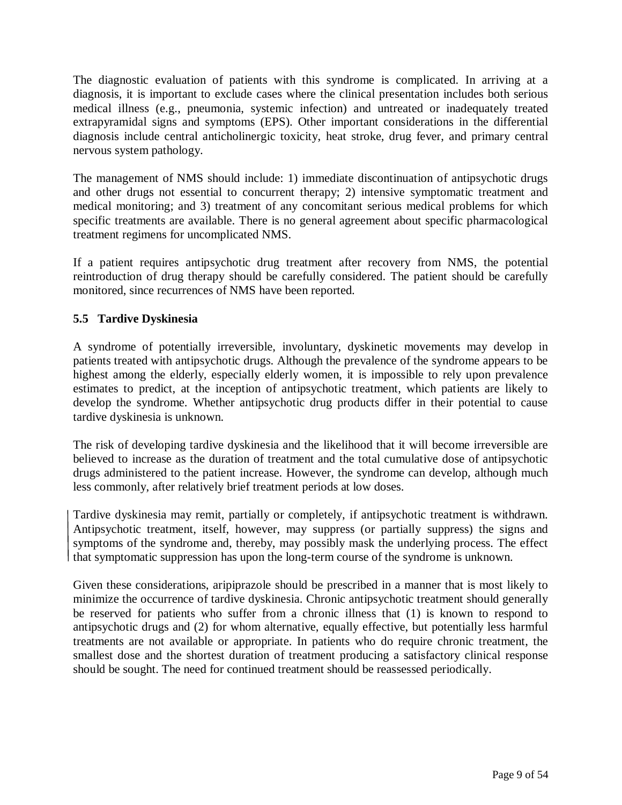<span id="page-8-2"></span><span id="page-8-1"></span><span id="page-8-0"></span>The diagnostic evaluation of patients with this syndrome is complicated. In arriving at a diagnosis, it is important to exclude cases where the clinical presentation includes both serious medical illness (e.g., pneumonia, systemic infection) and untreated or inadequately treated extrapyramidal signs and symptoms (EPS). Other important considerations in the differential diagnosis include central anticholinergic toxicity, heat stroke, drug fever, and primary central nervous system pathology.

The management of NMS should include: 1) immediate discontinuation of antipsychotic drugs and other drugs not essential to concurrent therapy; 2) intensive symptomatic treatment and medical monitoring; and 3) treatment of any concomitant serious medical problems for which specific treatments are available. There is no general agreement about specific pharmacological treatment regimens for uncomplicated NMS.

If a patient requires antipsychotic drug treatment after recovery from NMS, the potential reintroduction of drug therapy should be carefully considered. The patient should be carefully monitored, since recurrences of NMS have been reported.

# **5.5 Tardive Dyskinesia**

A syndrome of potentially irreversible, involuntary, dyskinetic movements may develop in patients treated with antipsychotic drugs. Although the prevalence of the syndrome appears to be highest among the elderly, especially elderly women, it is impossible to rely upon prevalence estimates to predict, at the inception of antipsychotic treatment, which patients are likely to develop the syndrome. Whether antipsychotic drug products differ in their potential to cause tardive dyskinesia is unknown.

The risk of developing tardive dyskinesia and the likelihood that it will become irreversible are believed to increase as the duration of treatment and the total cumulative dose of antipsychotic drugs administered to the patient increase. However, the syndrome can develop, although much less commonly, after relatively brief treatment periods at low doses.

Tardive dyskinesia may remit, partially or completely, if antipsychotic treatment is withdrawn. Antipsychotic treatment, itself, however, may suppress (or partially suppress) the signs and symptoms of the syndrome and, thereby, may possibly mask the underlying process. The effect that symptomatic suppression has upon the long-term course of the syndrome is unknown.

Given these considerations, aripiprazole should be prescribed in a manner that is most likely to minimize the occurrence of tardive dyskinesia. Chronic antipsychotic treatment should generally be reserved for patients who suffer from a chronic illness that (1) is known to respond to antipsychotic drugs and (2) for whom alternative, equally effective, but potentially less harmful treatments are not available or appropriate. In patients who do require chronic treatment, the smallest dose and the shortest duration of treatment producing a satisfactory clinical response should be sought. The need for continued treatment should be reassessed periodically.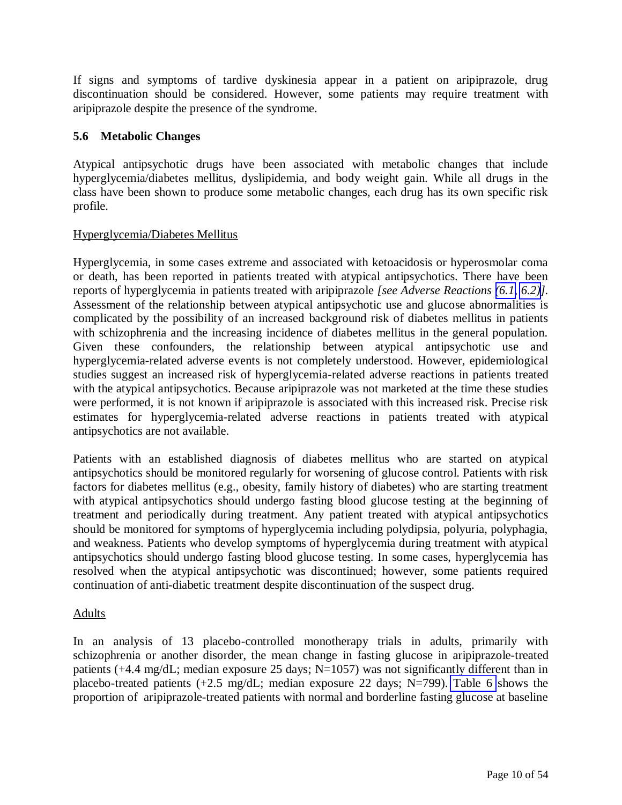<span id="page-9-1"></span><span id="page-9-0"></span>If signs and symptoms of tardive dyskinesia appear in a patient on aripiprazole, drug discontinuation should be considered. However, some patients may require treatment with aripiprazole despite the presence of the syndrome.

### **5.6 Metabolic Changes**

Atypical antipsychotic drugs have been associated with metabolic changes that include hyperglycemia/diabetes mellitus, dyslipidemia, and body weight gain. While all drugs in the class have been shown to produce some metabolic changes, each drug has its own specific risk profile.

### Hyperglycemia/Diabetes Mellitus

Hyperglycemia, in some cases extreme and associated with ketoacidosis or hyperosmolar coma or death, has been reported in patients treated with atypical antipsychotics. There have been reports of hyperglycemia in patients treated with aripiprazole *[see Adverse Reactions [\(6.1,](#page-17-0) [6.2\)](#page-25-0)].*  Assessment of the relationship between atypical antipsychotic use and glucose abnormalities is complicated by the possibility of an increased background risk of diabetes mellitus in patients with schizophrenia and the increasing incidence of diabetes mellitus in the general population. Given these confounders, the relationship between atypical antipsychotic use and hyperglycemia-related adverse events is not completely understood. However, epidemiological studies suggest an increased risk of hyperglycemia-related adverse reactions in patients treated with the atypical antipsychotics. Because aripiprazole was not marketed at the time these studies were performed, it is not known if aripiprazole is associated with this increased risk. Precise risk estimates for hyperglycemia-related adverse reactions in patients treated with atypical antipsychotics are not available.

Patients with an established diagnosis of diabetes mellitus who are started on atypical antipsychotics should be monitored regularly for worsening of glucose control. Patients with risk factors for diabetes mellitus (e.g., obesity, family history of diabetes) who are starting treatment with atypical antipsychotics should undergo fasting blood glucose testing at the beginning of treatment and periodically during treatment. Any patient treated with atypical antipsychotics should be monitored for symptoms of hyperglycemia including polydipsia, polyuria, polyphagia, and weakness. Patients who develop symptoms of hyperglycemia during treatment with atypical antipsychotics should undergo fasting blood glucose testing. In some cases, hyperglycemia has resolved when the atypical antipsychotic was discontinued; however, some patients required continuation of anti-diabetic treatment despite discontinuation of the suspect drug.

### Adults

In an analysis of 13 placebo-controlled monotherapy trials in adults, primarily with schizophrenia or another disorder, the mean change in fasting glucose in aripiprazole-treated patients (+4.4 mg/dL; median exposure 25 days; N=1057) was not significantly different than in placebo-treated patients  $(+2.5 \text{ mg/dL})$ ; median exposure 22 days; N=799). [Table 6](#page-10-0) shows the proportion of aripiprazole-treated patients with normal and borderline fasting glucose at baseline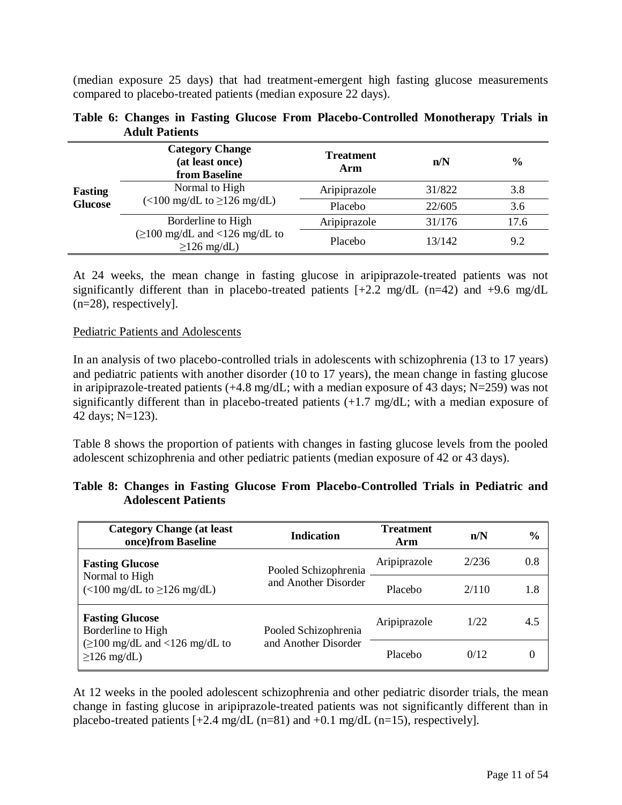<span id="page-10-0"></span>(median exposure 25 days) that had treatment-emergent high fasting glucose measurements compared to placebo-treated patients (median exposure 22 days).

| <b>Fasting</b><br><b>Glucose</b> | <b>Category Change</b><br>(at least once)<br>from Baseline | <b>Treatment</b><br>Arm | n/N    | $\frac{0}{0}$ |
|----------------------------------|------------------------------------------------------------|-------------------------|--------|---------------|
|                                  | Normal to High<br>$\left($ <100 mg/dL to $\geq$ 126 mg/dL) | Aripiprazole            | 31/822 | 3.8           |
|                                  |                                                            | Placebo                 | 22/605 | 3.6           |
|                                  | Borderline to High                                         | Aripiprazole            | 31/176 | 17.6          |
|                                  | $\geq$ 100 mg/dL and <126 mg/dL to<br>$\geq$ 126 mg/dL)    | Placebo                 | 13/142 | 9.2           |

|                       |  |  | Table 6: Changes in Fasting Glucose From Placebo-Controlled Monotherapy Trials in |  |
|-----------------------|--|--|-----------------------------------------------------------------------------------|--|
| <b>Adult Patients</b> |  |  |                                                                                   |  |

At 24 weeks, the mean change in fasting glucose in aripiprazole-treated patients was not significantly different than in placebo-treated patients  $[+2.2 \text{ mg/dL} (n=42)$  and  $+9.6 \text{ mg/dL}$ (n=28), respectively].

#### Pediatric Patients and Adolescents

In an analysis of two placebo-controlled trials in adolescents with schizophrenia (13 to 17 years) and pediatric patients with another disorder (10 to 17 years), the mean change in fasting glucose in aripiprazole-treated patients (+4.8 mg/dL; with a median exposure of 43 days; N=259) was not significantly different than in placebo-treated patients (+1.7 mg/dL; with a median exposure of 42 days; N=123).

Table 8 shows the proportion of patients with changes in fasting glucose levels from the pooled adolescent schizophrenia and other pediatric patients (median exposure of 42 or 43 days).

|                            |  | Table 8: Changes in Fasting Glucose From Placebo-Controlled Trials in Pediatric and |  |
|----------------------------|--|-------------------------------------------------------------------------------------|--|
| <b>Adolescent Patients</b> |  |                                                                                     |  |

| <b>Category Change (at least</b><br>once)from Baseline     | <b>Indication</b>                            | <b>Treatment</b><br>Arm | n/N   | $\frac{6}{6}$ |
|------------------------------------------------------------|----------------------------------------------|-------------------------|-------|---------------|
| <b>Fasting Glucose</b>                                     | Pooled Schizophrenia                         | Aripiprazole            | 2/236 | 0.8           |
| Normal to High<br>$\left($ <100 mg/dL to $\geq$ 126 mg/dL) | and Another Disorder                         | Placebo                 | 2/110 | 1.8           |
| <b>Fasting Glucose</b><br>Borderline to High               | Pooled Schizophrenia<br>and Another Disorder | Aripiprazole            | 1/22  | 4.5           |
| $\geq$ 100 mg/dL and <126 mg/dL to<br>$\geq$ 126 mg/dL)    |                                              | Placebo                 | 0/12  | $\Omega$      |

At 12 weeks in the pooled adolescent schizophrenia and other pediatric disorder trials, the mean change in fasting glucose in aripiprazole-treated patients was not significantly different than in placebo-treated patients [+2.4 mg/dL (n=81) and +0.1 mg/dL (n=15), respectively].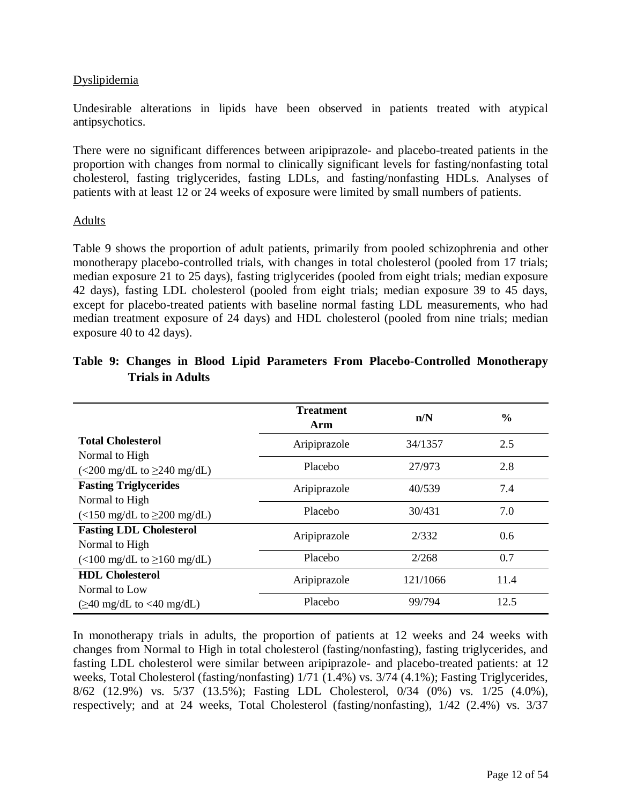### Dyslipidemia

Undesirable alterations in lipids have been observed in patients treated with atypical antipsychotics.

There were no significant differences between aripiprazole- and placebo-treated patients in the proportion with changes from normal to clinically significant levels for fasting/nonfasting total cholesterol, fasting triglycerides, fasting LDLs, and fasting/nonfasting HDLs. Analyses of patients with at least 12 or 24 weeks of exposure were limited by small numbers of patients.

#### Adults

Table 9 shows the proportion of adult patients, primarily from pooled schizophrenia and other monotherapy placebo-controlled trials, with changes in total cholesterol (pooled from 17 trials; median exposure 21 to 25 days), fasting triglycerides (pooled from eight trials; median exposure 42 days), fasting LDL cholesterol (pooled from eight trials; median exposure 39 to 45 days, except for placebo-treated patients with baseline normal fasting LDL measurements, who had median treatment exposure of 24 days) and HDL cholesterol (pooled from nine trials; median exposure 40 to 42 days).

|                                                 | <b>Treatment</b><br>Arm | n/N      | $\frac{0}{0}$ |
|-------------------------------------------------|-------------------------|----------|---------------|
| <b>Total Cholesterol</b>                        | Aripiprazole            | 34/1357  | 2.5           |
| Normal to High                                  |                         |          |               |
| $\left($ <200 mg/dL to $\geq$ 240 mg/dL)        | Placebo                 | 27/973   | 2.8           |
| <b>Fasting Triglycerides</b>                    | Aripiprazole            | 40/539   | 7.4           |
| Normal to High                                  |                         |          |               |
| $\left($ <150 mg/dL to $\geq$ 200 mg/dL)        | Placebo                 | 30/431   | 7.0           |
| <b>Fasting LDL Cholesterol</b>                  | Aripiprazole            | 2/332    | 0.6           |
| Normal to High                                  |                         |          |               |
| $\left($ <100 mg/dL to $\geq$ 160 mg/dL)        | Placebo                 | 2/268    | 0.7           |
| <b>HDL Cholesterol</b>                          | Aripiprazole            | 121/1066 | 11.4          |
| Normal to Low                                   |                         |          |               |
| $(\geq 40 \text{ mg/dL to} < 40 \text{ mg/dL})$ | Placebo                 | 99/794   | 12.5          |

# **Table 9: Changes in Blood Lipid Parameters From Placebo-Controlled Monotherapy Trials in Adults**

In monotherapy trials in adults, the proportion of patients at 12 weeks and 24 weeks with changes from Normal to High in total cholesterol (fasting/nonfasting), fasting triglycerides, and fasting LDL cholesterol were similar between aripiprazole- and placebo-treated patients: at 12 weeks, Total Cholesterol (fasting/nonfasting) 1/71 (1.4%) vs. 3/74 (4.1%); Fasting Triglycerides, 8/62 (12.9%) vs. 5/37 (13.5%); Fasting LDL Cholesterol, 0/34 (0%) vs. 1/25 (4.0%), respectively; and at 24 weeks, Total Cholesterol (fasting/nonfasting), 1/42 (2.4%) vs. 3/37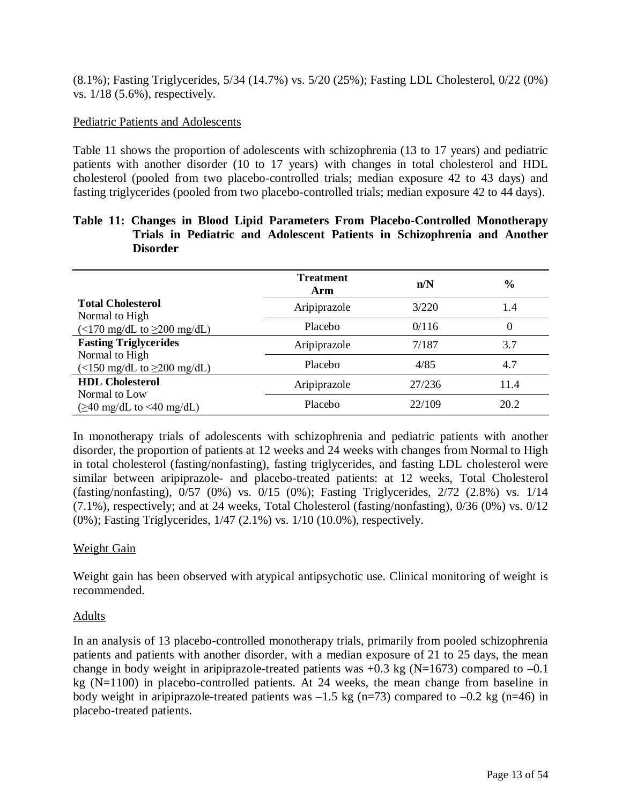(8.1%); Fasting Triglycerides, 5/34 (14.7%) vs. 5/20 (25%); Fasting LDL Cholesterol, 0/22 (0%) vs. 1/18 (5.6%), respectively.

#### Pediatric Patients and Adolescents

Table 11 shows the proportion of adolescents with schizophrenia (13 to 17 years) and pediatric patients with another disorder (10 to 17 years) with changes in total cholesterol and HDL cholesterol (pooled from two placebo-controlled trials; median exposure 42 to 43 days) and fasting triglycerides (pooled from two placebo-controlled trials; median exposure 42 to 44 days).

### **Table 11: Changes in Blood Lipid Parameters From Placebo-Controlled Monotherapy Trials in Pediatric and Adolescent Patients in Schizophrenia and Another Disorder**

|                                                                     | <b>Treatment</b><br>Arm | n/N    | $\frac{6}{6}$ |
|---------------------------------------------------------------------|-------------------------|--------|---------------|
| <b>Total Cholesterol</b><br>Normal to High                          | Aripiprazole            | 3/220  | 1.4           |
| $\left(\langle 170 \text{ mg/dL to } \geq 200 \text{ mg/dL}\right)$ | Placebo                 | 0/116  | 0             |
| <b>Fasting Triglycerides</b>                                        | Aripiprazole            | 7/187  | 3.7           |
| Normal to High<br>$\left($ <150 mg/dL to $\geq$ 200 mg/dL)          | Placebo                 | 4/85   | 4.7           |
| <b>HDL</b> Cholesterol                                              | Aripiprazole            | 27/236 | 11.4          |
| Normal to Low<br>$(\geq 40 \text{ mg/dL to} \leq 40 \text{ mg/dL})$ | Placebo                 | 22/109 | 20.2          |

In monotherapy trials of adolescents with schizophrenia and pediatric patients with another disorder, the proportion of patients at 12 weeks and 24 weeks with changes from Normal to High in total cholesterol (fasting/nonfasting), fasting triglycerides, and fasting LDL cholesterol were similar between aripiprazole- and placebo-treated patients: at 12 weeks, Total Cholesterol (fasting/nonfasting), 0/57 (0%) vs. 0/15 (0%); Fasting Triglycerides, 2/72 (2.8%) vs. 1/14 (7.1%), respectively; and at 24 weeks, Total Cholesterol (fasting/nonfasting), 0/36 (0%) vs. 0/12 (0%); Fasting Triglycerides, 1/47 (2.1%) vs. 1/10 (10.0%), respectively.

### Weight Gain

Weight gain has been observed with atypical antipsychotic use. Clinical monitoring of weight is recommended.

### Adults

In an analysis of 13 placebo-controlled monotherapy trials, primarily from pooled schizophrenia patients and patients with another disorder, with a median exposure of 21 to 25 days, the mean change in body weight in aripiprazole-treated patients was  $+0.3$  kg (N=1673) compared to  $-0.1$ kg (N=1100) in placebo-controlled patients. At 24 weeks, the mean change from baseline in body weight in aripiprazole-treated patients was  $-1.5$  kg (n=73) compared to  $-0.2$  kg (n=46) in placebo-treated patients.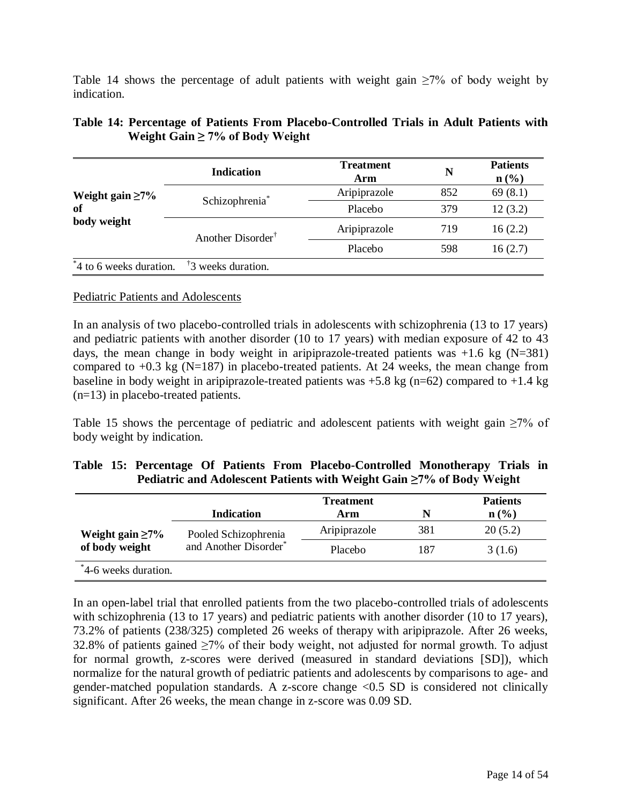Table 14 shows the percentage of adult patients with weight gain  $\geq 7\%$  of body weight by indication.

|                         | <b>Indication</b>                                           | <b>Treatment</b><br>Arm | N   | <b>Patients</b><br>$n\left(\frac{0}{0}\right)$ |
|-------------------------|-------------------------------------------------------------|-------------------------|-----|------------------------------------------------|
| Weight gain $\geq 7\%$  | Schizophrenia <sup>*</sup><br>Another Disorder <sup>†</sup> | Aripiprazole            | 852 | 69(8.1)                                        |
| of                      |                                                             | Placebo                 | 379 | 12(3.2)                                        |
| body weight             |                                                             | Aripiprazole            | 719 | 16(2.2)                                        |
|                         |                                                             | Placebo                 | 598 | 16(2.7)                                        |
| *4 to 6 weeks duration. | <sup>†</sup> 3 weeks duration.                              |                         |     |                                                |

### **Table 14: Percentage of Patients From Placebo-Controlled Trials in Adult Patients with Weight Gain ≥ 7% of Body Weight**

### Pediatric Patients and Adolescents

In an analysis of two placebo-controlled trials in adolescents with schizophrenia (13 to 17 years) and pediatric patients with another disorder (10 to 17 years) with median exposure of 42 to 43 days, the mean change in body weight in aripiprazole-treated patients was  $+1.6$  kg (N=381) compared to  $+0.3$  kg (N=187) in placebo-treated patients. At 24 weeks, the mean change from baseline in body weight in aripiprazole-treated patients was  $+5.8$  kg (n=62) compared to  $+1.4$  kg (n=13) in placebo-treated patients.

Table 15 shows the percentage of pediatric and adolescent patients with weight gain  $\geq$ 7% of body weight by indication.

|  |  |  | Table 15: Percentage Of Patients From Placebo-Controlled Monotherapy Trials in |  |  |
|--|--|--|--------------------------------------------------------------------------------|--|--|
|  |  |  | Pediatric and Adolescent Patients with Weight Gain $\geq 7\%$ of Body Weight   |  |  |

|                                          | <b>Treatment</b>                              |              |     | <b>Patients</b>             |  |
|------------------------------------------|-----------------------------------------------|--------------|-----|-----------------------------|--|
|                                          | Indication                                    | Arm          | N   | $n\left(\frac{0}{0}\right)$ |  |
| Weight gain $\geq 7\%$<br>of body weight | Pooled Schizophrenia<br>and Another Disorder* | Aripiprazole | 381 | 20(5.2)                     |  |
|                                          |                                               | Placebo      | 187 | 3(1.6)                      |  |
| *4-6 weeks duration.                     |                                               |              |     |                             |  |

In an open-label trial that enrolled patients from the two placebo-controlled trials of adolescents with schizophrenia (13 to 17 years) and pediatric patients with another disorder (10 to 17 years), 73.2% of patients (238/325) completed 26 weeks of therapy with aripiprazole. After 26 weeks, 32.8% of patients gained  $\geq$ 7% of their body weight, not adjusted for normal growth. To adjust for normal growth, z-scores were derived (measured in standard deviations [SD]), which normalize for the natural growth of pediatric patients and adolescents by comparisons to age- and gender-matched population standards. A z-score change <0.5 SD is considered not clinically significant. After 26 weeks, the mean change in z-score was 0.09 SD.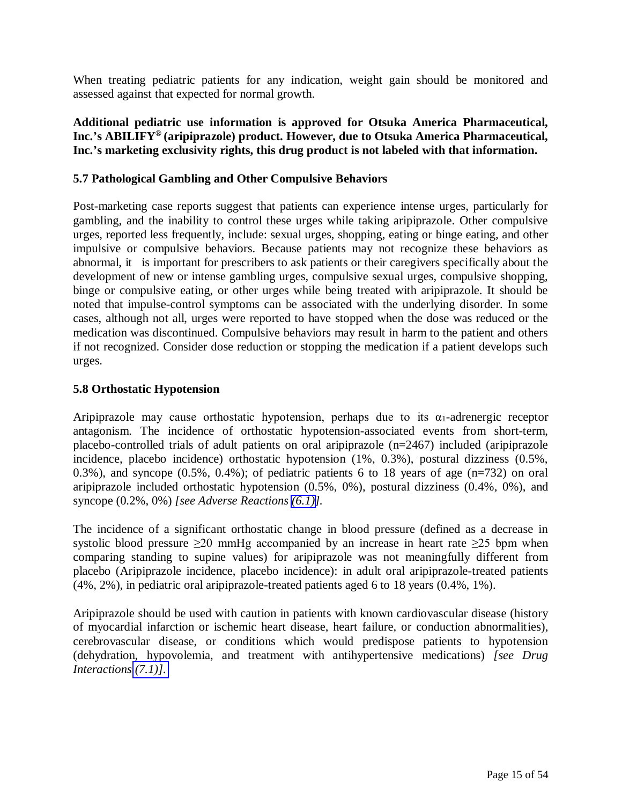<span id="page-14-2"></span><span id="page-14-1"></span><span id="page-14-0"></span>When treating pediatric patients for any indication, weight gain should be monitored and assessed against that expected for normal growth.

**Additional pediatric use information is approved for Otsuka America Pharmaceutical, Inc.'s ABILIFY® (aripiprazole) product. However, due to Otsuka America Pharmaceutical, Inc.'s marketing exclusivity rights, this drug product is not labeled with that information.** 

### **5.7 Pathological Gambling and Other Compulsive Behaviors**

Post-marketing case reports suggest that patients can experience intense urges, particularly for gambling, and the inability to control these urges while taking aripiprazole. Other compulsive urges, reported less frequently, include: sexual urges, shopping, eating or binge eating, and other impulsive or compulsive behaviors. Because patients may not recognize these behaviors as abnormal, it is important for prescribers to ask patients or their caregivers specifically about the development of new or intense gambling urges, compulsive sexual urges, compulsive shopping, binge or compulsive eating, or other urges while being treated with aripiprazole. It should be noted that impulse-control symptoms can be associated with the underlying disorder. In some cases, although not all, urges were reported to have stopped when the dose was reduced or the medication was discontinued. Compulsive behaviors may result in harm to the patient and others if not recognized. Consider dose reduction or stopping the medication if a patient develops such urges.

### **5.8 Orthostatic Hypotension**

Aripiprazole may cause orthostatic hypotension, perhaps due to its  $\alpha_1$ -adrenergic receptor antagonism. The incidence of orthostatic hypotension-associated events from short-term, placebo-controlled trials of adult patients on oral aripiprazole (n=2467) included (aripiprazole incidence, placebo incidence) orthostatic hypotension (1%, 0.3%), postural dizziness (0.5%, 0.3%), and syncope  $(0.5\%, 0.4\%)$ ; of pediatric patients 6 to 18 years of age  $(n=732)$  on oral aripiprazole included orthostatic hypotension (0.5%, 0%), postural dizziness (0.4%, 0%), and syncope (0.2%, 0%) *[see Adverse Reactions [\(6.1\)](#page-17-0)].*

The incidence of a significant orthostatic change in blood pressure (defined as a decrease in systolic blood pressure >20 mmHg accompanied by an increase in heart rate >25 bpm when comparing standing to supine values) for aripiprazole was not meaningfully different from placebo (Aripiprazole incidence, placebo incidence): in adult oral aripiprazole-treated patients (4%, 2%), in pediatric oral aripiprazole-treated patients aged 6 to 18 years (0.4%, 1%).

Aripiprazole should be used with caution in patients with known cardiovascular disease (history of myocardial infarction or ischemic heart disease, heart failure, or conduction abnormalities), cerebrovascular disease, or conditions which would predispose patients to hypotension (dehydration, hypovolemia, and treatment with antihypertensive medications) *[see Drug Interactions [\(7.1\)\].](#page-25-0)*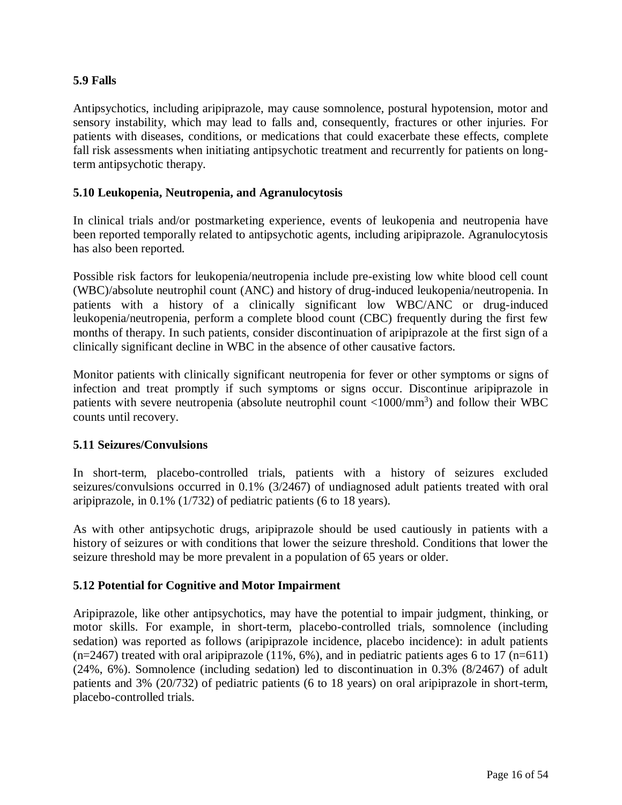### <span id="page-15-2"></span><span id="page-15-1"></span><span id="page-15-0"></span>**5.9 Falls**

Antipsychotics, including aripiprazole, may cause somnolence, postural hypotension, motor and sensory instability, which may lead to falls and, consequently, fractures or other injuries. For patients with diseases, conditions, or medications that could exacerbate these effects, complete fall risk assessments when initiating antipsychotic treatment and recurrently for patients on longterm antipsychotic therapy.

### **5.10 Leukopenia, Neutropenia, and Agranulocytosis**

In clinical trials and/or postmarketing experience, events of leukopenia and neutropenia have been reported temporally related to antipsychotic agents, including aripiprazole. Agranulocytosis has also been reported.

Possible risk factors for leukopenia/neutropenia include pre-existing low white blood cell count (WBC)/absolute neutrophil count (ANC) and history of drug-induced leukopenia/neutropenia. In patients with a history of a clinically significant low WBC/ANC or drug-induced leukopenia/neutropenia, perform a complete blood count (CBC) frequently during the first few months of therapy. In such patients, consider discontinuation of aripiprazole at the first sign of a clinically significant decline in WBC in the absence of other causative factors.

Monitor patients with clinically significant neutropenia for fever or other symptoms or signs of infection and treat promptly if such symptoms or signs occur. Discontinue aripiprazole in patients with severe neutropenia (absolute neutrophil count <1000/mm<sup>3</sup>) and follow their WBC counts until recovery.

### **5.11 Seizures/Convulsions**

In short-term, placebo-controlled trials, patients with a history of seizures excluded seizures/convulsions occurred in 0.1% (3/2467) of undiagnosed adult patients treated with oral aripiprazole, in 0.1% (1/732) of pediatric patients (6 to 18 years).

As with other antipsychotic drugs, aripiprazole should be used cautiously in patients with a history of seizures or with conditions that lower the seizure threshold. Conditions that lower the seizure threshold may be more prevalent in a population of 65 years or older.

### **5.12 Potential for Cognitive and Motor Impairment**

Aripiprazole, like other antipsychotics, may have the potential to impair judgment, thinking, or motor skills. For example, in short-term, placebo-controlled trials, somnolence (including sedation) was reported as follows (aripiprazole incidence, placebo incidence): in adult patients  $(n=2467)$  treated with oral aripiprazole (11%, 6%), and in pediatric patients ages 6 to 17 (n=611) (24%, 6%). Somnolence (including sedation) led to discontinuation in 0.3% (8/2467) of adult patients and 3% (20/732) of pediatric patients (6 to 18 years) on oral aripiprazole in short-term, placebo-controlled trials.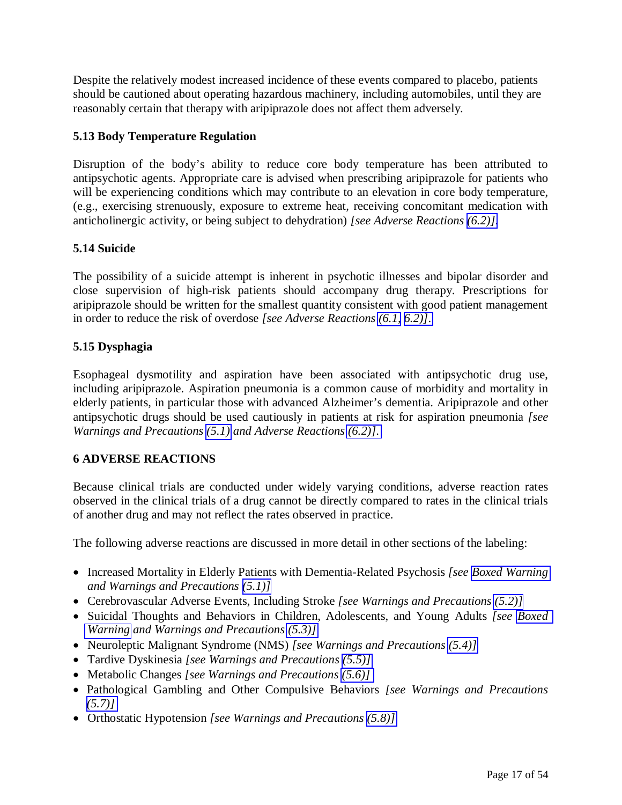<span id="page-16-2"></span><span id="page-16-1"></span><span id="page-16-0"></span>Despite the relatively modest increased incidence of these events compared to placebo, patients should be cautioned about operating hazardous machinery, including automobiles, until they are reasonably certain that therapy with aripiprazole does not affect them adversely.

### **5.13 Body Temperature Regulation**

Disruption of the body's ability to reduce core body temperature has been attributed to antipsychotic agents. Appropriate care is advised when prescribing aripiprazole for patients who will be experiencing conditions which may contribute to an elevation in core body temperature, (e.g., exercising strenuously, exposure to extreme heat, receiving concomitant medication with anticholinergic activity, or being subject to dehydration) *[see Adverse Reactions [\(6.2\)\].](#page-25-1)*

# **5.14 Suicide**

The possibility of a suicide attempt is inherent in psychotic illnesses and bipolar disorder and close supervision of high-risk patients should accompany drug therapy. Prescriptions for aripiprazole should be written for the smallest quantity consistent with good patient management in order to reduce the risk of overdose *[see Adverse Reactions [\(6.1,](#page-17-1) [6.2\)\]](#page-25-1)*.

# **5.15 Dysphagia**

Esophageal dysmotility and aspiration have been associated with antipsychotic drug use, including aripiprazole. Aspiration pneumonia is a common cause of morbidity and mortality in elderly patients, in particular those with advanced Alzheimer's dementia. Aripiprazole and other antipsychotic drugs should be used cautiously in patients at risk for aspiration pneumonia *[see Warnings and Precautions [\(5.1\)](#page-5-2) and Adverse Reactions [\(6.2\)\]](#page-25-1)*.

### **6 ADVERSE REACTIONS**

Because clinical trials are conducted under widely varying conditions, adverse reaction rates observed in the clinical trials of a drug cannot be directly compared to rates in the clinical trials of another drug and may not reflect the rates observed in practice.

The following adverse reactions are discussed in more detail in other sections of the labeling:

- Increased Mortality in Elderly Patients with Dementia-Related Psychosis *[see [Boxed Warning](#page-2-1)  and Warnings and Precautions [\(5.1\)\]](#page-5-2)*
- Cerebrovascular Adverse Events, Including Stroke *[see Warnings and Precautions [\(5.2\)\]](#page-5-2)*
- Suicidal Thoughts and Behaviors in Children, Adolescents, and Young Adults *[see [Boxed](#page-2-1)  [Warning](#page-2-1) and Warnings and Precautions [\(5.3\)\]](#page-5-2)*
- Neuroleptic Malignant Syndrome (NMS) *[see Warnings and Precautions [\(5.4\)\]](#page-7-1)*
- Tardive Dyskinesia *[see Warnings and Precautions [\(5.5\)\]](#page-8-2)*
- Metabolic Changes *[see Warnings and Precautions [\(5.6\)\]](#page-9-1)*
- Pathological Gambling and Other Compulsive Behaviors *[see Warnings and Precautions [\(5.7\)\]](#page-14-2)*
- Orthostatic Hypotension *[see Warnings and Precautions [\(5.8\)\]](#page-14-2)*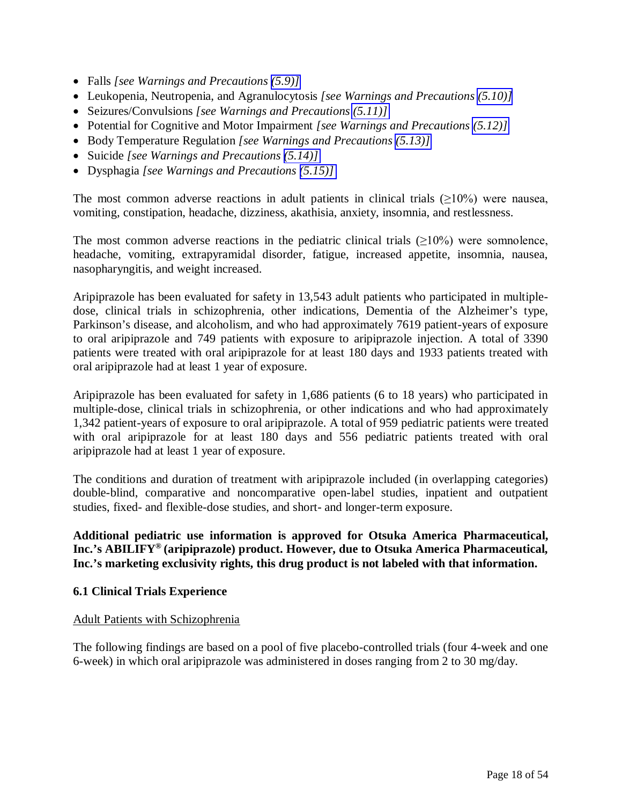- <span id="page-17-1"></span><span id="page-17-0"></span>Falls *[see Warnings and Precautions [\(5.9\)\]](#page-15-1)*
- Leukopenia, Neutropenia, and Agranulocytosis *[see Warnings and Precautions [\(5.10\)\]](#page-15-2)*
- Seizures/Convulsions *[see Warnings and Precautions [\(5.11\)\]](#page-15-2)*
- Potential for Cognitive and Motor Impairment *[see Warnings and Precautions [\(5.12\)\]](#page-15-2)*
- Body Temperature Regulation *[see Warnings and Precautions [\(5.13\)\]](#page-16-2)*
- Suicide *[see Warnings and Precautions [\(5.14\)\]](#page-16-2)*
- Dysphagia *[see Warnings and Precautions [\(5.15\)\]](#page-16-2)*

The most common adverse reactions in adult patients in clinical trials  $(\geq 10\%)$  were nausea, vomiting, constipation, headache, dizziness, akathisia, anxiety, insomnia, and restlessness.

The most common adverse reactions in the pediatric clinical trials  $(\geq 10\%)$  were somnolence, headache, vomiting, extrapyramidal disorder, fatigue, increased appetite, insomnia, nausea, nasopharyngitis, and weight increased.

Aripiprazole has been evaluated for safety in 13,543 adult patients who participated in multipledose, clinical trials in schizophrenia, other indications, Dementia of the Alzheimer's type, Parkinson's disease, and alcoholism, and who had approximately 7619 patient-years of exposure to oral aripiprazole and 749 patients with exposure to aripiprazole injection. A total of 3390 patients were treated with oral aripiprazole for at least 180 days and 1933 patients treated with oral aripiprazole had at least 1 year of exposure.

Aripiprazole has been evaluated for safety in 1,686 patients (6 to 18 years) who participated in multiple-dose, clinical trials in schizophrenia, or other indications and who had approximately 1,342 patient-years of exposure to oral aripiprazole. A total of 959 pediatric patients were treated with oral aripiprazole for at least 180 days and 556 pediatric patients treated with oral aripiprazole had at least 1 year of exposure.

The conditions and duration of treatment with aripiprazole included (in overlapping categories) double-blind, comparative and noncomparative open-label studies, inpatient and outpatient studies, fixed- and flexible-dose studies, and short- and longer-term exposure.

**Additional pediatric use information is approved for Otsuka America Pharmaceutical, Inc.'s ABILIFY® (aripiprazole) product. However, due to Otsuka America Pharmaceutical, Inc.'s marketing exclusivity rights, this drug product is not labeled with that information.**

### **6.1 Clinical Trials Experience**

#### Adult Patients with Schizophrenia

The following findings are based on a pool of five placebo-controlled trials (four 4-week and one 6-week) in which oral aripiprazole was administered in doses ranging from 2 to 30 mg/day.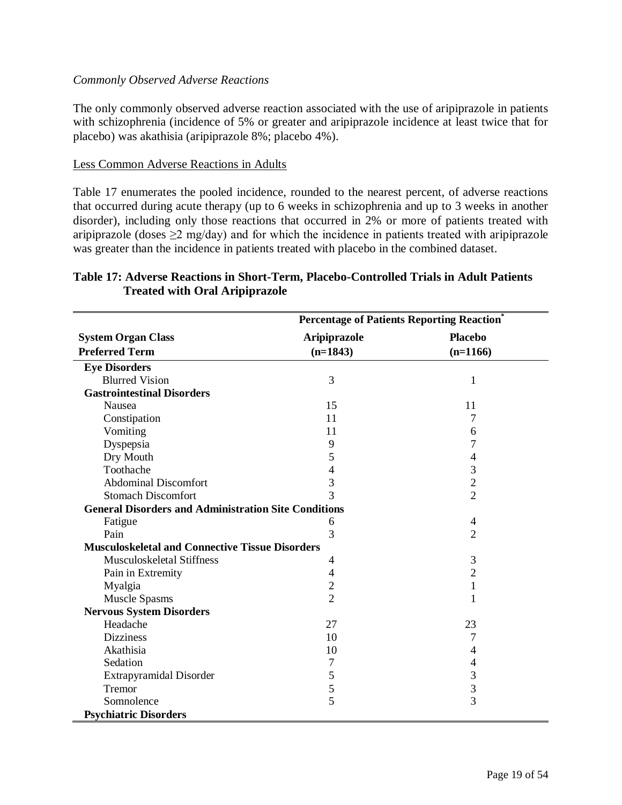### *Commonly Observed Adverse Reactions*

The only commonly observed adverse reaction associated with the use of aripiprazole in patients with schizophrenia (incidence of 5% or greater and aripiprazole incidence at least twice that for placebo) was akathisia (aripiprazole 8%; placebo 4%).

#### Less Common Adverse Reactions in Adults

Table 17 enumerates the pooled incidence, rounded to the nearest percent, of adverse reactions that occurred during acute therapy (up to 6 weeks in schizophrenia and up to 3 weeks in another disorder), including only those reactions that occurred in 2% or more of patients treated with aripiprazole (doses  $\geq$ 2 mg/day) and for which the incidence in patients treated with aripiprazole was greater than the incidence in patients treated with placebo in the combined dataset.

|                                                             | <b>Percentage of Patients Reporting Reaction</b> |                          |  |
|-------------------------------------------------------------|--------------------------------------------------|--------------------------|--|
| <b>System Organ Class</b>                                   | Aripiprazole                                     | <b>Placebo</b>           |  |
| <b>Preferred Term</b>                                       | $(n=1843)$                                       | $(n=1166)$               |  |
| <b>Eye Disorders</b>                                        |                                                  |                          |  |
| <b>Blurred Vision</b>                                       | 3                                                | $\mathbf{1}$             |  |
| <b>Gastrointestinal Disorders</b>                           |                                                  |                          |  |
| Nausea                                                      | 15                                               | 11                       |  |
| Constipation                                                | 11                                               | 7                        |  |
| Vomiting                                                    | 11                                               | 6                        |  |
| Dyspepsia                                                   | 9                                                | 7                        |  |
| Dry Mouth                                                   | 5                                                | 4                        |  |
| Toothache                                                   | 4                                                | 3                        |  |
| <b>Abdominal Discomfort</b>                                 | 3                                                | $\overline{c}$           |  |
| <b>Stomach Discomfort</b>                                   | 3                                                | $\overline{2}$           |  |
| <b>General Disorders and Administration Site Conditions</b> |                                                  |                          |  |
| Fatigue                                                     | 6                                                | $\overline{\mathcal{A}}$ |  |
| Pain                                                        | 3                                                | $\overline{2}$           |  |
| <b>Musculoskeletal and Connective Tissue Disorders</b>      |                                                  |                          |  |
| <b>Musculoskeletal Stiffness</b>                            | 4                                                | 3                        |  |
| Pain in Extremity                                           | 4                                                | $\overline{c}$           |  |
| Myalgia                                                     | $\overline{c}$                                   | $\mathbf{1}$             |  |
| <b>Muscle Spasms</b>                                        | $\overline{2}$                                   | 1                        |  |
| <b>Nervous System Disorders</b>                             |                                                  |                          |  |
| Headache                                                    | 27                                               | 23                       |  |
| <b>Dizziness</b>                                            | 10                                               | 7                        |  |
| Akathisia                                                   | 10                                               | 4                        |  |
| Sedation                                                    | 7                                                | 4                        |  |
| Extrapyramidal Disorder                                     | 5                                                | 3                        |  |
| Tremor                                                      | 5                                                | $\overline{\mathbf{3}}$  |  |
| Somnolence                                                  | 5                                                | $\overline{3}$           |  |
| <b>Psychiatric Disorders</b>                                |                                                  |                          |  |

### **Table 17: Adverse Reactions in Short-Term, Placebo-Controlled Trials in Adult Patients Treated with Oral Aripiprazole**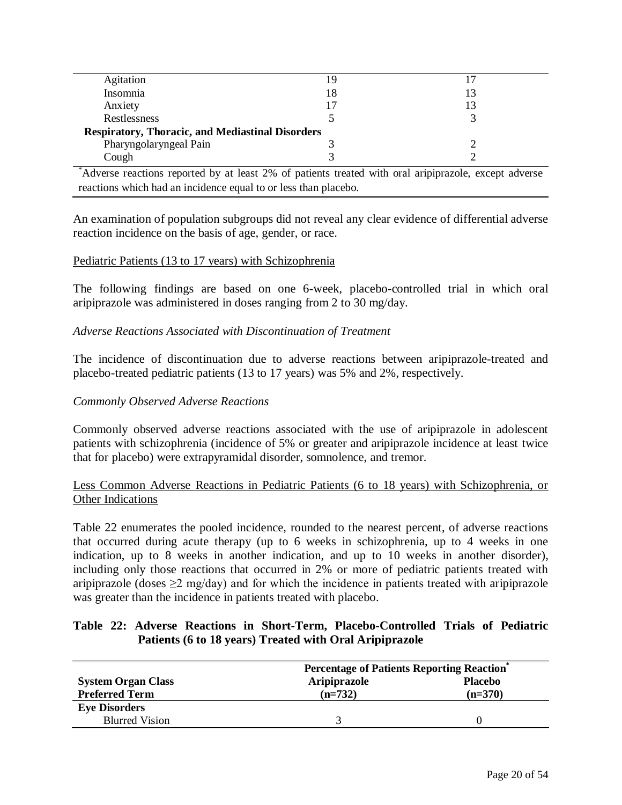| Agitation                                               | 19 |  |
|---------------------------------------------------------|----|--|
| Insomnia                                                | 18 |  |
| Anxiety                                                 | 17 |  |
| Restlessness                                            |    |  |
| <b>Respiratory, Thoracic, and Mediastinal Disorders</b> |    |  |
| Pharyngolaryngeal Pain                                  |    |  |
| Cough                                                   |    |  |
|                                                         |    |  |

\*Adverse reactions reported by at least 2% of patients treated with oral aripiprazole, except adverse reactions which had an incidence equal to or less than placebo.

An examination of population subgroups did not reveal any clear evidence of differential adverse reaction incidence on the basis of age, gender, or race.

#### Pediatric Patients (13 to 17 years) with Schizophrenia

The following findings are based on one 6-week, placebo-controlled trial in which oral aripiprazole was administered in doses ranging from 2 to 30 mg/day.

### *Adverse Reactions Associated with Discontinuation of Treatment*

The incidence of discontinuation due to adverse reactions between aripiprazole-treated and placebo-treated pediatric patients (13 to 17 years) was 5% and 2%, respectively.

#### *Commonly Observed Adverse Reactions*

Commonly observed adverse reactions associated with the use of aripiprazole in adolescent patients with schizophrenia (incidence of 5% or greater and aripiprazole incidence at least twice that for placebo) were extrapyramidal disorder, somnolence, and tremor.

Less Common Adverse Reactions in Pediatric Patients (6 to 18 years) with Schizophrenia, or Other Indications

Table 22 enumerates the pooled incidence, rounded to the nearest percent, of adverse reactions that occurred during acute therapy (up to 6 weeks in schizophrenia, up to 4 weeks in one indication, up to 8 weeks in another indication, and up to 10 weeks in another disorder), including only those reactions that occurred in 2% or more of pediatric patients treated with aripiprazole (doses  $\geq$ 2 mg/day) and for which the incidence in patients treated with aripiprazole was greater than the incidence in patients treated with placebo.

### **Table 22: Adverse Reactions in Short-Term, Placebo-Controlled Trials of Pediatric Patients (6 to 18 years) Treated with Oral Aripiprazole**

|                           | <b>Percentage of Patients Reporting Reaction</b> |                |  |
|---------------------------|--------------------------------------------------|----------------|--|
| <b>System Organ Class</b> | <b>Aripiprazole</b>                              | <b>Placebo</b> |  |
| <b>Preferred Term</b>     | $(n=732)$                                        | $(n=370)$      |  |
| <b>Eye Disorders</b>      |                                                  |                |  |
| <b>Blurred Vision</b>     |                                                  |                |  |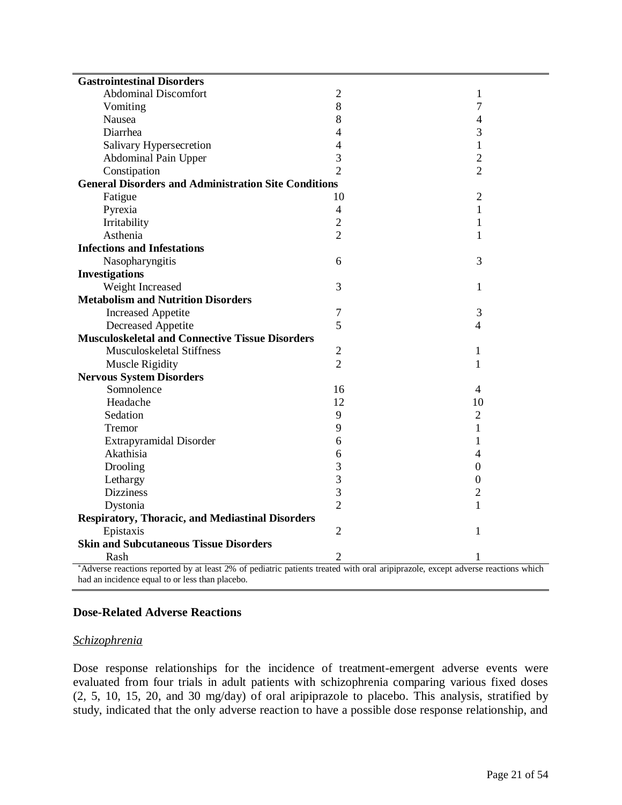| <b>Gastrointestinal Disorders</b>                                                                                                                                                 |                |                |  |  |  |
|-----------------------------------------------------------------------------------------------------------------------------------------------------------------------------------|----------------|----------------|--|--|--|
| <b>Abdominal Discomfort</b>                                                                                                                                                       | $\overline{2}$ | 1              |  |  |  |
| Vomiting                                                                                                                                                                          | 8              | 7              |  |  |  |
| Nausea                                                                                                                                                                            | 8              | 4              |  |  |  |
| Diarrhea                                                                                                                                                                          | 4              | 3              |  |  |  |
| Salivary Hypersecretion                                                                                                                                                           | $\overline{4}$ | 1              |  |  |  |
| Abdominal Pain Upper                                                                                                                                                              | 3              | $\overline{2}$ |  |  |  |
| Constipation                                                                                                                                                                      | $\overline{2}$ | $\overline{2}$ |  |  |  |
| <b>General Disorders and Administration Site Conditions</b>                                                                                                                       |                |                |  |  |  |
| Fatigue                                                                                                                                                                           | 10             | $\overline{2}$ |  |  |  |
| Pyrexia                                                                                                                                                                           | $\overline{4}$ | $\mathbf{1}$   |  |  |  |
| Irritability                                                                                                                                                                      | $\overline{2}$ | 1              |  |  |  |
| Asthenia                                                                                                                                                                          | $\overline{2}$ | $\mathbf{1}$   |  |  |  |
| <b>Infections and Infestations</b>                                                                                                                                                |                |                |  |  |  |
| Nasopharyngitis                                                                                                                                                                   | 6              | 3              |  |  |  |
| <b>Investigations</b>                                                                                                                                                             |                |                |  |  |  |
| Weight Increased                                                                                                                                                                  | 3              | 1              |  |  |  |
| <b>Metabolism and Nutrition Disorders</b>                                                                                                                                         |                |                |  |  |  |
| <b>Increased Appetite</b>                                                                                                                                                         | $\overline{7}$ | 3              |  |  |  |
| Decreased Appetite                                                                                                                                                                | 5              | 4              |  |  |  |
| <b>Musculoskeletal and Connective Tissue Disorders</b>                                                                                                                            |                |                |  |  |  |
| Musculoskeletal Stiffness                                                                                                                                                         | $\mathfrak{2}$ | 1              |  |  |  |
| Muscle Rigidity                                                                                                                                                                   | $\overline{2}$ | 1              |  |  |  |
| <b>Nervous System Disorders</b>                                                                                                                                                   |                |                |  |  |  |
| Somnolence                                                                                                                                                                        | 16             | 4              |  |  |  |
| Headache                                                                                                                                                                          | 12             | 10             |  |  |  |
| Sedation                                                                                                                                                                          | 9              | $\overline{2}$ |  |  |  |
| Tremor                                                                                                                                                                            | 9              | 1              |  |  |  |
| Extrapyramidal Disorder                                                                                                                                                           | 6              | 1              |  |  |  |
| Akathisia                                                                                                                                                                         | 6              | 4              |  |  |  |
| Drooling                                                                                                                                                                          | 3              | 0              |  |  |  |
| Lethargy                                                                                                                                                                          | 3              | 0              |  |  |  |
| <b>Dizziness</b>                                                                                                                                                                  | 3              | $\overline{c}$ |  |  |  |
| Dystonia                                                                                                                                                                          | $\overline{2}$ | $\mathbf{1}$   |  |  |  |
| <b>Respiratory, Thoracic, and Mediastinal Disorders</b>                                                                                                                           |                |                |  |  |  |
| Epistaxis                                                                                                                                                                         | $\overline{2}$ | 1              |  |  |  |
| <b>Skin and Subcutaneous Tissue Disorders</b>                                                                                                                                     |                |                |  |  |  |
| Rash                                                                                                                                                                              | $\overline{2}$ | 1              |  |  |  |
| Adverse reactions reported by at least 2% of pediatric patients treated with oral aripiprazole, except adverse reactions which<br>had an incidence equal to or less than placebo. |                |                |  |  |  |

# **Dose-Related Adverse Reactions**

### *Schizophrenia*

Dose response relationships for the incidence of treatment-emergent adverse events were evaluated from four trials in adult patients with schizophrenia comparing various fixed doses (2, 5, 10, 15, 20, and 30 mg/day) of oral aripiprazole to placebo. This analysis, stratified by study, indicated that the only adverse reaction to have a possible dose response relationship, and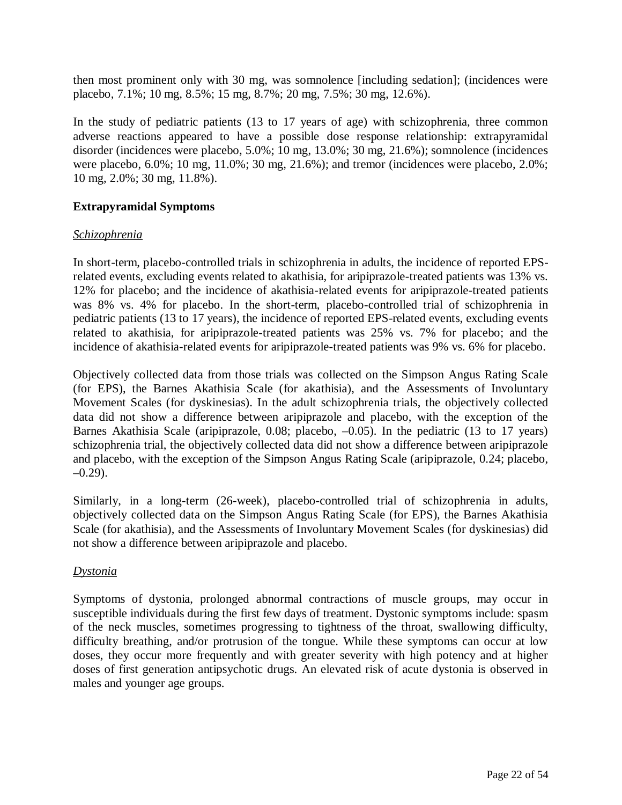then most prominent only with 30 mg, was somnolence [including sedation]; (incidences were placebo, 7.1%; 10 mg, 8.5%; 15 mg, 8.7%; 20 mg, 7.5%; 30 mg, 12.6%).

In the study of pediatric patients (13 to 17 years of age) with schizophrenia, three common adverse reactions appeared to have a possible dose response relationship: extrapyramidal disorder (incidences were placebo, 5.0%; 10 mg, 13.0%; 30 mg, 21.6%); somnolence (incidences were placebo, 6.0%; 10 mg, 11.0%; 30 mg, 21.6%); and tremor (incidences were placebo, 2.0%; 10 mg, 2.0%; 30 mg, 11.8%).

### **Extrapyramidal Symptoms**

### *Schizophrenia*

In short-term, placebo-controlled trials in schizophrenia in adults, the incidence of reported EPSrelated events, excluding events related to akathisia, for aripiprazole-treated patients was 13% vs. 12% for placebo; and the incidence of akathisia-related events for aripiprazole-treated patients was 8% vs. 4% for placebo. In the short-term, placebo-controlled trial of schizophrenia in pediatric patients (13 to 17 years), the incidence of reported EPS-related events, excluding events related to akathisia, for aripiprazole-treated patients was 25% vs. 7% for placebo; and the incidence of akathisia-related events for aripiprazole-treated patients was 9% vs. 6% for placebo.

Objectively collected data from those trials was collected on the Simpson Angus Rating Scale (for EPS), the Barnes Akathisia Scale (for akathisia), and the Assessments of Involuntary Movement Scales (for dyskinesias). In the adult schizophrenia trials, the objectively collected data did not show a difference between aripiprazole and placebo, with the exception of the Barnes Akathisia Scale (aripiprazole, 0.08; placebo,  $-0.05$ ). In the pediatric (13 to 17 years) schizophrenia trial, the objectively collected data did not show a difference between aripiprazole and placebo, with the exception of the Simpson Angus Rating Scale (aripiprazole, 0.24; placebo,  $-0.29$ ).

Similarly, in a long-term (26-week), placebo-controlled trial of schizophrenia in adults, objectively collected data on the Simpson Angus Rating Scale (for EPS), the Barnes Akathisia Scale (for akathisia), and the Assessments of Involuntary Movement Scales (for dyskinesias) did not show a difference between aripiprazole and placebo.

### *Dystonia*

Symptoms of dystonia, prolonged abnormal contractions of muscle groups, may occur in susceptible individuals during the first few days of treatment. Dystonic symptoms include: spasm of the neck muscles, sometimes progressing to tightness of the throat, swallowing difficulty, difficulty breathing, and/or protrusion of the tongue. While these symptoms can occur at low doses, they occur more frequently and with greater severity with high potency and at higher doses of first generation antipsychotic drugs. An elevated risk of acute dystonia is observed in males and younger age groups.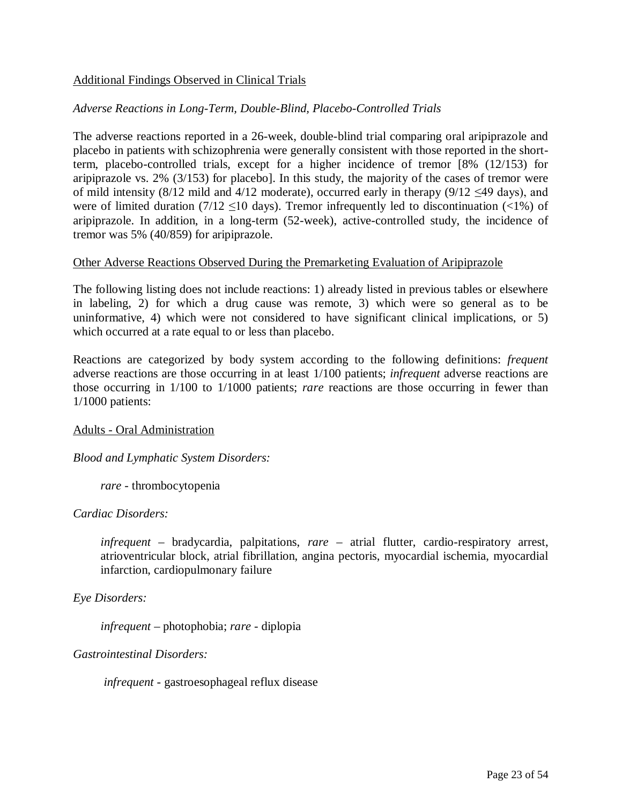### Additional Findings Observed in Clinical Trials

### *Adverse Reactions in Long-Term, Double-Blind, Placebo-Controlled Trials*

The adverse reactions reported in a 26-week, double-blind trial comparing oral aripiprazole and placebo in patients with schizophrenia were generally consistent with those reported in the shortterm, placebo-controlled trials, except for a higher incidence of tremor [8% (12/153) for aripiprazole vs. 2% (3/153) for placebo]. In this study, the majority of the cases of tremor were of mild intensity (8/12 mild and 4/12 moderate), occurred early in therapy (9/12  $\leq$ 49 days), and were of limited duration (7/12  $\leq$ 10 days). Tremor infrequently led to discontinuation (<1%) of aripiprazole. In addition, in a long-term (52-week), active-controlled study, the incidence of tremor was 5% (40/859) for aripiprazole.

#### Other Adverse Reactions Observed During the Premarketing Evaluation of Aripiprazole

The following listing does not include reactions: 1) already listed in previous tables or elsewhere in labeling, 2) for which a drug cause was remote, 3) which were so general as to be uninformative, 4) which were not considered to have significant clinical implications, or 5) which occurred at a rate equal to or less than placebo.

Reactions are categorized by body system according to the following definitions: *frequent*  adverse reactions are those occurring in at least 1/100 patients; *infrequent* adverse reactions are those occurring in 1/100 to 1/1000 patients; *rare* reactions are those occurring in fewer than 1/1000 patients:

### Adults - Oral Administration

### *Blood and Lymphatic System Disorders:*

*rare* - thrombocytopenia

### *Cardiac Disorders:*

*infrequent* – bradycardia, palpitations, *rare* – atrial flutter, cardio-respiratory arrest, atrioventricular block, atrial fibrillation, angina pectoris, myocardial ischemia, myocardial infarction, cardiopulmonary failure

### *Eye Disorders:*

*infrequent* – photophobia; *rare* - diplopia

### *Gastrointestinal Disorders:*

 *infrequent* - gastroesophageal reflux disease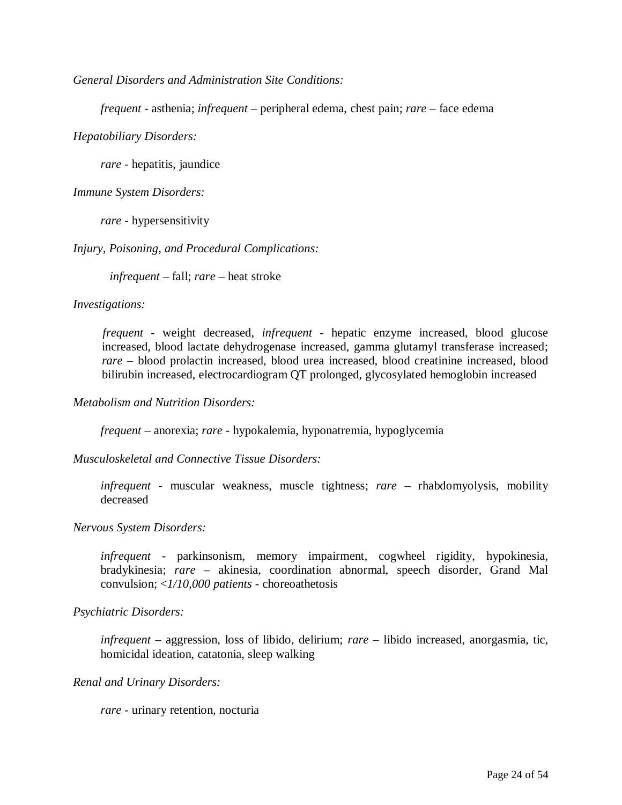*General Disorders and Administration Site Conditions:* 

*frequent* - asthenia; *infrequent –* peripheral edema, chest pain; *rare* – face edema

*Hepatobiliary Disorders:* 

*rare* - hepatitis, jaundice

*Immune System Disorders:* 

*rare* - hypersensitivity

*Injury, Poisoning, and Procedural Complications:* 

*infrequent* – fall; *rare* – heat stroke

*Investigations:* 

 *frequent* - weight decreased, *infrequent* - hepatic enzyme increased, blood glucose increased, blood lactate dehydrogenase increased, gamma glutamyl transferase increased; *rare* – blood prolactin increased, blood urea increased, blood creatinine increased, blood bilirubin increased, electrocardiogram QT prolonged, glycosylated hemoglobin increased

*Metabolism and Nutrition Disorders:* 

*frequent –* anorexia; *rare -* hypokalemia, hyponatremia, hypoglycemia

*Musculoskeletal and Connective Tissue Disorders:* 

*infrequent* - muscular weakness, muscle tightness; *rare* – rhabdomyolysis, mobility decreased

*Nervous System Disorders:* 

*infrequent -* parkinsonism, memory impairment, cogwheel rigidity, hypokinesia, bradykinesia; *rare* – akinesia, coordination abnormal, speech disorder, Grand Mal convulsion; <*1/10,000 patients -* choreoathetosis

*Psychiatric Disorders:* 

*infrequent –* aggression, loss of libido, delirium; *rare* – libido increased, anorgasmia, tic, homicidal ideation, catatonia, sleep walking

*Renal and Urinary Disorders:* 

*rare* - urinary retention, nocturia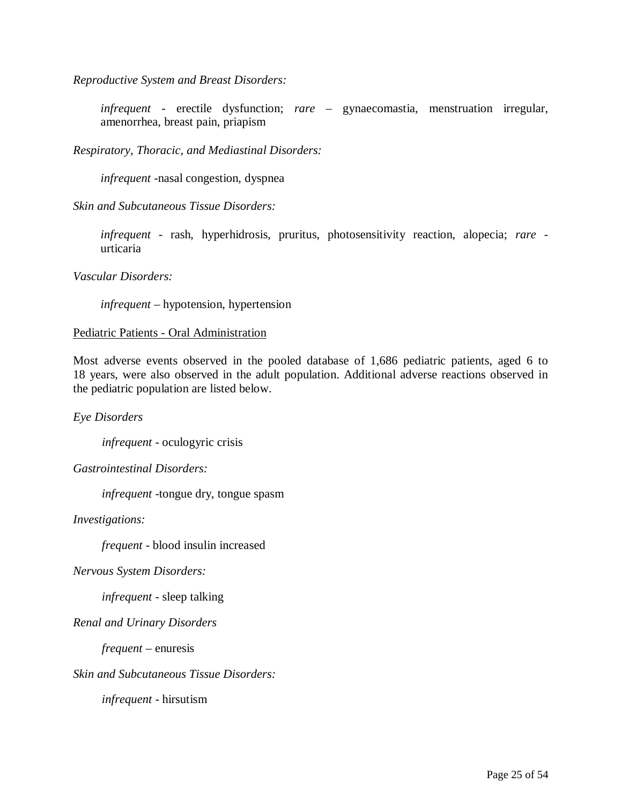*Reproductive System and Breast Disorders:* 

*infrequent* - erectile dysfunction; *rare* – gynaecomastia, menstruation irregular, amenorrhea, breast pain, priapism

*Respiratory, Thoracic, and Mediastinal Disorders:* 

*infrequent -*nasal congestion, dyspnea

*Skin and Subcutaneous Tissue Disorders:* 

*infrequent -* rash, hyperhidrosis, pruritus, photosensitivity reaction, alopecia; *rare*  urticaria

*Vascular Disorders:* 

*infrequent* – hypotension, hypertension

#### Pediatric Patients - Oral Administration

Most adverse events observed in the pooled database of 1,686 pediatric patients, aged 6 to 18 years, were also observed in the adult population. Additional adverse reactions observed in the pediatric population are listed below.

*Eye Disorders* 

*infrequent -* oculogyric crisis

*Gastrointestinal Disorders:* 

*infrequent -*tongue dry, tongue spasm

*Investigations:* 

*frequent -* blood insulin increased

*Nervous System Disorders:* 

*infrequent -* sleep talking

*Renal and Urinary Disorders* 

*frequent –* enuresis

*Skin and Subcutaneous Tissue Disorders:* 

*infrequent -* hirsutism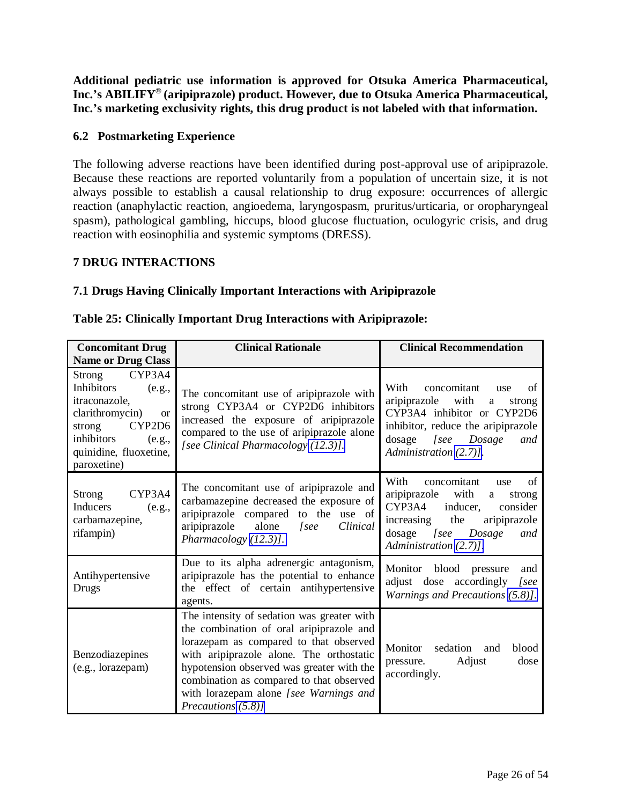<span id="page-25-1"></span><span id="page-25-0"></span>**Additional pediatric use information is approved for Otsuka America Pharmaceutical, Inc.'s ABILIFY® (aripiprazole) product. However, due to Otsuka America Pharmaceutical, Inc.'s marketing exclusivity rights, this drug product is not labeled with that information.**

### **6.2 Postmarketing Experience**

The following adverse reactions have been identified during post-approval use of aripiprazole. Because these reactions are reported voluntarily from a population of uncertain size, it is not always possible to establish a causal relationship to drug exposure: occurrences of allergic reaction (anaphylactic reaction, angioedema, laryngospasm, pruritus/urticaria, or oropharyngeal spasm), pathological gambling, hiccups, blood glucose fluctuation, oculogyric crisis, and drug reaction with eosinophilia and systemic symptoms (DRESS).

### **7 DRUG INTERACTIONS**

### **7.1 Drugs Having Clinically Important Interactions with Aripiprazole**

| <b>Concomitant Drug</b>                                                                                                                                                            | <b>Clinical Rationale</b>                                                                                                                                                                                                                                                                                                             | <b>Clinical Recommendation</b>                                                                                                                                                                     |
|------------------------------------------------------------------------------------------------------------------------------------------------------------------------------------|---------------------------------------------------------------------------------------------------------------------------------------------------------------------------------------------------------------------------------------------------------------------------------------------------------------------------------------|----------------------------------------------------------------------------------------------------------------------------------------------------------------------------------------------------|
| <b>Name or Drug Class</b>                                                                                                                                                          |                                                                                                                                                                                                                                                                                                                                       |                                                                                                                                                                                                    |
| Strong CYP3A4<br><b>Inhibitors</b><br>(e.g.,<br>itraconazole,<br>clarithromycin)<br><b>or</b><br>strong<br>CYP2D6<br>inhibitors<br>(e.g.,<br>quinidine, fluoxetine,<br>paroxetine) | The concomitant use of aripiprazole with<br>strong CYP3A4 or CYP2D6 inhibitors<br>increased the exposure of aripiprazole<br>compared to the use of aripiprazole alone<br>[see Clinical Pharmacology (12.3)].                                                                                                                          | With<br>concomitant<br>of<br>use<br>aripiprazole with<br>a<br>strong<br>CYP3A4 inhibitor or CYP2D6<br>inhibitor, reduce the aripiprazole<br>dosage [see Dosage<br>and<br>Administration (2.7)].    |
| CYP3A4<br>Strong<br>Inducers<br>(e.g.,<br>carbamazepine,<br>rifampin)                                                                                                              | The concomitant use of aripiprazole and<br>carbamazepine decreased the exposure of<br>aripiprazole compared to the use of<br>aripiprazole alone [see<br>Clinical<br>Pharmacology (12.3)].                                                                                                                                             | With<br>concomitant<br>of<br>use<br>aripiprazole<br>with<br>a<br>strong<br>CYP3A4 inducer,<br>consider<br>increasing the<br>aripiprazole<br>dosage [see<br>Dosage<br>and<br>Administration (2.7)]. |
| Antihypertensive<br>Drugs                                                                                                                                                          | Due to its alpha adrenergic antagonism,<br>aripiprazole has the potential to enhance<br>the effect of certain antihypertensive<br>agents.                                                                                                                                                                                             | Monitor<br>blood<br>pressure<br>and<br>adjust dose accordingly [see<br>Warnings and Precautions (5.8)].                                                                                            |
| Benzodiazepines<br>(e.g., lorazepam)                                                                                                                                               | The intensity of sedation was greater with<br>the combination of oral aripiprazole and<br>lorazepam as compared to that observed<br>with aripiprazole alone. The orthostatic<br>hypotension observed was greater with the<br>combination as compared to that observed<br>with lorazepam alone [see Warnings and<br>Precautions (5.8)] | Monitor<br>sedation<br>blood<br>and<br>Adjust<br>pressure.<br>dose<br>accordingly.                                                                                                                 |

#### **Table 25: Clinically Important Drug Interactions with Aripiprazole:**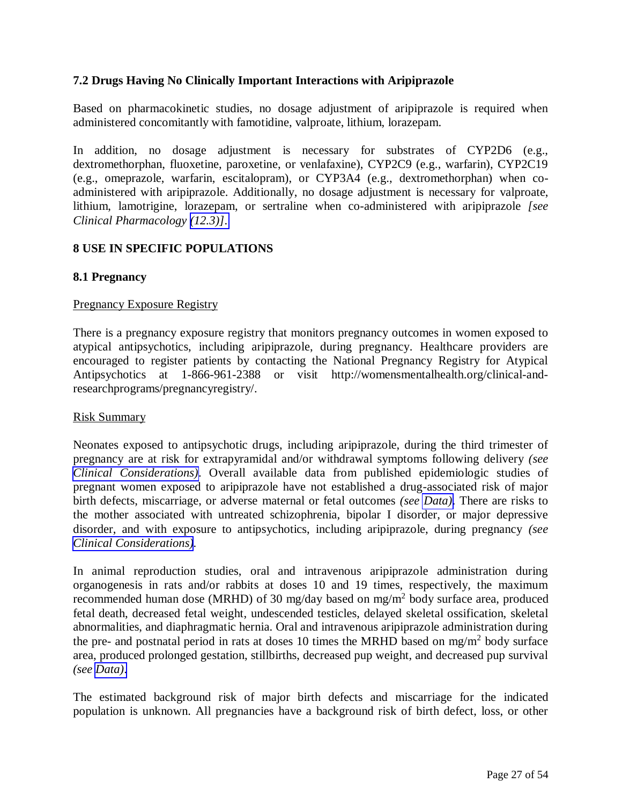### <span id="page-26-0"></span>**7.2 Drugs Having No Clinically Important Interactions with Aripiprazole**

Based on pharmacokinetic studies, no dosage adjustment of aripiprazole is required when administered concomitantly with famotidine, valproate, lithium, lorazepam.

In addition, no dosage adjustment is necessary for substrates of CYP2D6 (e.g., dextromethorphan, fluoxetine, paroxetine, or venlafaxine), CYP2C9 (e.g., warfarin), CYP2C19 (e.g., omeprazole, warfarin, escitalopram), or CYP3A4 (e.g., dextromethorphan) when coadministered with aripiprazole. Additionally, no dosage adjustment is necessary for valproate, lithium, lamotrigine, lorazepam, or sertraline when co-administered with aripiprazole *[see Clinical Pharmacology [\(12.3\)\]](#page-33-1)*.

### **8 USE IN SPECIFIC POPULATIONS**

### **8.1 Pregnancy**

#### Pregnancy Exposure Registry

There is a pregnancy exposure registry that monitors pregnancy outcomes in women exposed to atypical antipsychotics, including aripiprazole, during pregnancy. Healthcare providers are encouraged to register patients by contacting the National Pregnancy Registry for Atypical Antipsychotics at 1-866-961-2388 or visit http://womensmentalhealth.org/clinical-andresearchprograms/pregnancyregistry/.

#### Risk Summary

Neonates exposed to antipsychotic drugs, including aripiprazole, during the third trimester of pregnancy are at risk for extrapyramidal and/or withdrawal symptoms following delivery *(see [Clinical Considerations\)](#page-27-0)*. Overall available data from published epidemiologic studies of pregnant women exposed to aripiprazole have not established a drug-associated risk of major birth defects, miscarriage, or adverse maternal or fetal outcomes *(see [Data\)](#page-27-0)*. There are risks to the mother associated with untreated schizophrenia, bipolar I disorder, or major depressive disorder, and with exposure to antipsychotics, including aripiprazole, during pregnancy *(see [Clinical Considerations\)](#page-27-1).* 

In animal reproduction studies, oral and intravenous aripiprazole administration during organogenesis in rats and/or rabbits at doses 10 and 19 times, respectively, the maximum recommended human dose (MRHD) of 30 mg/day based on mg/m<sup>2</sup> body surface area, produced fetal death, decreased fetal weight, undescended testicles, delayed skeletal ossification, skeletal abnormalities, and diaphragmatic hernia. Oral and intravenous aripiprazole administration during the pre- and postnatal period in rats at doses 10 times the MRHD based on  $mg/m<sup>2</sup>$  body surface area, produced prolonged gestation, stillbirths, decreased pup weight, and decreased pup survival *(see [Data\)](#page-27-1)*.

The estimated background risk of major birth defects and miscarriage for the indicated population is unknown. All pregnancies have a background risk of birth defect, loss, or other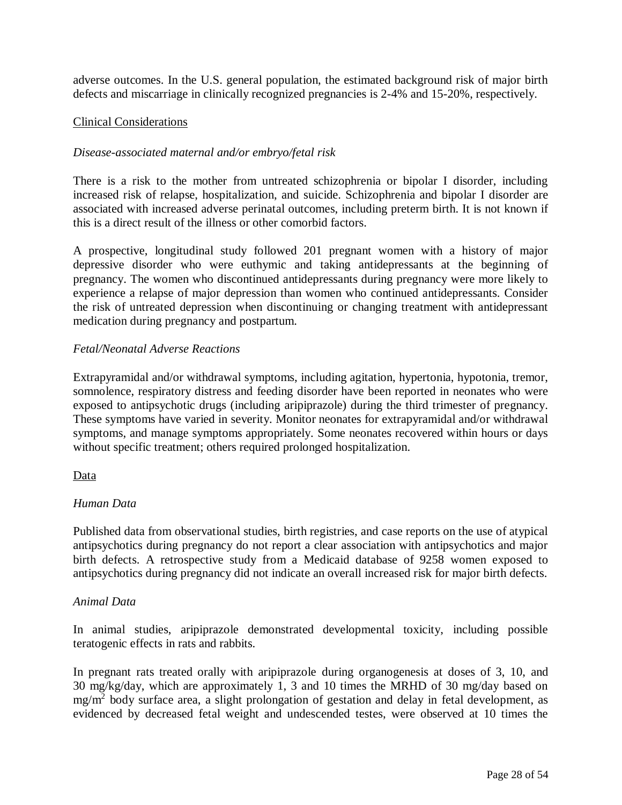<span id="page-27-1"></span><span id="page-27-0"></span>adverse outcomes. In the U.S. general population, the estimated background risk of major birth defects and miscarriage in clinically recognized pregnancies is 2-4% and 15-20%, respectively.

#### Clinical Considerations

### *Disease-associated maternal and/or embryo/fetal risk*

There is a risk to the mother from untreated schizophrenia or bipolar I disorder, including increased risk of relapse, hospitalization, and suicide. Schizophrenia and bipolar I disorder are associated with increased adverse perinatal outcomes, including preterm birth. It is not known if this is a direct result of the illness or other comorbid factors.

A prospective, longitudinal study followed 201 pregnant women with a history of major depressive disorder who were euthymic and taking antidepressants at the beginning of pregnancy. The women who discontinued antidepressants during pregnancy were more likely to experience a relapse of major depression than women who continued antidepressants. Consider the risk of untreated depression when discontinuing or changing treatment with antidepressant medication during pregnancy and postpartum.

### *Fetal/Neonatal Adverse Reactions*

Extrapyramidal and/or withdrawal symptoms, including agitation, hypertonia, hypotonia, tremor, somnolence, respiratory distress and feeding disorder have been reported in neonates who were exposed to antipsychotic drugs (including aripiprazole) during the third trimester of pregnancy. These symptoms have varied in severity. Monitor neonates for extrapyramidal and/or withdrawal symptoms, and manage symptoms appropriately. Some neonates recovered within hours or days without specific treatment; others required prolonged hospitalization.

### Data

### *Human Data*

Published data from observational studies, birth registries, and case reports on the use of atypical antipsychotics during pregnancy do not report a clear association with antipsychotics and major birth defects. A retrospective study from a Medicaid database of 9258 women exposed to antipsychotics during pregnancy did not indicate an overall increased risk for major birth defects.

#### *Animal Data*

In animal studies, aripiprazole demonstrated developmental toxicity, including possible teratogenic effects in rats and rabbits.

In pregnant rats treated orally with aripiprazole during organogenesis at doses of 3, 10, and 30 mg/kg/day, which are approximately 1, 3 and 10 times the MRHD of 30 mg/day based on mg/m<sup>2</sup> body surface area, a slight prolongation of gestation and delay in fetal development, as evidenced by decreased fetal weight and undescended testes, were observed at 10 times the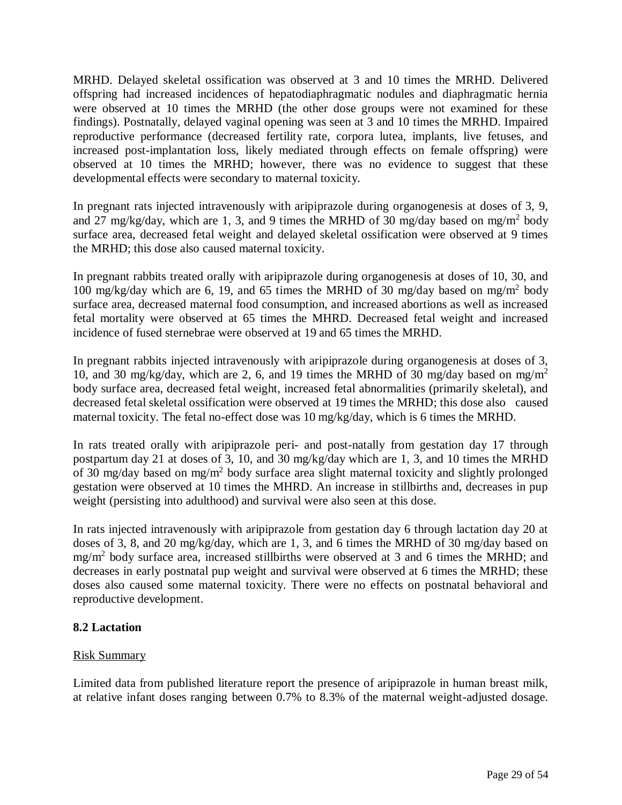<span id="page-28-0"></span>MRHD. Delayed skeletal ossification was observed at 3 and 10 times the MRHD. Delivered offspring had increased incidences of hepatodiaphragmatic nodules and diaphragmatic hernia were observed at 10 times the MRHD (the other dose groups were not examined for these findings). Postnatally, delayed vaginal opening was seen at 3 and 10 times the MRHD. Impaired reproductive performance (decreased fertility rate, corpora lutea, implants, live fetuses, and increased post-implantation loss, likely mediated through effects on female offspring) were observed at 10 times the MRHD; however, there was no evidence to suggest that these developmental effects were secondary to maternal toxicity.

In pregnant rats injected intravenously with aripiprazole during organogenesis at doses of 3, 9, and 27 mg/kg/day, which are 1, 3, and 9 times the MRHD of 30 mg/day based on mg/m<sup>2</sup> body surface area, decreased fetal weight and delayed skeletal ossification were observed at 9 times the MRHD; this dose also caused maternal toxicity.

In pregnant rabbits treated orally with aripiprazole during organogenesis at doses of 10, 30, and 100 mg/kg/day which are 6, 19, and 65 times the MRHD of 30 mg/day based on mg/m<sup>2</sup> body surface area, decreased maternal food consumption, and increased abortions as well as increased fetal mortality were observed at 65 times the MHRD. Decreased fetal weight and increased incidence of fused sternebrae were observed at 19 and 65 times the MRHD.

In pregnant rabbits injected intravenously with aripiprazole during organogenesis at doses of 3, 10, and 30 mg/kg/day, which are 2, 6, and 19 times the MRHD of 30 mg/day based on mg/m<sup>2</sup> body surface area, decreased fetal weight, increased fetal abnormalities (primarily skeletal), and decreased fetal skeletal ossification were observed at 19 times the MRHD; this dose also caused maternal toxicity. The fetal no-effect dose was 10 mg/kg/day, which is 6 times the MRHD.

In rats treated orally with aripiprazole peri- and post-natally from gestation day 17 through postpartum day 21 at doses of 3, 10, and 30 mg/kg/day which are 1, 3, and 10 times the MRHD of 30 mg/day based on mg/m<sup>2</sup> body surface area slight maternal toxicity and slightly prolonged gestation were observed at 10 times the MHRD. An increase in stillbirths and, decreases in pup weight (persisting into adulthood) and survival were also seen at this dose.

In rats injected intravenously with aripiprazole from gestation day 6 through lactation day 20 at doses of 3, 8, and 20 mg/kg/day, which are 1, 3, and 6 times the MRHD of 30 mg/day based on mg/m<sup>2</sup> body surface area, increased stillbirths were observed at 3 and 6 times the MRHD; and decreases in early postnatal pup weight and survival were observed at 6 times the MRHD; these doses also caused some maternal toxicity. There were no effects on postnatal behavioral and reproductive development.

### **8.2 Lactation**

### Risk Summary

Limited data from published literature report the presence of aripiprazole in human breast milk, at relative infant doses ranging between 0.7% to 8.3% of the maternal weight-adjusted dosage.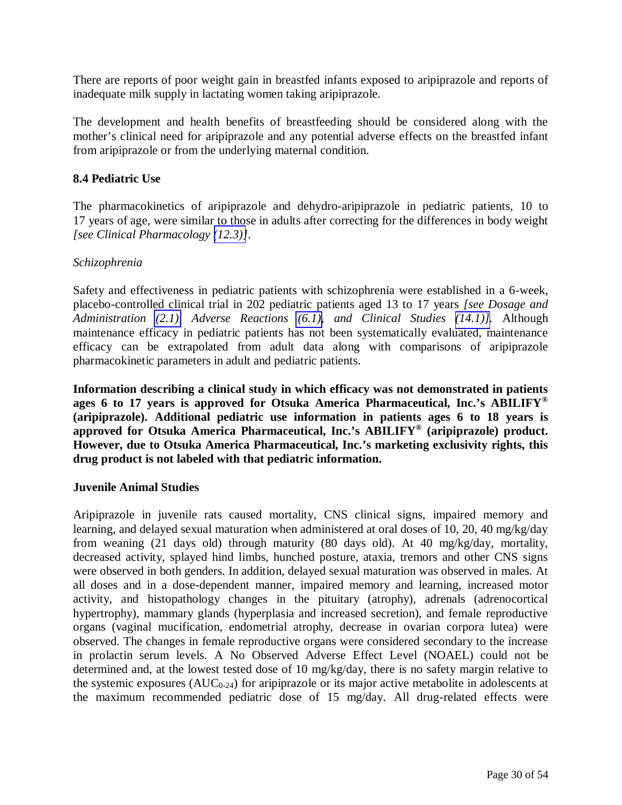<span id="page-29-0"></span>There are reports of poor weight gain in breastfed infants exposed to aripiprazole and reports of inadequate milk supply in lactating women taking aripiprazole.

The development and health benefits of breastfeeding should be considered along with the mother's clinical need for aripiprazole and any potential adverse effects on the breastfed infant from aripiprazole or from the underlying maternal condition.

### **8.4 Pediatric Use**

The pharmacokinetics of aripiprazole and dehydro-aripiprazole in pediatric patients, 10 to 17 years of age, were similar to those in adults after correcting for the differences in body weight *[see Clinical Pharmacology [\(12.3\)\]](#page-33-0)*.

### *Schizophrenia*

Safety and effectiveness in pediatric patients with schizophrenia were established in a 6-week, placebo-controlled clinical trial in 202 pediatric patients aged 13 to 17 years *[see Dosage and Administration [\(2.1\),](#page-2-1) Adverse Reactions [\(6.1\),](#page-17-1) and Clinical Studies [\(14.1\)\]](#page-38-1).* Although maintenance efficacy in pediatric patients has not been systematically evaluated, maintenance efficacy can be extrapolated from adult data along with comparisons of aripiprazole pharmacokinetic parameters in adult and pediatric patients.

**Information describing a clinical study in which efficacy was not demonstrated in patients ages 6 to 17 years is approved for Otsuka America Pharmaceutical, Inc.'s ABILIFY® (aripiprazole). Additional pediatric use information in patients ages 6 to 18 years is approved for Otsuka America Pharmaceutical, Inc.'s ABILIFY® (aripiprazole) product. However, due to Otsuka America Pharmaceutical, Inc.'s marketing exclusivity rights, this drug product is not labeled with that pediatric information.** 

### **Juvenile Animal Studies**

Aripiprazole in juvenile rats caused mortality, CNS clinical signs, impaired memory and learning, and delayed sexual maturation when administered at oral doses of 10, 20, 40 mg/kg/day from weaning (21 days old) through maturity (80 days old). At 40 mg/kg/day, mortality, decreased activity, splayed hind limbs, hunched posture, ataxia, tremors and other CNS signs were observed in both genders. In addition, delayed sexual maturation was observed in males. At all doses and in a dose-dependent manner, impaired memory and learning, increased motor activity, and histopathology changes in the pituitary (atrophy), adrenals (adrenocortical hypertrophy), mammary glands (hyperplasia and increased secretion), and female reproductive organs (vaginal mucification, endometrial atrophy, decrease in ovarian corpora lutea) were observed. The changes in female reproductive organs were considered secondary to the increase in prolactin serum levels. A No Observed Adverse Effect Level (NOAEL) could not be determined and, at the lowest tested dose of 10 mg/kg/day, there is no safety margin relative to the systemic exposures  $(AUC_{0-24})$  for aripiprazole or its major active metabolite in adolescents at the maximum recommended pediatric dose of 15 mg/day. All drug-related effects were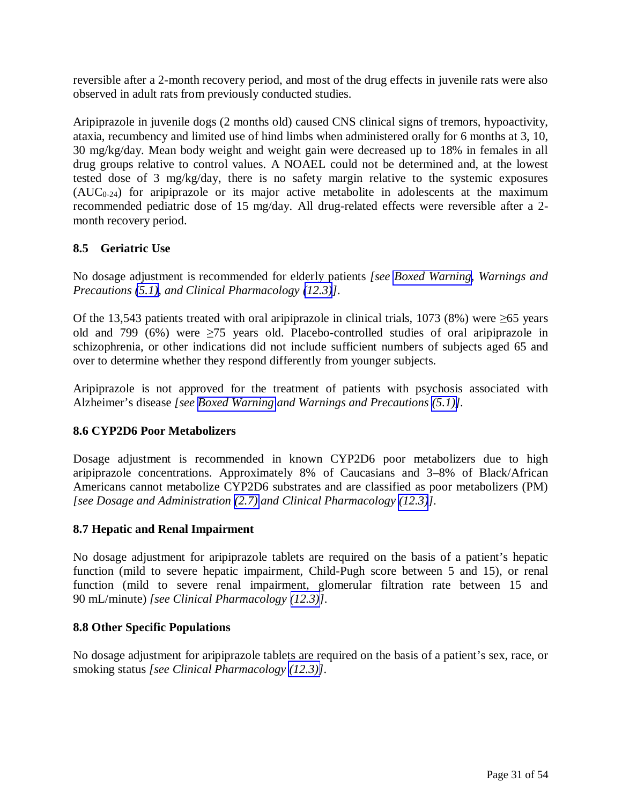<span id="page-30-1"></span><span id="page-30-0"></span>reversible after a 2-month recovery period, and most of the drug effects in juvenile rats were also observed in adult rats from previously conducted studies.

Aripiprazole in juvenile dogs (2 months old) caused CNS clinical signs of tremors, hypoactivity, ataxia, recumbency and limited use of hind limbs when administered orally for 6 months at 3, 10, 30 mg/kg/day. Mean body weight and weight gain were decreased up to 18% in females in all drug groups relative to control values. A NOAEL could not be determined and, at the lowest tested dose of 3 mg/kg/day, there is no safety margin relative to the systemic exposures  $(AUC_{0-24})$  for aripiprazole or its major active metabolite in adolescents at the maximum recommended pediatric dose of 15 mg/day. All drug-related effects were reversible after a 2 month recovery period.

### **8.5 Geriatric Use**

No dosage adjustment is recommended for elderly patients *[see [Boxed Warning](#page-2-1), Warnings and Precautions [\(5.1\),](#page-5-1) and Clinical Pharmacology [\(12.3\)](#page-33-0)]*.

Of the 13,543 patients treated with oral aripiprazole in clinical trials, 1073 (8%) were  $\geq 65$  years old and 799 (6%) were  $\geq$ 75 years old. Placebo-controlled studies of oral aripiprazole in schizophrenia, or other indications did not include sufficient numbers of subjects aged 65 and over to determine whether they respond differently from younger subjects.

Aripiprazole is not approved for the treatment of patients with psychosis associated with Alzheimer's disease *[see [Boxed Warning](#page-2-1) and Warnings and Precautions [\(5.1\)\]](#page-5-1).* 

### **8.6 CYP2D6 Poor Metabolizers**

Dosage adjustment is recommended in known CYP2D6 poor metabolizers due to high aripiprazole concentrations. Approximately 8% of Caucasians and 3–8% of Black/African Americans cannot metabolize CYP2D6 substrates and are classified as poor metabolizers (PM) *[see Dosage and Administration [\(2.7\)](#page-3-2) and Clinical Pharmacology [\(12.3\)](#page-33-0)]*.

### **8.7 Hepatic and Renal Impairment**

No dosage adjustment for aripiprazole tablets are required on the basis of a patient's hepatic function (mild to severe hepatic impairment, Child-Pugh score between 5 and 15), or renal function (mild to severe renal impairment, glomerular filtration rate between 15 and 90 mL/minute) *[see Clinical Pharmacology [\(12.3\)\]](#page-33-0)*.

### **8.8 Other Specific Populations**

No dosage adjustment for aripiprazole tablets are required on the basis of a patient's sex, race, or smoking status *[see Clinical Pharmacology [\(12.3\)\]](#page-33-0)*.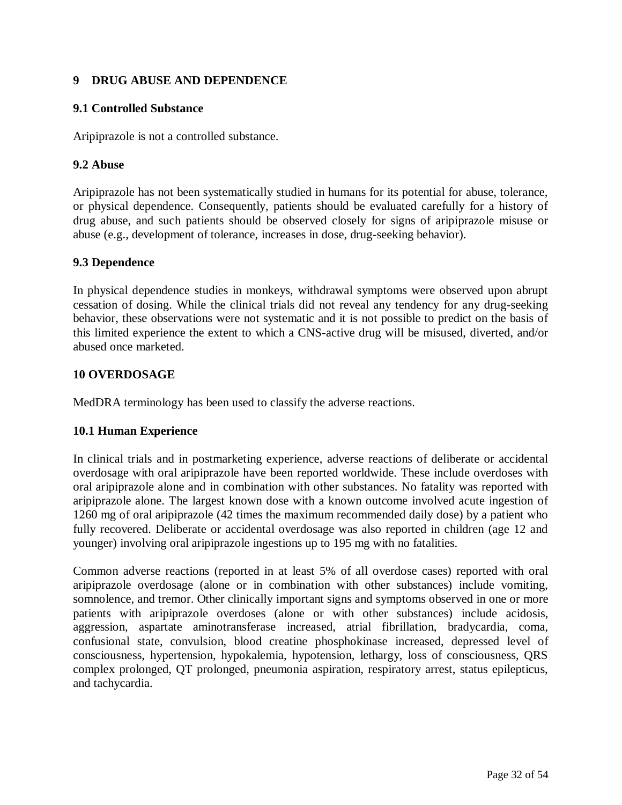### <span id="page-31-0"></span>**9 DRUG ABUSE AND DEPENDENCE**

### **9.1 Controlled Substance**

Aripiprazole is not a controlled substance.

### **9.2 Abuse**

Aripiprazole has not been systematically studied in humans for its potential for abuse, tolerance, or physical dependence. Consequently, patients should be evaluated carefully for a history of drug abuse, and such patients should be observed closely for signs of aripiprazole misuse or abuse (e.g., development of tolerance, increases in dose, drug-seeking behavior).

### **9.3 Dependence**

In physical dependence studies in monkeys, withdrawal symptoms were observed upon abrupt cessation of dosing. While the clinical trials did not reveal any tendency for any drug-seeking behavior, these observations were not systematic and it is not possible to predict on the basis of this limited experience the extent to which a CNS-active drug will be misused, diverted, and/or abused once marketed.

# **10 OVERDOSAGE**

MedDRA terminology has been used to classify the adverse reactions.

### **10.1 Human Experience**

In clinical trials and in postmarketing experience, adverse reactions of deliberate or accidental overdosage with oral aripiprazole have been reported worldwide. These include overdoses with oral aripiprazole alone and in combination with other substances. No fatality was reported with aripiprazole alone. The largest known dose with a known outcome involved acute ingestion of 1260 mg of oral aripiprazole (42 times the maximum recommended daily dose) by a patient who fully recovered. Deliberate or accidental overdosage was also reported in children (age 12 and younger) involving oral aripiprazole ingestions up to 195 mg with no fatalities.

Common adverse reactions (reported in at least 5% of all overdose cases) reported with oral aripiprazole overdosage (alone or in combination with other substances) include vomiting, somnolence, and tremor. Other clinically important signs and symptoms observed in one or more patients with aripiprazole overdoses (alone or with other substances) include acidosis, aggression, aspartate aminotransferase increased, atrial fibrillation, bradycardia, coma, confusional state, convulsion, blood creatine phosphokinase increased, depressed level of consciousness, hypertension, hypokalemia, hypotension, lethargy, loss of consciousness, QRS complex prolonged, QT prolonged, pneumonia aspiration, respiratory arrest, status epilepticus, and tachycardia.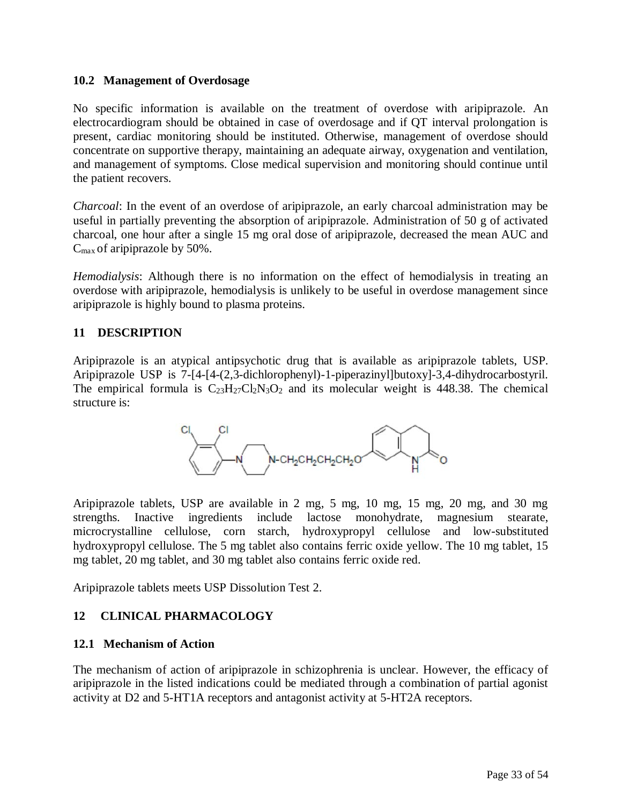### <span id="page-32-0"></span>**10.2 Management of Overdosage**

No specific information is available on the treatment of overdose with aripiprazole. An electrocardiogram should be obtained in case of overdosage and if QT interval prolongation is present, cardiac monitoring should be instituted. Otherwise, management of overdose should concentrate on supportive therapy, maintaining an adequate airway, oxygenation and ventilation, and management of symptoms. Close medical supervision and monitoring should continue until the patient recovers.

*Charcoal*: In the event of an overdose of aripiprazole, an early charcoal administration may be useful in partially preventing the absorption of aripiprazole. Administration of 50 g of activated charcoal, one hour after a single 15 mg oral dose of aripiprazole, decreased the mean AUC and  $C_{\text{max}}$  of aripiprazole by 50%.

*Hemodialysis*: Although there is no information on the effect of hemodialysis in treating an overdose with aripiprazole, hemodialysis is unlikely to be useful in overdose management since aripiprazole is highly bound to plasma proteins.

### **11 DESCRIPTION**

Aripiprazole is an atypical antipsychotic drug that is available as aripiprazole tablets, USP. Aripiprazole USP is 7-[4-[4-(2,3-dichlorophenyl)-1-piperazinyl]butoxy]-3,4-dihydrocarbostyril. The empirical formula is  $C_{23}H_{27}C_{2}N_{3}O_2$  and its molecular weight is 448.38. The chemical structure is:



Aripiprazole tablets, USP are available in 2 mg, 5 mg, 10 mg, 15 mg, 20 mg, and 30 mg strengths. Inactive ingredients include lactose monohydrate, magnesium stearate, microcrystalline cellulose, corn starch, hydroxypropyl cellulose and low-substituted hydroxypropyl cellulose. The 5 mg tablet also contains ferric oxide yellow. The 10 mg tablet, 15 mg tablet, 20 mg tablet, and 30 mg tablet also contains ferric oxide red.

Aripiprazole tablets meets USP Dissolution Test 2.

### **12 CLINICAL PHARMACOLOGY**

### **12.1 Mechanism of Action**

The mechanism of action of aripiprazole in schizophrenia is unclear. However, the efficacy of aripiprazole in the listed indications could be mediated through a combination of partial agonist activity at D2 and 5-HT1A receptors and antagonist activity at 5-HT2A receptors.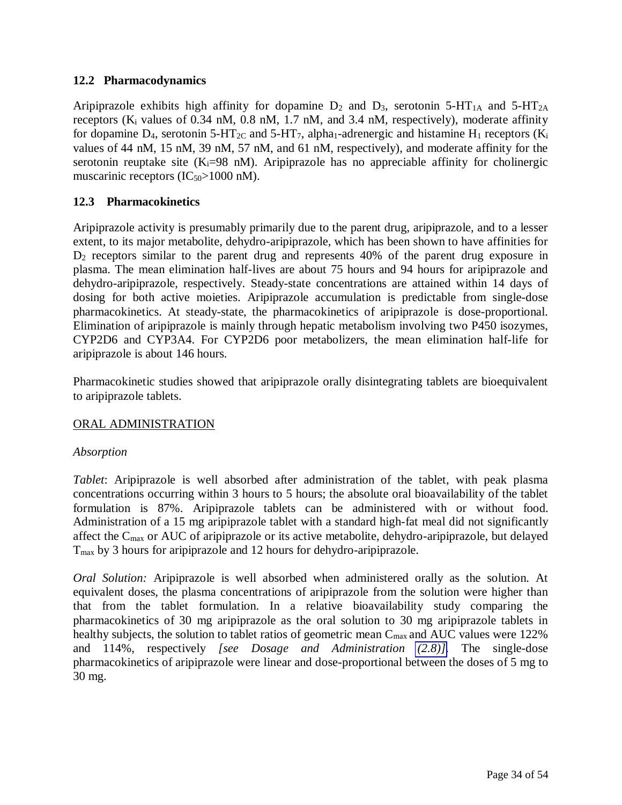### <span id="page-33-1"></span><span id="page-33-0"></span>**12.2 Pharmacodynamics**

Aripiprazole exhibits high affinity for dopamine  $D_2$  and  $D_3$ , serotonin 5-HT<sub>1A</sub> and 5-HT<sub>2A</sub> receptors ( $K_i$  values of 0.34 nM, 0.8 nM, 1.7 nM, and 3.4 nM, respectively), moderate affinity for dopamine D<sub>4</sub>, serotonin 5-HT<sub>2C</sub> and 5-HT<sub>7</sub>, alpha<sub>1</sub>-adrenergic and histamine H<sub>1</sub> receptors (K<sub>i</sub> values of 44 nM, 15 nM, 39 nM, 57 nM, and 61 nM, respectively), and moderate affinity for the serotonin reuptake site (K<sub>i</sub>=98 nM). Aripiprazole has no appreciable affinity for cholinergic muscarinic receptors  $(IC_{50} > 1000 \text{ nM}).$ 

### **12.3 Pharmacokinetics**

Aripiprazole activity is presumably primarily due to the parent drug, aripiprazole, and to a lesser extent, to its major metabolite, dehydro-aripiprazole, which has been shown to have affinities for D<sub>2</sub> receptors similar to the parent drug and represents 40% of the parent drug exposure in plasma. The mean elimination half-lives are about 75 hours and 94 hours for aripiprazole and dehydro-aripiprazole, respectively. Steady-state concentrations are attained within 14 days of dosing for both active moieties. Aripiprazole accumulation is predictable from single-dose pharmacokinetics. At steady-state, the pharmacokinetics of aripiprazole is dose-proportional. Elimination of aripiprazole is mainly through hepatic metabolism involving two P450 isozymes, CYP2D6 and CYP3A4. For CYP2D6 poor metabolizers, the mean elimination half-life for aripiprazole is about 146 hours.

Pharmacokinetic studies showed that aripiprazole orally disintegrating tablets are bioequivalent to aripiprazole tablets.

### ORAL ADMINISTRATION

### *Absorption*

*Tablet*: Aripiprazole is well absorbed after administration of the tablet, with peak plasma concentrations occurring within 3 hours to 5 hours; the absolute oral bioavailability of the tablet formulation is 87%. Aripiprazole tablets can be administered with or without food. Administration of a 15 mg aripiprazole tablet with a standard high-fat meal did not significantly affect the C<sub>max</sub> or AUC of aripiprazole or its active metabolite, dehydro-aripiprazole, but delayed Tmax by 3 hours for aripiprazole and 12 hours for dehydro-aripiprazole.

*Oral Solution:* Aripiprazole is well absorbed when administered orally as the solution. At equivalent doses, the plasma concentrations of aripiprazole from the solution were higher than that from the tablet formulation. In a relative bioavailability study comparing the pharmacokinetics of 30 mg aripiprazole as the oral solution to 30 mg aripiprazole tablets in healthy subjects, the solution to tablet ratios of geometric mean C<sub>max</sub> and AUC values were 122% and 114%, respectively *[see Dosage and Administration [\(2.8\)\]](#page-4-1)*. The single-dose pharmacokinetics of aripiprazole were linear and dose-proportional between the doses of 5 mg to 30 mg.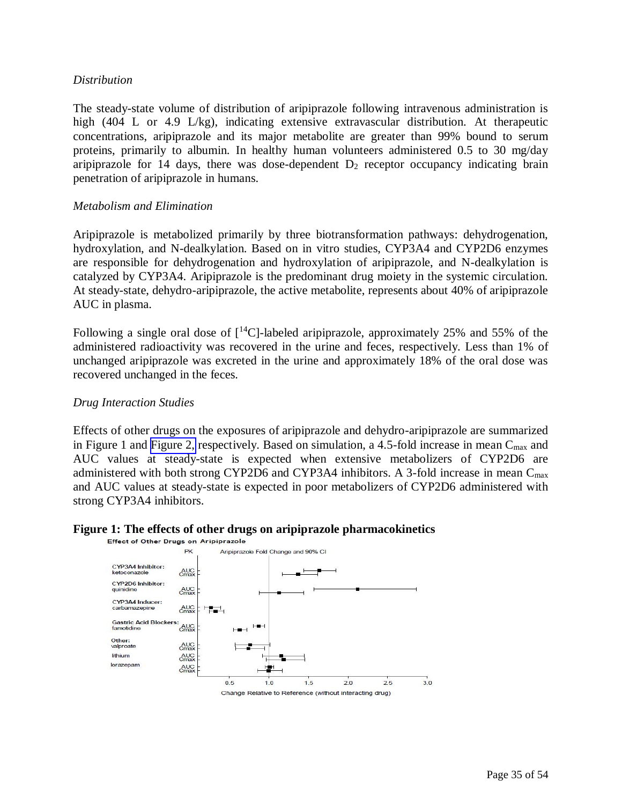#### *Distribution*

The steady-state volume of distribution of aripiprazole following intravenous administration is high (404 L or 4.9 L/kg), indicating extensive extravascular distribution. At therapeutic concentrations, aripiprazole and its major metabolite are greater than 99% bound to serum proteins, primarily to albumin. In healthy human volunteers administered 0.5 to 30 mg/day aripiprazole for 14 days, there was dose-dependent  $D_2$  receptor occupancy indicating brain penetration of aripiprazole in humans.

#### *Metabolism and Elimination*

Aripiprazole is metabolized primarily by three biotransformation pathways: dehydrogenation, hydroxylation, and N-dealkylation. Based on in vitro studies, CYP3A4 and CYP2D6 enzymes are responsible for dehydrogenation and hydroxylation of aripiprazole, and N-dealkylation is catalyzed by CYP3A4. Aripiprazole is the predominant drug moiety in the systemic circulation. At steady-state, dehydro-aripiprazole, the active metabolite, represents about 40% of aripiprazole AUC in plasma.

Following a single oral dose of  $[{}^{14}C]$ -labeled aripiprazole, approximately 25% and 55% of the administered radioactivity was recovered in the urine and feces, respectively. Less than 1% of unchanged aripiprazole was excreted in the urine and approximately 18% of the oral dose was recovered unchanged in the feces.

#### *Drug Interaction Studies*

Effects of other drugs on the exposures of aripiprazole and dehydro-aripiprazole are summarized in Figure 1 and [Figure 2,](#page-35-0) respectively. Based on simulation, a 4.5-fold increase in mean  $C_{\text{max}}$  and AUC values at steady-state is expected when extensive metabolizers of CYP2D6 are administered with both strong CYP2D6 and CYP3A4 inhibitors. A 3-fold increase in mean  $C_{\text{max}}$ and AUC values at steady-state is expected in poor metabolizers of CYP2D6 administered with strong CYP3A4 inhibitors.

# **Figure 1: The effects of other drugs on aripiprazole pharmacokinetics**<br>**Effect of Other Drugs on Aripiprazole**

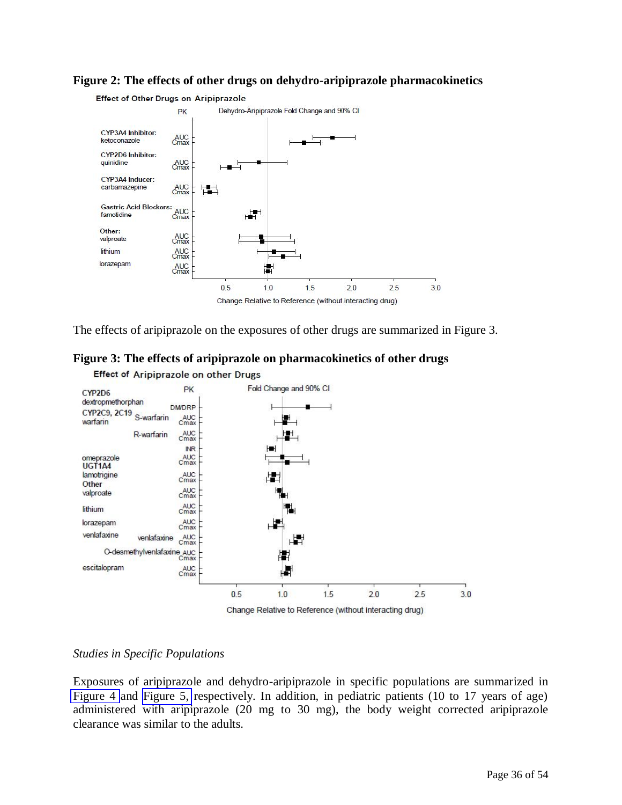#### **Figure 2: The effects of other drugs on dehydro-aripiprazole pharmacokinetics**

<span id="page-35-0"></span>

The effects of aripiprazole on the exposures of other drugs are summarized in Figure 3.





### *Studies in Specific Populations*

Exposures of aripiprazole and dehydro-aripiprazole in specific populations are summarized in [Figure 4](#page-36-0) and [Figure 5,](#page-36-0) respectively. In addition, in pediatric patients (10 to 17 years of age) administered with aripiprazole (20 mg to 30 mg), the body weight corrected aripiprazole clearance was similar to the adults.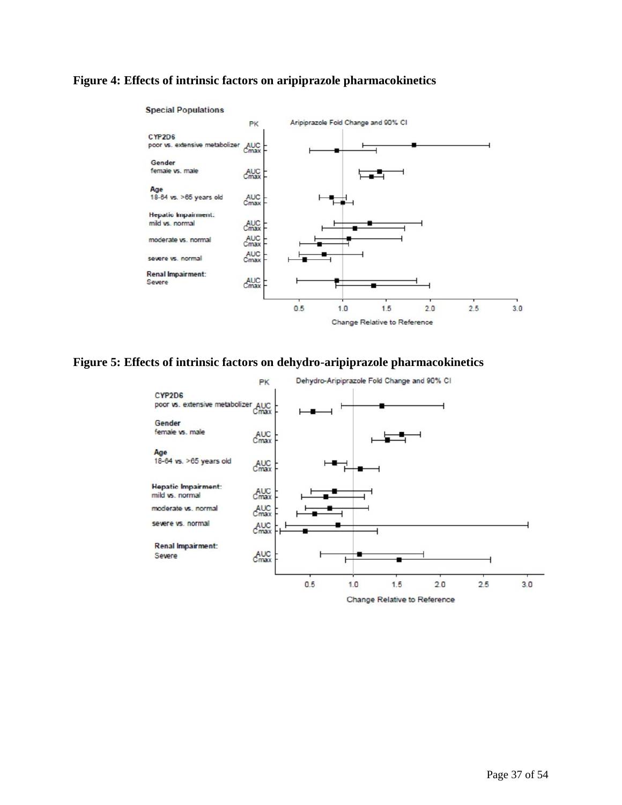### <span id="page-36-0"></span>**Figure 4: Effects of intrinsic factors on aripiprazole pharmacokinetics**



#### **Figure 5: Effects of intrinsic factors on dehydro-aripiprazole pharmacokinetics**

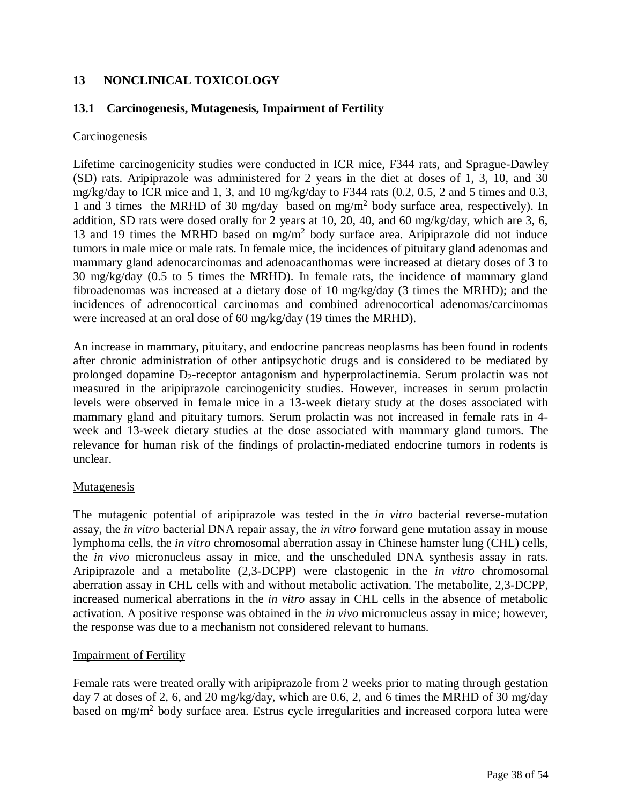### <span id="page-37-0"></span>**13 NONCLINICAL TOXICOLOGY**

### **13.1 Carcinogenesis, Mutagenesis, Impairment of Fertility**

### **Carcinogenesis**

Lifetime carcinogenicity studies were conducted in ICR mice, F344 rats, and Sprague-Dawley (SD) rats. Aripiprazole was administered for 2 years in the diet at doses of 1, 3, 10, and 30 mg/kg/day to ICR mice and 1, 3, and 10 mg/kg/day to F344 rats (0.2, 0.5, 2 and 5 times and 0.3, 1 and 3 times the MRHD of 30 mg/day based on mg/m<sup>2</sup> body surface area, respectively). In addition, SD rats were dosed orally for 2 years at 10, 20, 40, and 60 mg/kg/day, which are 3, 6, 13 and 19 times the MRHD based on  $mg/m^2$  body surface area. Aripiprazole did not induce tumors in male mice or male rats. In female mice, the incidences of pituitary gland adenomas and mammary gland adenocarcinomas and adenoacanthomas were increased at dietary doses of 3 to 30 mg/kg/day (0.5 to 5 times the MRHD). In female rats, the incidence of mammary gland fibroadenomas was increased at a dietary dose of 10 mg/kg/day (3 times the MRHD); and the incidences of adrenocortical carcinomas and combined adrenocortical adenomas/carcinomas were increased at an oral dose of 60 mg/kg/day (19 times the MRHD).

An increase in mammary, pituitary, and endocrine pancreas neoplasms has been found in rodents after chronic administration of other antipsychotic drugs and is considered to be mediated by prolonged dopamine  $D_2$ -receptor antagonism and hyperprolactinemia. Serum prolactin was not measured in the aripiprazole carcinogenicity studies. However, increases in serum prolactin levels were observed in female mice in a 13-week dietary study at the doses associated with mammary gland and pituitary tumors. Serum prolactin was not increased in female rats in 4 week and 13-week dietary studies at the dose associated with mammary gland tumors. The relevance for human risk of the findings of prolactin-mediated endocrine tumors in rodents is unclear.

### Mutagenesis

The mutagenic potential of aripiprazole was tested in the *in vitro* bacterial reverse-mutation assay, the *in vitro* bacterial DNA repair assay, the *in vitro* forward gene mutation assay in mouse lymphoma cells, the *in vitro* chromosomal aberration assay in Chinese hamster lung (CHL) cells, the *in vivo* micronucleus assay in mice, and the unscheduled DNA synthesis assay in rats. Aripiprazole and a metabolite (2,3-DCPP) were clastogenic in the *in vitro* chromosomal aberration assay in CHL cells with and without metabolic activation. The metabolite, 2,3-DCPP, increased numerical aberrations in the *in vitro* assay in CHL cells in the absence of metabolic activation. A positive response was obtained in the *in vivo* micronucleus assay in mice; however, the response was due to a mechanism not considered relevant to humans.

### Impairment of Fertility

Female rats were treated orally with aripiprazole from 2 weeks prior to mating through gestation day 7 at doses of 2, 6, and 20 mg/kg/day, which are 0.6, 2, and 6 times the MRHD of 30 mg/day based on mg/m<sup>2</sup> body surface area. Estrus cycle irregularities and increased corpora lutea were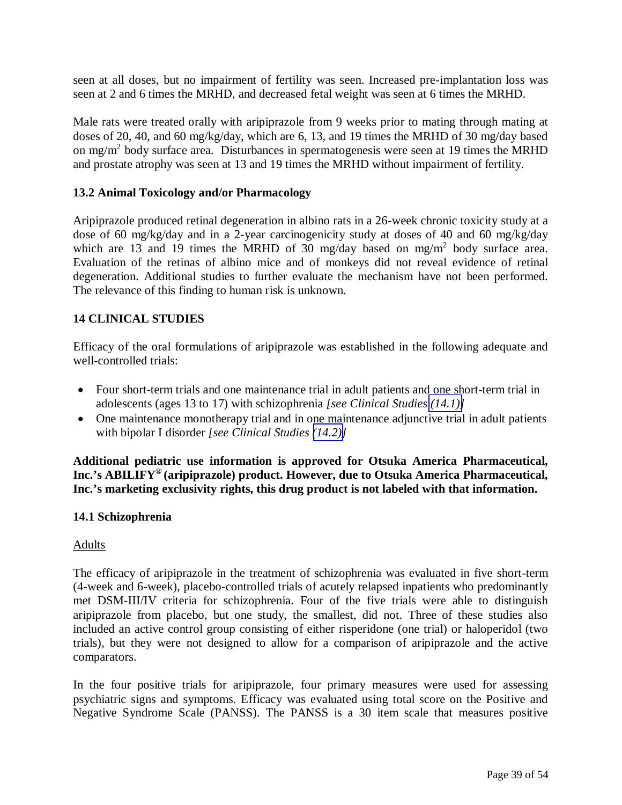<span id="page-38-1"></span><span id="page-38-0"></span>seen at all doses, but no impairment of fertility was seen. Increased pre-implantation loss was seen at 2 and 6 times the MRHD, and decreased fetal weight was seen at 6 times the MRHD.

Male rats were treated orally with aripiprazole from 9 weeks prior to mating through mating at doses of 20, 40, and 60 mg/kg/day, which are 6, 13, and 19 times the MRHD of 30 mg/day based on mg/m<sup>2</sup> body surface area. Disturbances in spermatogenesis were seen at 19 times the MRHD and prostate atrophy was seen at 13 and 19 times the MRHD without impairment of fertility.

### **13.2 Animal Toxicology and/or Pharmacology**

Aripiprazole produced retinal degeneration in albino rats in a 26-week chronic toxicity study at a dose of 60 mg/kg/day and in a 2-year carcinogenicity study at doses of 40 and 60 mg/kg/day which are 13 and 19 times the MRHD of 30 mg/day based on mg/m<sup>2</sup> body surface area. Evaluation of the retinas of albino mice and of monkeys did not reveal evidence of retinal degeneration. Additional studies to further evaluate the mechanism have not been performed. The relevance of this finding to human risk is unknown.

### **14 CLINICAL STUDIES**

Efficacy of the oral formulations of aripiprazole was established in the following adequate and well-controlled trials:

- Four short-term trials and one maintenance trial in adult patients and one short-term trial in adolescents (ages 13 to 17) with schizophrenia *[see Clinical Studies [\(14.1\)\]](#page-38-1)*
- One maintenance monotherapy trial and in one maintenance adjunctive trial in adult patients with bipolar I disorder *[see Clinical Studies [\(14.2\)\]](#page-41-0)*

**Additional pediatric use information is approved for Otsuka America Pharmaceutical, Inc.'s ABILIFY® (aripiprazole) product. However, due to Otsuka America Pharmaceutical, Inc.'s marketing exclusivity rights, this drug product is not labeled with that information.**

### **14.1 Schizophrenia**

### Adults

The efficacy of aripiprazole in the treatment of schizophrenia was evaluated in five short-term (4-week and 6-week), placebo-controlled trials of acutely relapsed inpatients who predominantly met DSM-III/IV criteria for schizophrenia. Four of the five trials were able to distinguish aripiprazole from placebo, but one study, the smallest, did not. Three of these studies also included an active control group consisting of either risperidone (one trial) or haloperidol (two trials), but they were not designed to allow for a comparison of aripiprazole and the active comparators.

In the four positive trials for aripiprazole, four primary measures were used for assessing psychiatric signs and symptoms. Efficacy was evaluated using total score on the Positive and Negative Syndrome Scale (PANSS). The PANSS is a 30 item scale that measures positive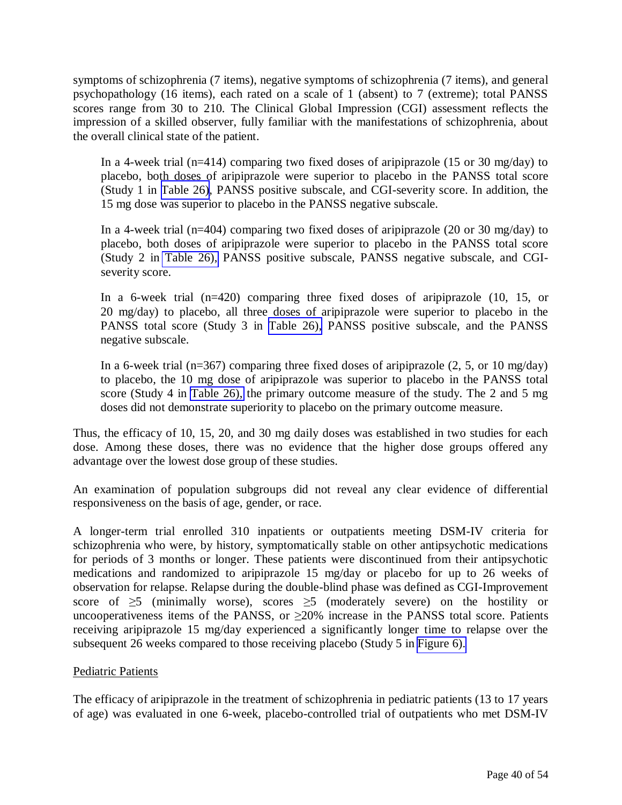symptoms of schizophrenia (7 items), negative symptoms of schizophrenia (7 items), and general psychopathology (16 items), each rated on a scale of 1 (absent) to 7 (extreme); total PANSS scores range from 30 to 210. The Clinical Global Impression (CGI) assessment reflects the impression of a skilled observer, fully familiar with the manifestations of schizophrenia, about the overall clinical state of the patient.

In a 4-week trial (n=414) comparing two fixed doses of aripiprazole (15 or 30 mg/day) to placebo, both doses of aripiprazole were superior to placebo in the PANSS total score (Study 1 in [Table 26\)](#page-40-0), PANSS positive subscale, and CGI-severity score. In addition, the 15 mg dose was superior to placebo in the PANSS negative subscale.

In a 4-week trial (n=404) comparing two fixed doses of aripiprazole (20 or 30 mg/day) to placebo, both doses of aripiprazole were superior to placebo in the PANSS total score (Study 2 in [Table 26\),](#page-40-1) PANSS positive subscale, PANSS negative subscale, and CGIseverity score.

In a 6-week trial (n=420) comparing three fixed doses of aripiprazole (10, 15, or 20 mg/day) to placebo, all three doses of aripiprazole were superior to placebo in the PANSS total score (Study 3 in [Table 26\),](#page-40-1) PANSS positive subscale, and the PANSS negative subscale.

In a 6-week trial (n=367) comparing three fixed doses of aripiprazole  $(2, 5, 0r 10 \text{ mg/day})$ to placebo, the 10 mg dose of aripiprazole was superior to placebo in the PANSS total score (Study 4 in [Table 26\),](#page-40-1) the primary outcome measure of the study. The 2 and 5 mg doses did not demonstrate superiority to placebo on the primary outcome measure.

Thus, the efficacy of 10, 15, 20, and 30 mg daily doses was established in two studies for each dose. Among these doses, there was no evidence that the higher dose groups offered any advantage over the lowest dose group of these studies.

An examination of population subgroups did not reveal any clear evidence of differential responsiveness on the basis of age, gender, or race.

A longer-term trial enrolled 310 inpatients or outpatients meeting DSM-IV criteria for schizophrenia who were, by history, symptomatically stable on other antipsychotic medications for periods of 3 months or longer. These patients were discontinued from their antipsychotic medications and randomized to aripiprazole 15 mg/day or placebo for up to 26 weeks of observation for relapse. Relapse during the double-blind phase was defined as CGI-Improvement score of  $\geq$ 5 (minimally worse), scores  $\geq$ 5 (moderately severe) on the hostility or uncooperativeness items of the PANSS, or  $\geq$ 20% increase in the PANSS total score. Patients receiving aripiprazole 15 mg/day experienced a significantly longer time to relapse over the subsequent 26 weeks compared to those receiving placebo (Study 5 in [Figure 6\).](#page-41-1) 

### Pediatric Patients

The efficacy of aripiprazole in the treatment of schizophrenia in pediatric patients (13 to 17 years of age) was evaluated in one 6-week, placebo-controlled trial of outpatients who met DSM-IV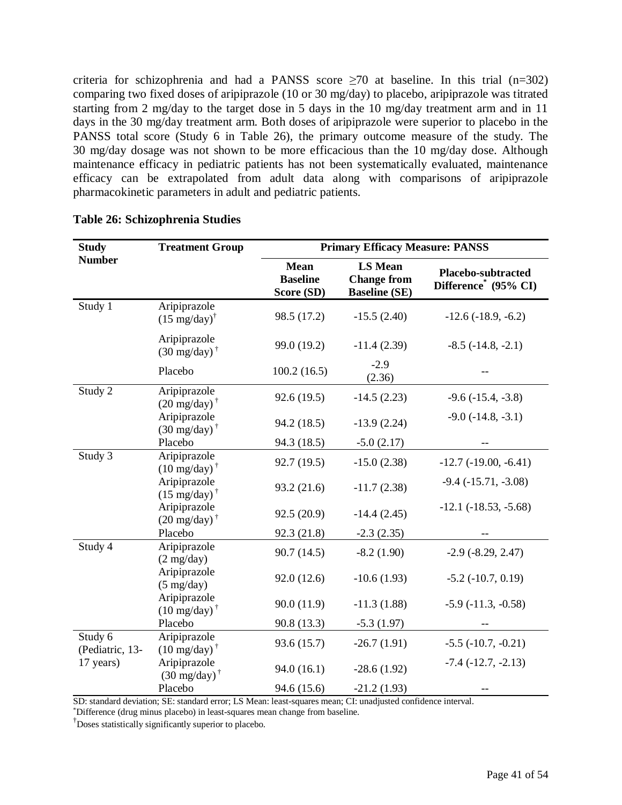<span id="page-40-1"></span><span id="page-40-0"></span>criteria for schizophrenia and had a PANSS score  $\geq 70$  at baseline. In this trial (n=302) comparing two fixed doses of aripiprazole (10 or 30 mg/day) to placebo, aripiprazole was titrated starting from 2 mg/day to the target dose in 5 days in the 10 mg/day treatment arm and in 11 days in the 30 mg/day treatment arm. Both doses of aripiprazole were superior to placebo in the PANSS total score (Study 6 in Table 26), the primary outcome measure of the study. The 30 mg/day dosage was not shown to be more efficacious than the 10 mg/day dose. Although maintenance efficacy in pediatric patients has not been systematically evaluated, maintenance efficacy can be extrapolated from adult data along with comparisons of aripiprazole pharmacokinetic parameters in adult and pediatric patients.

| <b>Study</b>               | <b>Treatment Group</b>                          | <b>Primary Efficacy Measure: PANSS</b>       |                                                              |                                                        |  |  |
|----------------------------|-------------------------------------------------|----------------------------------------------|--------------------------------------------------------------|--------------------------------------------------------|--|--|
| <b>Number</b>              |                                                 | <b>Mean</b><br><b>Baseline</b><br>Score (SD) | <b>LS Mean</b><br><b>Change from</b><br><b>Baseline (SE)</b> | Placebo-subtracted<br>Difference <sup>*</sup> (95% CI) |  |  |
| Study 1                    | Aripiprazole<br>$(15 \text{ mg/day})^{\dagger}$ | 98.5 (17.2)                                  | $-15.5(2.40)$                                                | $-12.6(-18.9, -6.2)$                                   |  |  |
|                            | Aripiprazole<br>$(30 \text{ mg/day})^{\dagger}$ | 99.0 (19.2)                                  | $-11.4(2.39)$                                                | $-8.5$ $(-14.8, -2.1)$                                 |  |  |
|                            | Placebo                                         | 100.2(16.5)                                  | $-2.9$<br>(2.36)                                             |                                                        |  |  |
| Study 2                    | Aripiprazole<br>$(20 \text{ mg/day})^{\dagger}$ | 92.6 (19.5)                                  | $-14.5(2.23)$                                                | $-9.6$ $(-15.4, -3.8)$                                 |  |  |
|                            | Aripiprazole<br>$(30 \text{ mg/day})^{\dagger}$ | 94.2 (18.5)                                  | $-13.9(2.24)$                                                | $-9.0$ $(-14.8, -3.1)$                                 |  |  |
|                            | Placebo                                         | 94.3 (18.5)                                  | $-5.0(2.17)$                                                 |                                                        |  |  |
| Study 3                    | Aripiprazole<br>$(10 \text{ mg/day})^{\dagger}$ | 92.7 (19.5)                                  | $-15.0(2.38)$                                                | $-12.7$ $(-19.00, -6.41)$                              |  |  |
|                            | Aripiprazole<br>$(15 \text{ mg/day})^{\dagger}$ | 93.2 (21.6)                                  | $-11.7(2.38)$                                                | $-9.4$ $(-15.71, -3.08)$                               |  |  |
|                            | Aripiprazole<br>$(20 \text{ mg/day})^{\dagger}$ | 92.5 (20.9)                                  | $-14.4(2.45)$                                                | $-12.1$ $(-18.53, -5.68)$                              |  |  |
|                            | Placebo                                         | 92.3 (21.8)                                  | $-2.3(2.35)$                                                 |                                                        |  |  |
| Study 4                    | Aripiprazole<br>$(2 \text{ mg/day})$            | 90.7(14.5)                                   | $-8.2(1.90)$                                                 | $-2.9$ $(-8.29, 2.47)$                                 |  |  |
|                            | Aripiprazole<br>$(5 \text{ mg/day})$            | 92.0 (12.6)                                  | $-10.6(1.93)$                                                | $-5.2$ $(-10.7, 0.19)$                                 |  |  |
|                            | Aripiprazole<br>$(10 \text{ mg/day})^{\dagger}$ | 90.0(11.9)                                   | $-11.3(1.88)$                                                | $-5.9$ $(-11.3, -0.58)$                                |  |  |
|                            | Placebo                                         | 90.8 (13.3)                                  | $-5.3(1.97)$                                                 |                                                        |  |  |
| Study 6<br>(Pediatric, 13- | Aripiprazole<br>$(10 \text{ mg/day})^{\dagger}$ | 93.6 (15.7)                                  | $-26.7(1.91)$                                                | $-5.5$ $(-10.7, -0.21)$                                |  |  |
| 17 years)                  | Aripiprazole<br>$(30 \text{ mg/day})^{\dagger}$ | 94.0(16.1)                                   | $-28.6(1.92)$                                                | $-7.4$ $(-12.7, -2.13)$                                |  |  |
|                            | Placebo                                         | 94.6 (15.6)                                  | $-21.2(1.93)$                                                |                                                        |  |  |

#### **Table 26: Schizophrenia Studies**

SD: standard deviation; SE: standard error; LS Mean: least-squares mean; CI: unadjusted confidence interval.

\*Difference (drug minus placebo) in least-squares mean change from baseline.

†Doses statistically significantly superior to placebo.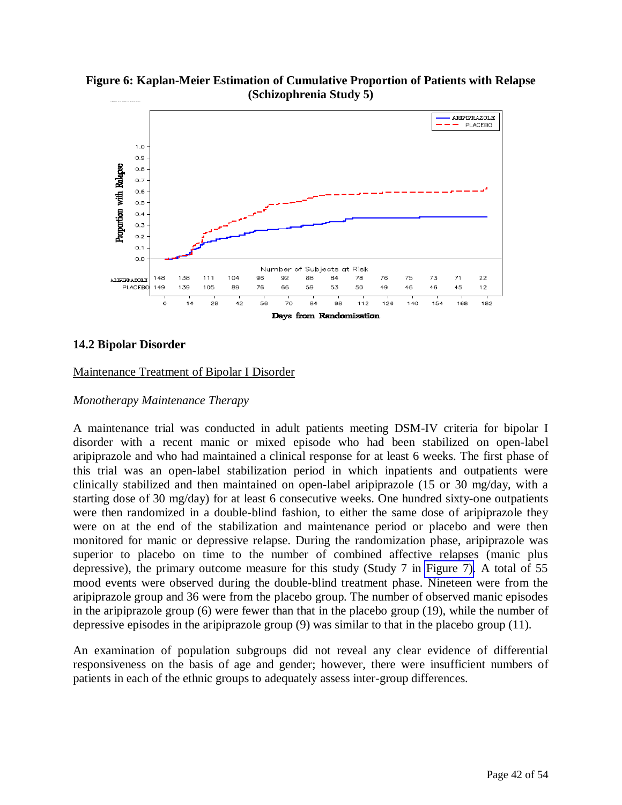

<span id="page-41-1"></span><span id="page-41-0"></span>**Figure 6: Kaplan-Meier Estimation of Cumulative Proportion of Patients with Relapse (Schizophrenia Study 5)**

#### **14.2 Bipolar Disorder**

#### Maintenance Treatment of Bipolar I Disorder

#### *Monotherapy Maintenance Therapy*

A maintenance trial was conducted in adult patients meeting DSM-IV criteria for bipolar I disorder with a recent manic or mixed episode who had been stabilized on open-label aripiprazole and who had maintained a clinical response for at least 6 weeks. The first phase of this trial was an open-label stabilization period in which inpatients and outpatients were clinically stabilized and then maintained on open-label aripiprazole (15 or 30 mg/day, with a starting dose of 30 mg/day) for at least 6 consecutive weeks. One hundred sixty-one outpatients were then randomized in a double-blind fashion, to either the same dose of aripiprazole they were on at the end of the stabilization and maintenance period or placebo and were then monitored for manic or depressive relapse. During the randomization phase, aripiprazole was superior to placebo on time to the number of combined affective relapses (manic plus depressive), the primary outcome measure for this study (Study 7 in [Figure 7\).](#page-42-0) A total of 55 mood events were observed during the double-blind treatment phase. Nineteen were from the aripiprazole group and 36 were from the placebo group. The number of observed manic episodes in the aripiprazole group (6) were fewer than that in the placebo group (19), while the number of depressive episodes in the aripiprazole group (9) was similar to that in the placebo group (11).

An examination of population subgroups did not reveal any clear evidence of differential responsiveness on the basis of age and gender; however, there were insufficient numbers of patients in each of the ethnic groups to adequately assess inter-group differences.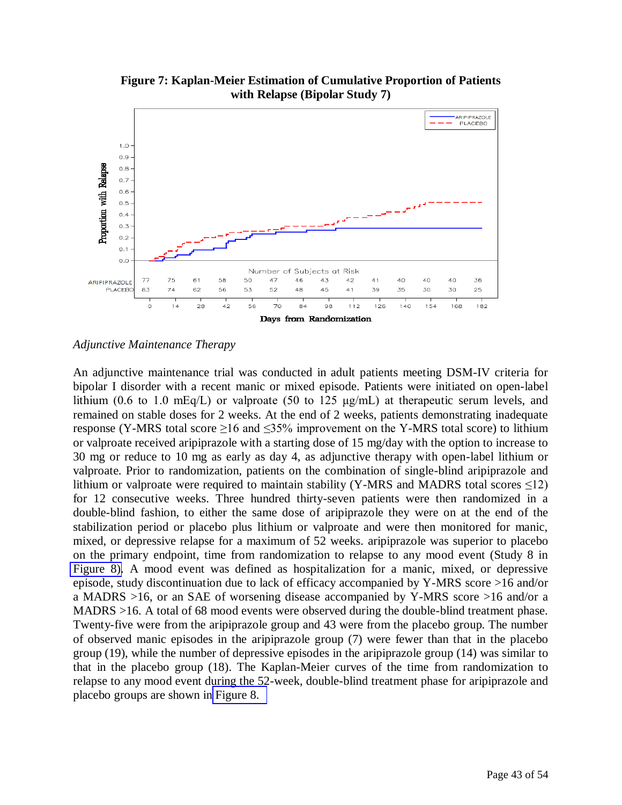<span id="page-42-0"></span>

**Figure 7: Kaplan-Meier Estimation of Cumulative Proportion of Patients with Relapse (Bipolar Study 7)** 

#### *Adjunctive Maintenance Therapy*

An adjunctive maintenance trial was conducted in adult patients meeting DSM-IV criteria for bipolar I disorder with a recent manic or mixed episode. Patients were initiated on open-label lithium (0.6 to 1.0 mEq/L) or valproate (50 to 125 μg/mL) at therapeutic serum levels, and remained on stable doses for 2 weeks. At the end of 2 weeks, patients demonstrating inadequate response (Y-MRS total score  $\geq$ 16 and  $\leq$ 35% improvement on the Y-MRS total score) to lithium or valproate received aripiprazole with a starting dose of 15 mg/day with the option to increase to 30 mg or reduce to 10 mg as early as day 4, as adjunctive therapy with open-label lithium or valproate. Prior to randomization, patients on the combination of single-blind aripiprazole and lithium or valproate were required to maintain stability (Y-MRS and MADRS total scores  $\leq$ 12) for 12 consecutive weeks. Three hundred thirty-seven patients were then randomized in a double-blind fashion, to either the same dose of aripiprazole they were on at the end of the stabilization period or placebo plus lithium or valproate and were then monitored for manic, mixed, or depressive relapse for a maximum of 52 weeks. aripiprazole was superior to placebo on the primary endpoint, time from randomization to relapse to any mood event (Study 8 in [Figure 8\).](#page-43-1) A mood event was defined as hospitalization for a manic, mixed, or depressive episode, study discontinuation due to lack of efficacy accompanied by Y-MRS score >16 and/or a MADRS >16, or an SAE of worsening disease accompanied by Y-MRS score >16 and/or a MADRS >16. A total of 68 mood events were observed during the double-blind treatment phase. Twenty-five were from the aripiprazole group and 43 were from the placebo group. The number of observed manic episodes in the aripiprazole group (7) were fewer than that in the placebo group (19), while the number of depressive episodes in the aripiprazole group (14) was similar to that in the placebo group (18). The Kaplan-Meier curves of the time from randomization to relapse to any mood event during the 52-week, double-blind treatment phase for aripiprazole and placebo groups are shown i[n Figure 8.](#page-43-2)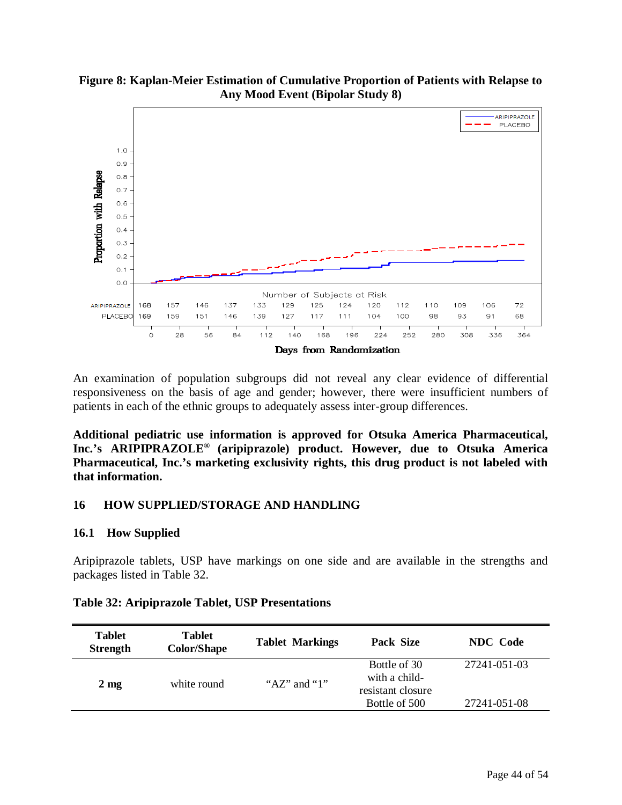<span id="page-43-2"></span><span id="page-43-1"></span>

<span id="page-43-0"></span>

An examination of population subgroups did not reveal any clear evidence of differential responsiveness on the basis of age and gender; however, there were insufficient numbers of patients in each of the ethnic groups to adequately assess inter-group differences.

**Additional pediatric use information is approved for Otsuka America Pharmaceutical, Inc.'s ARIPIPRAZOLE® (aripiprazole) product. However, due to Otsuka America Pharmaceutical, Inc.'s marketing exclusivity rights, this drug product is not labeled with that information.** 

#### **16 HOW SUPPLIED/STORAGE AND HANDLING**

#### **16.1 How Supplied**

Aripiprazole tablets, USP have markings on one side and are available in the strengths and packages listed in Table 32.

| <b>Tablet</b><br><b>Strength</b> | <b>Tablet</b><br><b>Color/Shape</b> | <b>Tablet Markings</b> | Pack Size                                                           | <b>NDC</b> Code              |
|----------------------------------|-------------------------------------|------------------------|---------------------------------------------------------------------|------------------------------|
| $2 \text{ mg}$                   | white round                         | " $AZ$ " and "1"       | Bottle of 30<br>with a child-<br>resistant closure<br>Bottle of 500 | 27241-051-03<br>27241-051-08 |

#### **Table 32: Aripiprazole Tablet, USP Presentations**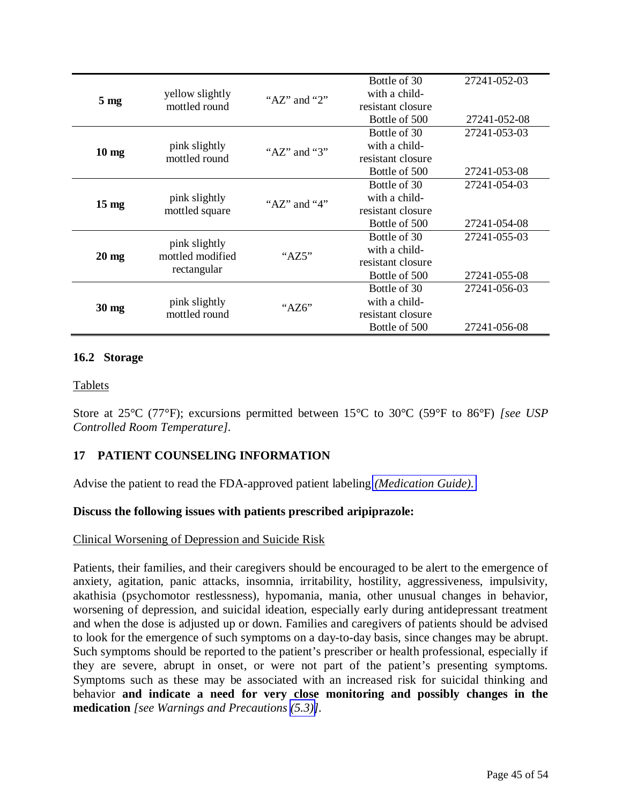<span id="page-44-1"></span><span id="page-44-0"></span>

|                 |                                   |                  | Bottle of 30      | 27241-052-03 |
|-----------------|-----------------------------------|------------------|-------------------|--------------|
| 5 <sub>mg</sub> | yellow slightly                   | " $AZ$ " and "2" | with a child-     |              |
|                 | mottled round                     |                  | resistant closure |              |
|                 |                                   |                  | Bottle of 500     | 27241-052-08 |
|                 |                                   |                  | Bottle of 30      | 27241-053-03 |
|                 | pink slightly                     | " $AZ$ " and "3" | with a child-     |              |
| $10 \text{ mg}$ | mottled round                     |                  | resistant closure |              |
|                 |                                   |                  | Bottle of 500     | 27241-053-08 |
|                 |                                   |                  | Bottle of 30      | 27241-054-03 |
|                 | pink slightly                     | " $AZ$ " and "4" | with a child-     |              |
| $15 \text{ mg}$ | mottled square                    |                  | resistant closure |              |
|                 |                                   |                  | Bottle of 500     | 27241-054-08 |
|                 |                                   |                  | Bottle of 30      | 27241-055-03 |
|                 | pink slightly<br>mottled modified | " $AZ5"$         | with a child-     |              |
| $20 \text{ mg}$ |                                   |                  | resistant closure |              |
|                 | rectangular                       |                  | Bottle of 500     | 27241-055-08 |
|                 |                                   |                  | Bottle of 30      | 27241-056-03 |
|                 | pink slightly                     | "AZ6"            | with a child-     |              |
| $30 \text{ mg}$ | mottled round                     |                  | resistant closure |              |
|                 |                                   |                  | Bottle of 500     | 27241-056-08 |

### **16.2 Storage**

### Tablets

Store at 25°C (77°F); excursions permitted between 15°C to 30°C (59°F to 86°F) *[see USP Controlled Room Temperature].*

### **17 PATIENT COUNSELING INFORMATION**

Advise the patient to read the FDA-approved patient labeling *[\(Medication Guide\).](#page-47-0)* 

### **Discuss the following issues with patients prescribed aripiprazole:**

### Clinical Worsening of Depression and Suicide Risk

Patients, their families, and their caregivers should be encouraged to be alert to the emergence of anxiety, agitation, panic attacks, insomnia, irritability, hostility, aggressiveness, impulsivity, akathisia (psychomotor restlessness), hypomania, mania, other unusual changes in behavior, worsening of depression, and suicidal ideation, especially early during antidepressant treatment and when the dose is adjusted up or down. Families and caregivers of patients should be advised to look for the emergence of such symptoms on a day-to-day basis, since changes may be abrupt. Such symptoms should be reported to the patient's prescriber or health professional, especially if they are severe, abrupt in onset, or were not part of the patient's presenting symptoms. Symptoms such as these may be associated with an increased risk for suicidal thinking and behavior **and indicate a need for very close monitoring and possibly changes in the medication** *[see Warnings and Precautions [\(5.3\)\]](#page-5-1).*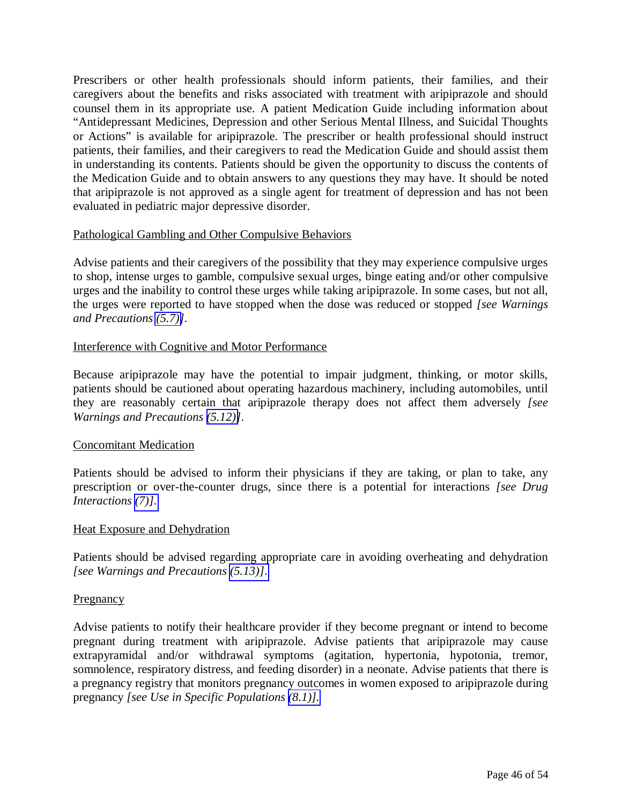Prescribers or other health professionals should inform patients, their families, and their caregivers about the benefits and risks associated with treatment with aripiprazole and should counsel them in its appropriate use. A patient Medication Guide including information about "Antidepressant Medicines, Depression and other Serious Mental Illness, and Suicidal Thoughts or Actions" is available for aripiprazole. The prescriber or health professional should instruct patients, their families, and their caregivers to read the Medication Guide and should assist them in understanding its contents. Patients should be given the opportunity to discuss the contents of the Medication Guide and to obtain answers to any questions they may have. It should be noted that aripiprazole is not approved as a single agent for treatment of depression and has not been evaluated in pediatric major depressive disorder.

### Pathological Gambling and Other Compulsive Behaviors

Advise patients and their caregivers of the possibility that they may experience compulsive urges to shop, intense urges to gamble, compulsive sexual urges, binge eating and/or other compulsive urges and the inability to control these urges while taking aripiprazole. In some cases, but not all, the urges were reported to have stopped when the dose was reduced or stopped *[see Warnings and Precautions [\(5.7\)\]](#page-14-1).* 

### Interference with Cognitive and Motor Performance

Because aripiprazole may have the potential to impair judgment, thinking, or motor skills, patients should be cautioned about operating hazardous machinery, including automobiles, until they are reasonably certain that aripiprazole therapy does not affect them adversely *[see Warnings and Precautions [\(5.12\)\]](#page-15-1)*.

### Concomitant Medication

Patients should be advised to inform their physicians if they are taking, or plan to take, any prescription or over-the-counter drugs, since there is a potential for interactions *[see Drug Interactions [\(7\)\].](#page-25-0)* 

### Heat Exposure and Dehydration

Patients should be advised regarding appropriate care in avoiding overheating and dehydration *[see Warnings and Precautions [\(5.13\)\]](#page-16-0)*.

### **Pregnancy**

Advise patients to notify their healthcare provider if they become pregnant or intend to become pregnant during treatment with aripiprazole. Advise patients that aripiprazole may cause extrapyramidal and/or withdrawal symptoms (agitation, hypertonia, hypotonia, tremor, somnolence, respiratory distress, and feeding disorder) in a neonate. Advise patients that there is a pregnancy registry that monitors pregnancy outcomes in women exposed to aripiprazole during pregnancy *[see Use in Specific Populations [\(8.1\)\].](#page-26-0)*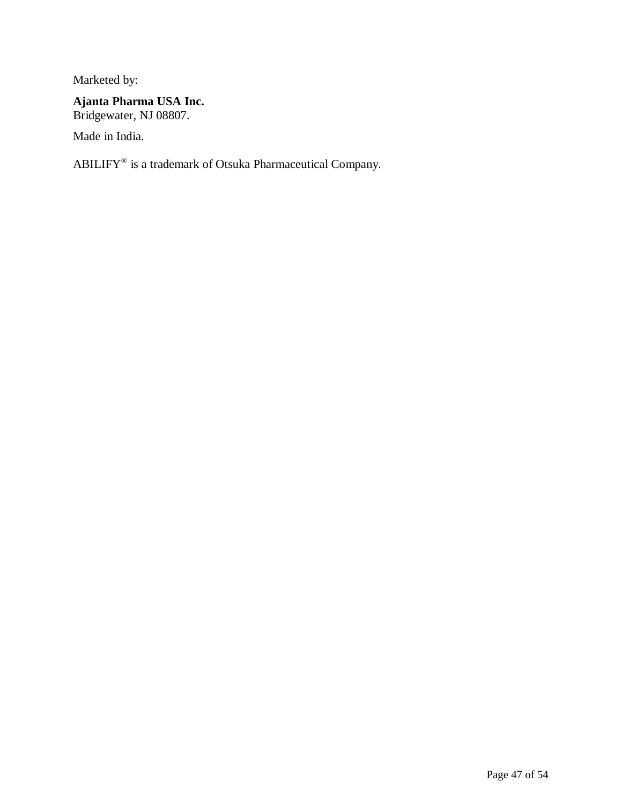Marketed by:

# **Ajanta Pharma USA Inc.**

Bridgewater, NJ 08807.

Made in India.

ABILIFY $^{\circ}$  is a trademark of Otsuka Pharmaceutical Company.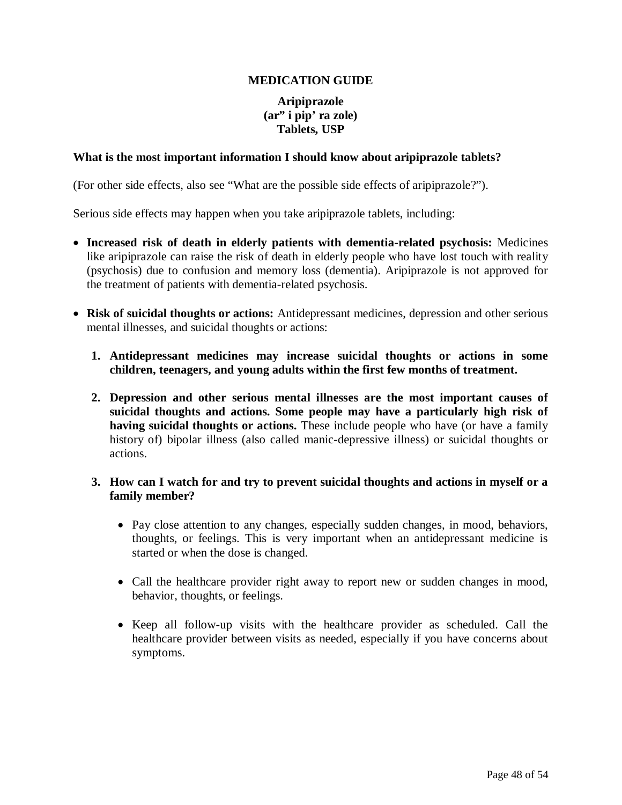### **MEDICATION GUIDE**

### **Aripiprazole (ar" i pip' ra zole) Tablets, USP**

#### <span id="page-47-0"></span>**What is the most important information I should know about aripiprazole tablets?**

(For other side effects, also see "What are the possible side effects of aripiprazole?").

Serious side effects may happen when you take aripiprazole tablets, including:

- **Increased risk of death in elderly patients with dementia-related psychosis:** Medicines like aripiprazole can raise the risk of death in elderly people who have lost touch with reality (psychosis) due to confusion and memory loss (dementia). Aripiprazole is not approved for the treatment of patients with dementia-related psychosis.
- **Risk of suicidal thoughts or actions:** Antidepressant medicines, depression and other serious mental illnesses, and suicidal thoughts or actions:
	- **1. Antidepressant medicines may increase suicidal thoughts or actions in some children, teenagers, and young adults within the first few months of treatment.**
	- **2. Depression and other serious mental illnesses are the most important causes of suicidal thoughts and actions. Some people may have a particularly high risk of having suicidal thoughts or actions.** These include people who have (or have a family history of) bipolar illness (also called manic-depressive illness) or suicidal thoughts or actions.

### **3. How can I watch for and try to prevent suicidal thoughts and actions in myself or a family member?**

- Pay close attention to any changes, especially sudden changes, in mood, behaviors, thoughts, or feelings. This is very important when an antidepressant medicine is started or when the dose is changed.
- Call the healthcare provider right away to report new or sudden changes in mood, behavior, thoughts, or feelings.
- Keep all follow-up visits with the healthcare provider as scheduled. Call the healthcare provider between visits as needed, especially if you have concerns about symptoms.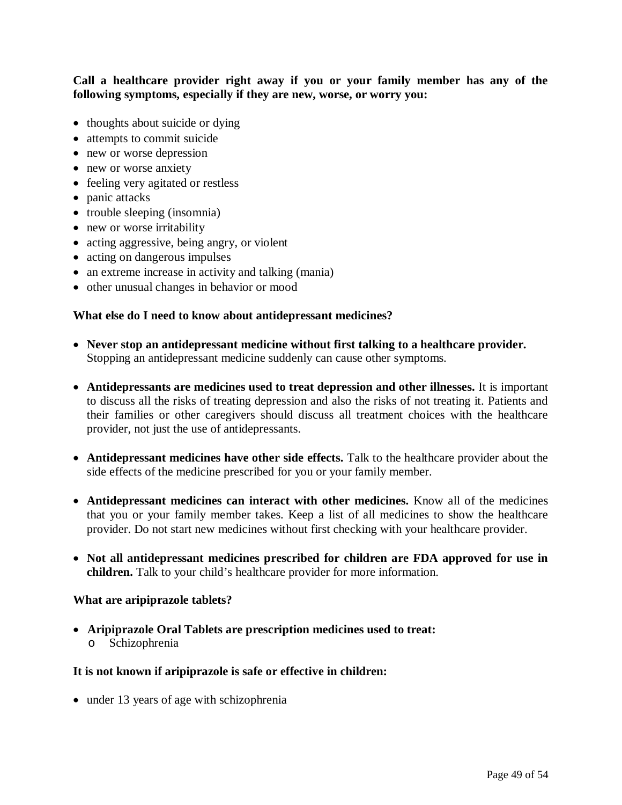**Call a healthcare provider right away if you or your family member has any of the following symptoms, especially if they are new, worse, or worry you:** 

- thoughts about suicide or dying
- attempts to commit suicide
- new or worse depression
- new or worse anxiety
- feeling very agitated or restless
- panic attacks
- trouble sleeping (insomnia)
- new or worse irritability
- acting aggressive, being angry, or violent
- acting on dangerous impulses
- an extreme increase in activity and talking (mania)
- other unusual changes in behavior or mood

#### **What else do I need to know about antidepressant medicines?**

- **Never stop an antidepressant medicine without first talking to a healthcare provider.**  Stopping an antidepressant medicine suddenly can cause other symptoms.
- **Antidepressants are medicines used to treat depression and other illnesses.** It is important to discuss all the risks of treating depression and also the risks of not treating it. Patients and their families or other caregivers should discuss all treatment choices with the healthcare provider, not just the use of antidepressants.
- Antidepressant medicines have other side effects. Talk to the healthcare provider about the side effects of the medicine prescribed for you or your family member.
- **Antidepressant medicines can interact with other medicines.** Know all of the medicines that you or your family member takes. Keep a list of all medicines to show the healthcare provider. Do not start new medicines without first checking with your healthcare provider.
- **Not all antidepressant medicines prescribed for children are FDA approved for use in children.** Talk to your child's healthcare provider for more information.

#### **What are aripiprazole tablets?**

 **Aripiprazole Oral Tablets are prescription medicines used to treat:** o Schizophrenia

#### **It is not known if aripiprazole is safe or effective in children:**

• under 13 years of age with schizophrenia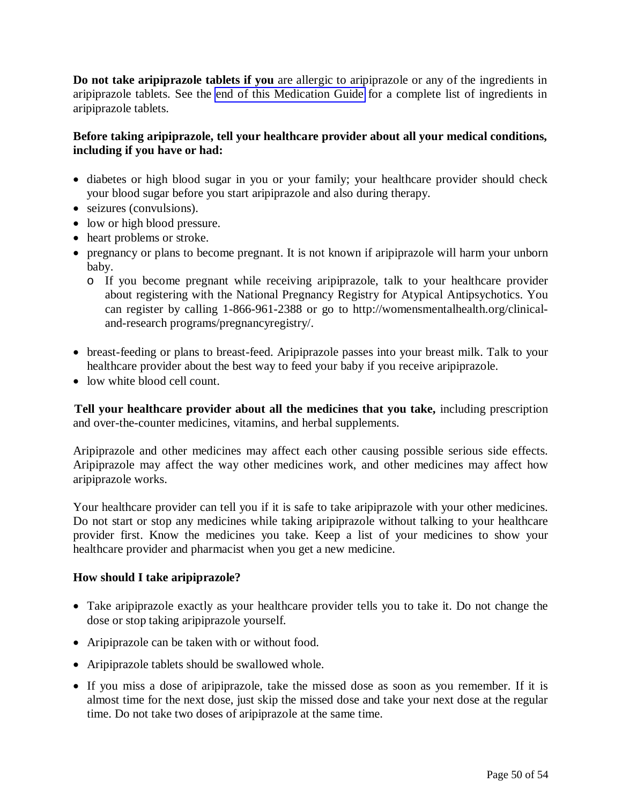**Do not take aripiprazole tablets if you** are allergic to aripiprazole or any of the ingredients in aripiprazole tablets. See the [end of this Medication Guide](#page-52-0) for a complete list of ingredients in aripiprazole tablets.

### **Before taking aripiprazole, tell your healthcare provider about all your medical conditions, including if you have or had:**

- diabetes or high blood sugar in you or your family; your healthcare provider should check your blood sugar before you start aripiprazole and also during therapy.
- seizures (convulsions).
- low or high blood pressure.
- heart problems or stroke.
- pregnancy or plans to become pregnant. It is not known if aripiprazole will harm your unborn baby.
	- o If you become pregnant while receiving aripiprazole, talk to your healthcare provider about registering with the National Pregnancy Registry for Atypical Antipsychotics. You can register by calling 1-866-961-2388 or go to http://womensmentalhealth.org/clinicaland-research programs/pregnancyregistry/.
- breast-feeding or plans to breast-feed. Aripiprazole passes into your breast milk. Talk to your healthcare provider about the best way to feed your baby if you receive aripiprazole.
- low white blood cell count.

 **Tell your healthcare provider about all the medicines that you take,** including prescription and over-the-counter medicines, vitamins, and herbal supplements.

Aripiprazole and other medicines may affect each other causing possible serious side effects. Aripiprazole may affect the way other medicines work, and other medicines may affect how aripiprazole works.

Your healthcare provider can tell you if it is safe to take aripiprazole with your other medicines. Do not start or stop any medicines while taking aripiprazole without talking to your healthcare provider first. Know the medicines you take. Keep a list of your medicines to show your healthcare provider and pharmacist when you get a new medicine.

### **How should I take aripiprazole?**

- Take aripiprazole exactly as your healthcare provider tells you to take it. Do not change the dose or stop taking aripiprazole yourself.
- Aripiprazole can be taken with or without food.
- Aripiprazole tablets should be swallowed whole.
- If you miss a dose of aripiprazole, take the missed dose as soon as you remember. If it is almost time for the next dose, just skip the missed dose and take your next dose at the regular time. Do not take two doses of aripiprazole at the same time.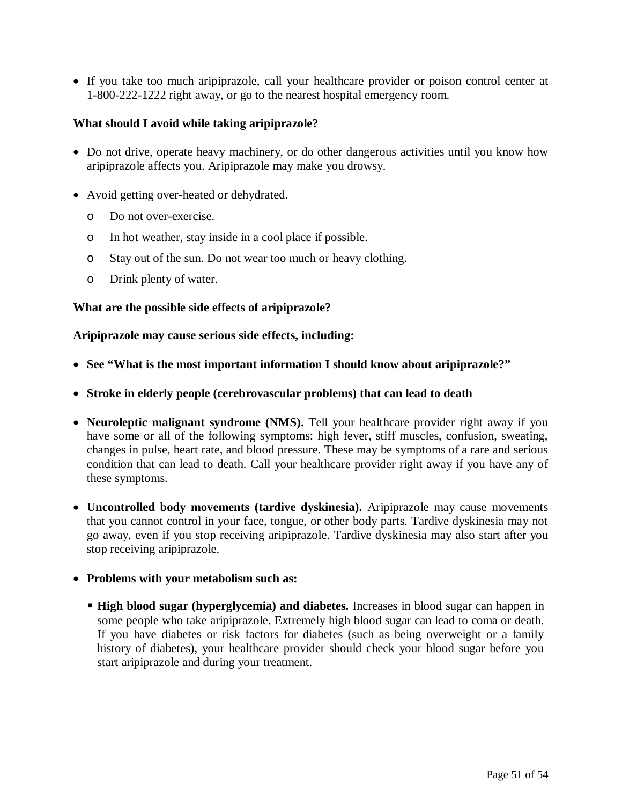If you take too much aripiprazole, call your healthcare provider or poison control center at 1-800-222-1222 right away, or go to the nearest hospital emergency room.

### **What should I avoid while taking aripiprazole?**

- Do not drive, operate heavy machinery, or do other dangerous activities until you know how aripiprazole affects you. Aripiprazole may make you drowsy.
- Avoid getting over-heated or dehydrated.
	- o Do not over-exercise.
	- o In hot weather, stay inside in a cool place if possible.
	- o Stay out of the sun. Do not wear too much or heavy clothing.
	- o Drink plenty of water.

### **What are the possible side effects of aripiprazole?**

**Aripiprazole may cause serious side effects, including:** 

- **See "What is the most important information I should know about aripiprazole?"**
- **Stroke in elderly people (cerebrovascular problems) that can lead to death**
- Neuroleptic malignant syndrome (NMS). Tell your healthcare provider right away if you have some or all of the following symptoms: high fever, stiff muscles, confusion, sweating, changes in pulse, heart rate, and blood pressure. These may be symptoms of a rare and serious condition that can lead to death. Call your healthcare provider right away if you have any of these symptoms.
- **Uncontrolled body movements (tardive dyskinesia).** Aripiprazole may cause movements that you cannot control in your face, tongue, or other body parts. Tardive dyskinesia may not go away, even if you stop receiving aripiprazole. Tardive dyskinesia may also start after you stop receiving aripiprazole.
- **Problems with your metabolism such as:** 
	- **High blood sugar (hyperglycemia) and diabetes.** Increases in blood sugar can happen in some people who take aripiprazole. Extremely high blood sugar can lead to coma or death. If you have diabetes or risk factors for diabetes (such as being overweight or a family history of diabetes), your healthcare provider should check your blood sugar before you start aripiprazole and during your treatment.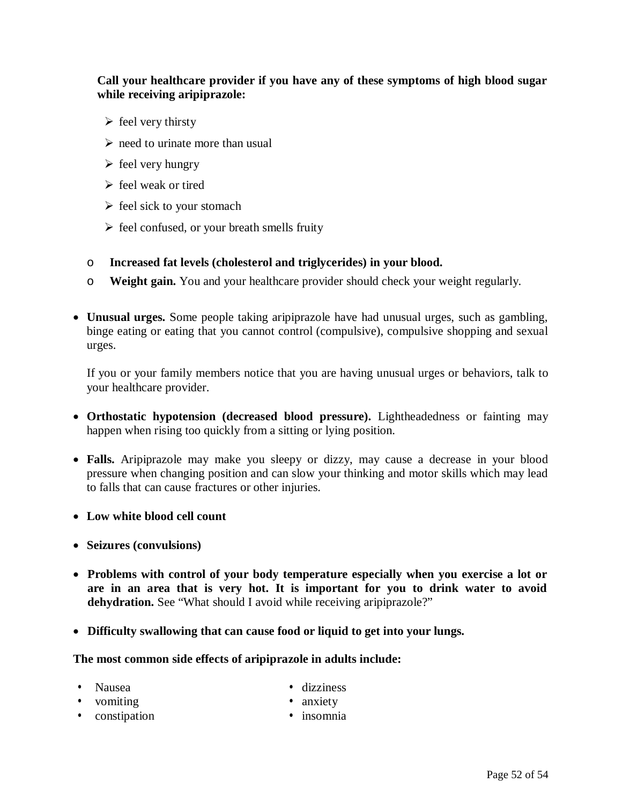### **Call your healthcare provider if you have any of these symptoms of high blood sugar while receiving aripiprazole:**

- $\triangleright$  feel very thirsty
- $\triangleright$  need to urinate more than usual
- $\triangleright$  feel very hungry
- $\triangleright$  feel weak or tired
- $\triangleright$  feel sick to your stomach
- $\triangleright$  feel confused, or your breath smells fruity
- o **Increased fat levels (cholesterol and triglycerides) in your blood.**
- o **Weight gain.** You and your healthcare provider should check your weight regularly.
- **Unusual urges.** Some people taking aripiprazole have had unusual urges, such as gambling, binge eating or eating that you cannot control (compulsive), compulsive shopping and sexual urges.

If you or your family members notice that you are having unusual urges or behaviors, talk to your healthcare provider.

- **Orthostatic hypotension (decreased blood pressure).** Lightheadedness or fainting may happen when rising too quickly from a sitting or lying position.
- **Falls.** Aripiprazole may make you sleepy or dizzy, may cause a decrease in your blood pressure when changing position and can slow your thinking and motor skills which may lead to falls that can cause fractures or other injuries.
- **Low white blood cell count**
- **Seizures (convulsions)**
- **Problems with control of your body temperature especially when you exercise a lot or are in an area that is very hot. It is important for you to drink water to avoid**  dehydration. See "What should I avoid while receiving aripiprazole?"
- **Difficulty swallowing that can cause food or liquid to get into your lungs.**

#### **The most common side effects of aripiprazole in adults include:**

- Nausea dizziness
- vomiting anxiety
- constipation insomnia
- 
-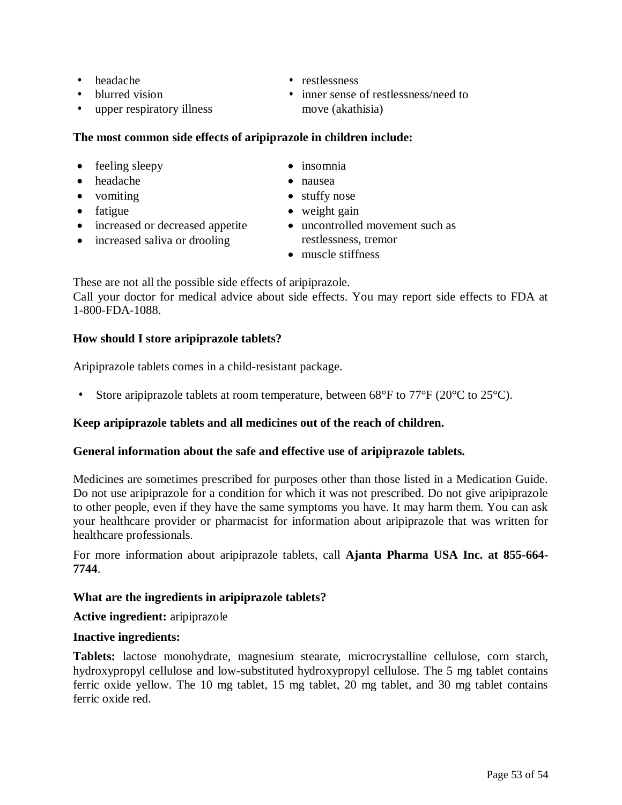- 
- blurred vision
- upper respiratory illness

# **The most common side effects of aripiprazole in children include:**

- feeling sleepy insomnia
- headache nausea
- 
- 
- increased or decreased appetite
- increased saliva or drooling
- <span id="page-52-0"></span>• headache • restlessness
	- inner sense of restlessness/need to move (akathisia)
	-
	-
- vomiting stuffy nose
- fatigue veight gain
	- uncontrolled movement such as restlessness, tremor
	- muscle stiffness

These are not all the possible side effects of aripiprazole.

Call your doctor for medical advice about side effects. You may report side effects to FDA at 1-800-FDA-1088.

### **How should I store aripiprazole tablets?**

Aripiprazole tablets comes in a child-resistant package.

• Store aripiprazole tablets at room temperature, between  $68^{\circ}$ F to  $77^{\circ}$ F (20 $^{\circ}$ C to 25 $^{\circ}$ C).

### **Keep aripiprazole tablets and all medicines out of the reach of children.**

### **General information about the safe and effective use of aripiprazole tablets.**

Medicines are sometimes prescribed for purposes other than those listed in a Medication Guide. Do not use aripiprazole for a condition for which it was not prescribed. Do not give aripiprazole to other people, even if they have the same symptoms you have. It may harm them. You can ask your healthcare provider or pharmacist for information about aripiprazole that was written for healthcare professionals.

For more information about aripiprazole tablets, call **Ajanta Pharma USA Inc. at 855-664- 7744**.

### **What are the ingredients in aripiprazole tablets?**

### **Active ingredient:** aripiprazole

### **Inactive ingredients:**

**Tablets:** lactose monohydrate, magnesium stearate, microcrystalline cellulose, corn starch, hydroxypropyl cellulose and low-substituted hydroxypropyl cellulose. The 5 mg tablet contains ferric oxide yellow. The 10 mg tablet, 15 mg tablet, 20 mg tablet, and 30 mg tablet contains ferric oxide red.